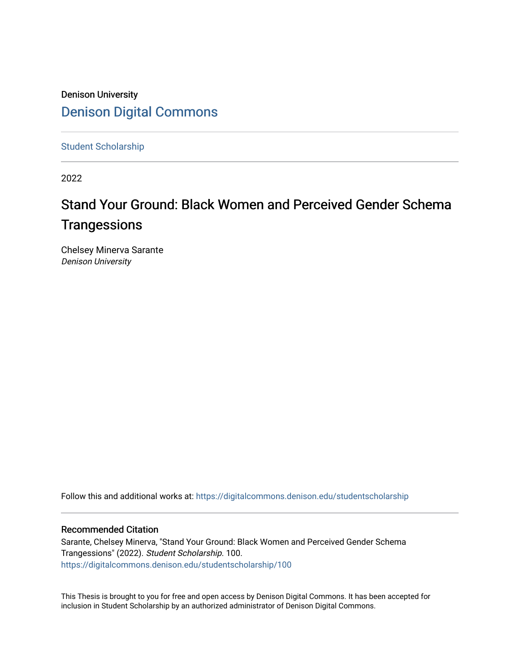# Denison University [Denison Digital Commons](https://digitalcommons.denison.edu/)

[Student Scholarship](https://digitalcommons.denison.edu/studentscholarship)

2022

# Stand Your Ground: Black Women and Perceived Gender Schema **Trangessions**

Chelsey Minerva Sarante Denison University

Follow this and additional works at: [https://digitalcommons.denison.edu/studentscholarship](https://digitalcommons.denison.edu/studentscholarship?utm_source=digitalcommons.denison.edu%2Fstudentscholarship%2F100&utm_medium=PDF&utm_campaign=PDFCoverPages) 

#### Recommended Citation

Sarante, Chelsey Minerva, "Stand Your Ground: Black Women and Perceived Gender Schema Trangessions" (2022). Student Scholarship. 100. [https://digitalcommons.denison.edu/studentscholarship/100](https://digitalcommons.denison.edu/studentscholarship/100?utm_source=digitalcommons.denison.edu%2Fstudentscholarship%2F100&utm_medium=PDF&utm_campaign=PDFCoverPages) 

This Thesis is brought to you for free and open access by Denison Digital Commons. It has been accepted for inclusion in Student Scholarship by an authorized administrator of Denison Digital Commons.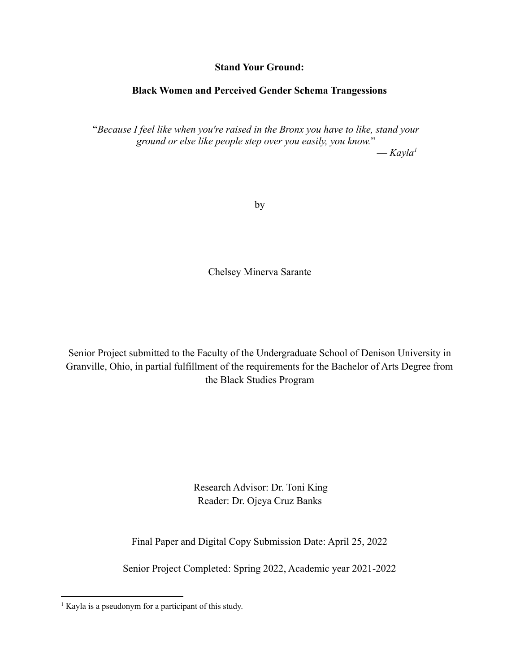## **Stand Your Ground:**

# **Black Women and Perceived Gender Schema Trangessions**

"*Because I feel like when you're raised in the Bronx you have to like, stand your ground or else like people step over you easily, you know.*"

— *Kayla<sup>1</sup>*

by

Chelsey Minerva Sarante

Senior Project submitted to the Faculty of the Undergraduate School of Denison University in Granville, Ohio, in partial fulfillment of the requirements for the Bachelor of Arts Degree from the Black Studies Program

> Research Advisor: Dr. Toni King Reader: Dr. Ojeya Cruz Banks

Final Paper and Digital Copy Submission Date: April 25, 2022

Senior Project Completed: Spring 2022, Academic year 2021-2022

<sup>&</sup>lt;sup>1</sup> Kayla is a pseudonym for a participant of this study.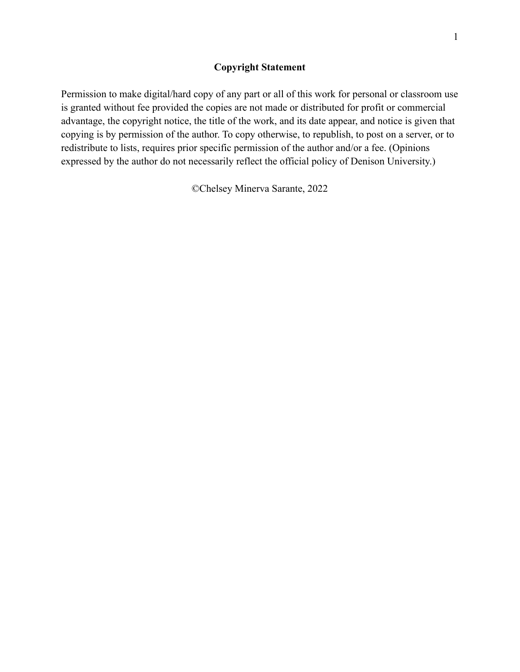## **Copyright Statement**

Permission to make digital/hard copy of any part or all of this work for personal or classroom use is granted without fee provided the copies are not made or distributed for profit or commercial advantage, the copyright notice, the title of the work, and its date appear, and notice is given that copying is by permission of the author. To copy otherwise, to republish, to post on a server, or to redistribute to lists, requires prior specific permission of the author and/or a fee. (Opinions expressed by the author do not necessarily reflect the official policy of Denison University.)

©Chelsey Minerva Sarante, 2022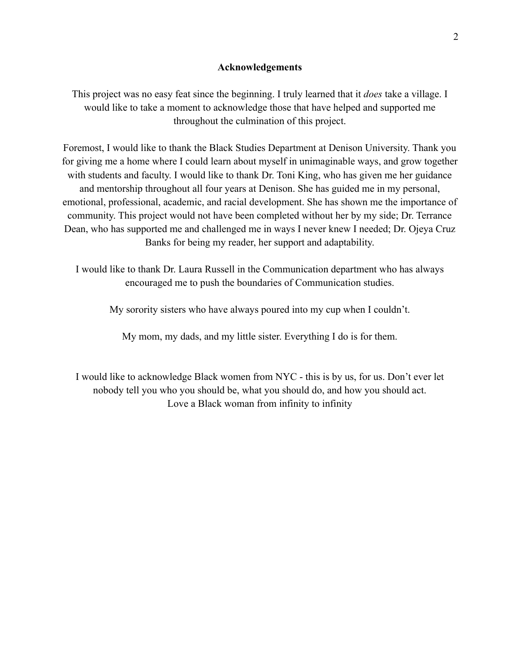#### **Acknowledgements**

This project was no easy feat since the beginning. I truly learned that it *does* take a village. I would like to take a moment to acknowledge those that have helped and supported me throughout the culmination of this project.

Foremost, I would like to thank the Black Studies Department at Denison University. Thank you for giving me a home where I could learn about myself in unimaginable ways, and grow together with students and faculty. I would like to thank Dr. Toni King, who has given me her guidance and mentorship throughout all four years at Denison. She has guided me in my personal, emotional, professional, academic, and racial development. She has shown me the importance of community. This project would not have been completed without her by my side; Dr. Terrance Dean, who has supported me and challenged me in ways I never knew I needed; Dr. Ojeya Cruz Banks for being my reader, her support and adaptability.

I would like to thank Dr. Laura Russell in the Communication department who has always encouraged me to push the boundaries of Communication studies.

My sorority sisters who have always poured into my cup when I couldn't.

My mom, my dads, and my little sister. Everything I do is for them.

I would like to acknowledge Black women from NYC - this is by us, for us. Don't ever let nobody tell you who you should be, what you should do, and how you should act. Love a Black woman from infinity to infinity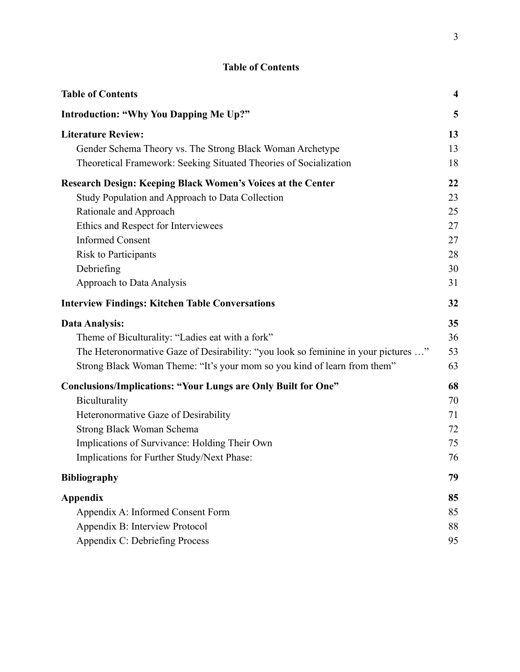<span id="page-4-0"></span>

| <b>Table of Contents</b>                                                           | $\boldsymbol{4}$ |
|------------------------------------------------------------------------------------|------------------|
| <b>Introduction: "Why You Dapping Me Up?"</b>                                      | 5                |
| <b>Literature Review:</b>                                                          | 13               |
| Gender Schema Theory vs. The Strong Black Woman Archetype                          | 13               |
| Theoretical Framework: Seeking Situated Theories of Socialization                  | 18               |
| <b>Research Design: Keeping Black Women's Voices at the Center</b>                 | 22               |
| Study Population and Approach to Data Collection                                   | 23               |
| Rationale and Approach                                                             | 25               |
| Ethics and Respect for Interviewees                                                | 27               |
| <b>Informed Consent</b>                                                            | 27               |
| <b>Risk to Participants</b>                                                        | 28               |
| Debriefing                                                                         | 30               |
| Approach to Data Analysis                                                          | 31               |
| <b>Interview Findings: Kitchen Table Conversations</b>                             | 32               |
| Data Analysis:                                                                     | 35               |
| Theme of Biculturality: "Ladies eat with a fork"                                   | 36               |
| The Heteronormative Gaze of Desirability: "you look so feminine in your pictures " | 53               |
| Strong Black Woman Theme: "It's your mom so you kind of learn from them"           | 63               |
| <b>Conclusions/Implications: "Your Lungs are Only Built for One"</b>               | 68               |
| Biculturality                                                                      | 70               |
| Heteronormative Gaze of Desirability                                               | 71               |
| Strong Black Woman Schema                                                          | 72               |
| Implications of Survivance: Holding Their Own                                      | 75               |
| Implications for Further Study/Next Phase:                                         | 76               |
| <b>Bibliography</b>                                                                | 79               |
| <b>Appendix</b>                                                                    | 85               |
| Appendix A: Informed Consent Form                                                  | 85               |
| Appendix B: Interview Protocol                                                     | 88               |
| Appendix C: Debriefing Process                                                     | 95               |

# **Table of Contents**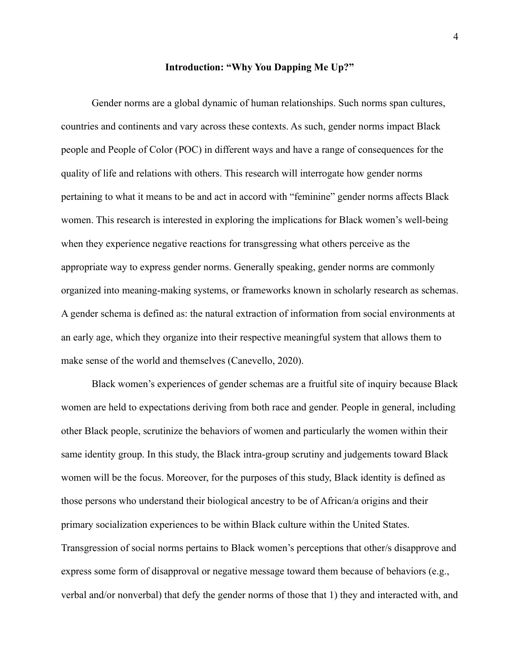#### **Introduction: "Why You Dapping Me Up?"**

<span id="page-5-0"></span>Gender norms are a global dynamic of human relationships. Such norms span cultures, countries and continents and vary across these contexts. As such, gender norms impact Black people and People of Color (POC) in different ways and have a range of consequences for the quality of life and relations with others. This research will interrogate how gender norms pertaining to what it means to be and act in accord with "feminine" gender norms affects Black women. This research is interested in exploring the implications for Black women's well-being when they experience negative reactions for transgressing what others perceive as the appropriate way to express gender norms. Generally speaking, gender norms are commonly organized into meaning-making systems, or frameworks known in scholarly research as schemas. A gender schema is defined as: the natural extraction of information from social environments at an early age, which they organize into their respective meaningful system that allows them to make sense of the world and themselves (Canevello, 2020).

Black women's experiences of gender schemas are a fruitful site of inquiry because Black women are held to expectations deriving from both race and gender. People in general, including other Black people, scrutinize the behaviors of women and particularly the women within their same identity group. In this study, the Black intra-group scrutiny and judgements toward Black women will be the focus. Moreover, for the purposes of this study, Black identity is defined as those persons who understand their biological ancestry to be of African/a origins and their primary socialization experiences to be within Black culture within the United States. Transgression of social norms pertains to Black women's perceptions that other/s disapprove and express some form of disapproval or negative message toward them because of behaviors (e.g., verbal and/or nonverbal) that defy the gender norms of those that 1) they and interacted with, and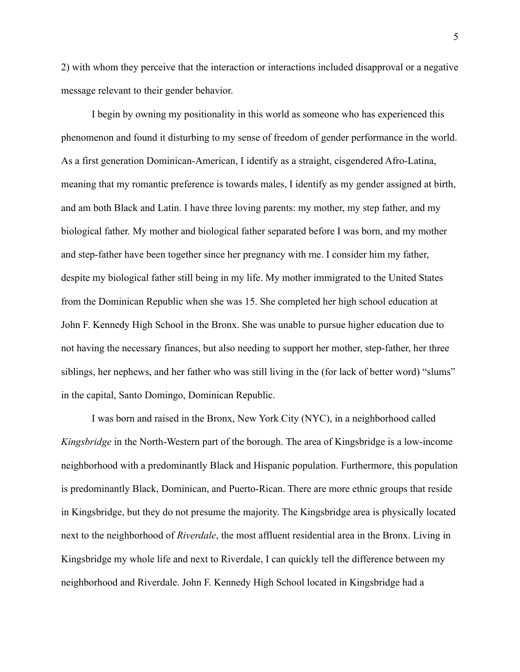2) with whom they perceive that the interaction or interactions included disapproval or a negative message relevant to their gender behavior.

I begin by owning my positionality in this world as someone who has experienced this phenomenon and found it disturbing to my sense of freedom of gender performance in the world. As a first generation Dominican-American, I identify as a straight, cisgendered Afro-Latina, meaning that my romantic preference is towards males, I identify as my gender assigned at birth, and am both Black and Latin. I have three loving parents: my mother, my step father, and my biological father. My mother and biological father separated before I was born, and my mother and step-father have been together since her pregnancy with me. I consider him my father, despite my biological father still being in my life. My mother immigrated to the United States from the Dominican Republic when she was 15. She completed her high school education at John F. Kennedy High School in the Bronx. She was unable to pursue higher education due to not having the necessary finances, but also needing to support her mother, step-father, her three siblings, her nephews, and her father who was still living in the (for lack of better word) "slums" in the capital, Santo Domingo, Dominican Republic.

I was born and raised in the Bronx, New York City (NYC), in a neighborhood called *Kingsbridge* in the North-Western part of the borough. The area of Kingsbridge is a low-income neighborhood with a predominantly Black and Hispanic population. Furthermore, this population is predominantly Black, Dominican, and Puerto-Rican. There are more ethnic groups that reside in Kingsbridge, but they do not presume the majority. The Kingsbridge area is physically located next to the neighborhood of *Riverdale*, the most affluent residential area in the Bronx. Living in Kingsbridge my whole life and next to Riverdale, I can quickly tell the difference between my neighborhood and Riverdale. John F. Kennedy High School located in Kingsbridge had a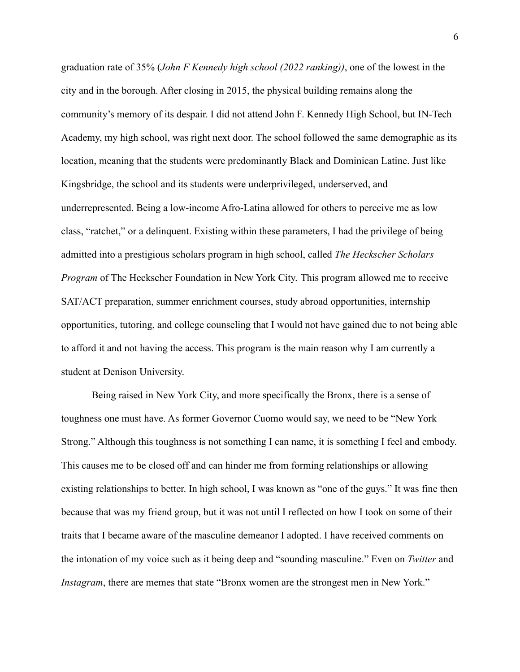graduation rate of 35% (*John F Kennedy high school (2022 ranking))*, one of the lowest in the city and in the borough. After closing in 2015, the physical building remains along the community's memory of its despair. I did not attend John F. Kennedy High School, but IN-Tech Academy, my high school, was right next door. The school followed the same demographic as its location, meaning that the students were predominantly Black and Dominican Latine. Just like Kingsbridge, the school and its students were underprivileged, underserved, and underrepresented. Being a low-income Afro-Latina allowed for others to perceive me as low class, "ratchet," or a delinquent. Existing within these parameters, I had the privilege of being admitted into a prestigious scholars program in high school, called *The Heckscher Scholars Program* of The Heckscher Foundation in New York City. This program allowed me to receive SAT/ACT preparation, summer enrichment courses, study abroad opportunities, internship opportunities, tutoring, and college counseling that I would not have gained due to not being able to afford it and not having the access. This program is the main reason why I am currently a student at Denison University.

Being raised in New York City, and more specifically the Bronx, there is a sense of toughness one must have. As former Governor Cuomo would say, we need to be "New York Strong." Although this toughness is not something I can name, it is something I feel and embody. This causes me to be closed off and can hinder me from forming relationships or allowing existing relationships to better. In high school, I was known as "one of the guys." It was fine then because that was my friend group, but it was not until I reflected on how I took on some of their traits that I became aware of the masculine demeanor I adopted. I have received comments on the intonation of my voice such as it being deep and "sounding masculine." Even on *Twitter* and *Instagram*, there are memes that state "Bronx women are the strongest men in New York."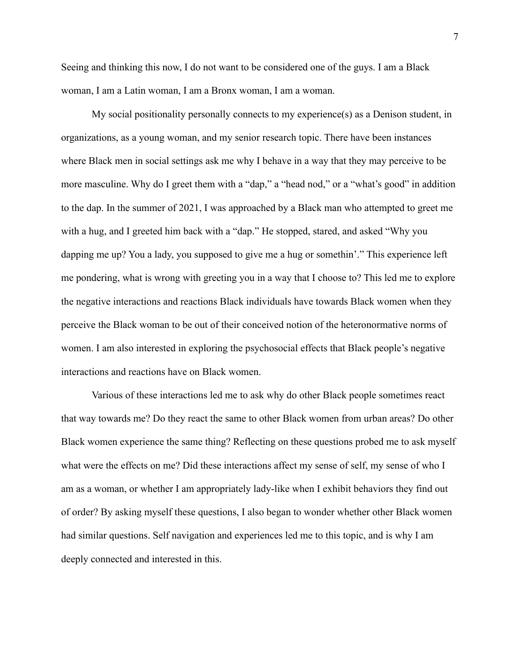Seeing and thinking this now, I do not want to be considered one of the guys. I am a Black woman, I am a Latin woman, I am a Bronx woman, I am a woman.

My social positionality personally connects to my experience(s) as a Denison student, in organizations, as a young woman, and my senior research topic. There have been instances where Black men in social settings ask me why I behave in a way that they may perceive to be more masculine. Why do I greet them with a "dap," a "head nod," or a "what's good" in addition to the dap. In the summer of 2021, I was approached by a Black man who attempted to greet me with a hug, and I greeted him back with a "dap." He stopped, stared, and asked "Why you dapping me up? You a lady, you supposed to give me a hug or somethin'." This experience left me pondering, what is wrong with greeting you in a way that I choose to? This led me to explore the negative interactions and reactions Black individuals have towards Black women when they perceive the Black woman to be out of their conceived notion of the heteronormative norms of women. I am also interested in exploring the psychosocial effects that Black people's negative interactions and reactions have on Black women.

Various of these interactions led me to ask why do other Black people sometimes react that way towards me? Do they react the same to other Black women from urban areas? Do other Black women experience the same thing? Reflecting on these questions probed me to ask myself what were the effects on me? Did these interactions affect my sense of self, my sense of who I am as a woman, or whether I am appropriately lady-like when I exhibit behaviors they find out of order? By asking myself these questions, I also began to wonder whether other Black women had similar questions. Self navigation and experiences led me to this topic, and is why I am deeply connected and interested in this.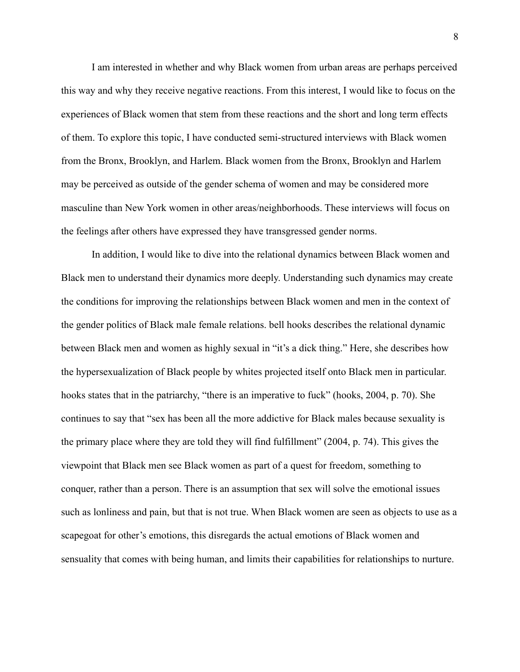I am interested in whether and why Black women from urban areas are perhaps perceived this way and why they receive negative reactions. From this interest, I would like to focus on the experiences of Black women that stem from these reactions and the short and long term effects of them. To explore this topic, I have conducted semi-structured interviews with Black women from the Bronx, Brooklyn, and Harlem. Black women from the Bronx, Brooklyn and Harlem may be perceived as outside of the gender schema of women and may be considered more masculine than New York women in other areas/neighborhoods. These interviews will focus on the feelings after others have expressed they have transgressed gender norms.

In addition, I would like to dive into the relational dynamics between Black women and Black men to understand their dynamics more deeply. Understanding such dynamics may create the conditions for improving the relationships between Black women and men in the context of the gender politics of Black male female relations. bell hooks describes the relational dynamic between Black men and women as highly sexual in "it's a dick thing." Here, she describes how the hypersexualization of Black people by whites projected itself onto Black men in particular. hooks states that in the patriarchy, "there is an imperative to fuck" (hooks, 2004, p. 70). She continues to say that "sex has been all the more addictive for Black males because sexuality is the primary place where they are told they will find fulfillment" (2004, p. 74). This gives the viewpoint that Black men see Black women as part of a quest for freedom, something to conquer, rather than a person. There is an assumption that sex will solve the emotional issues such as lonliness and pain, but that is not true. When Black women are seen as objects to use as a scapegoat for other's emotions, this disregards the actual emotions of Black women and sensuality that comes with being human, and limits their capabilities for relationships to nurture.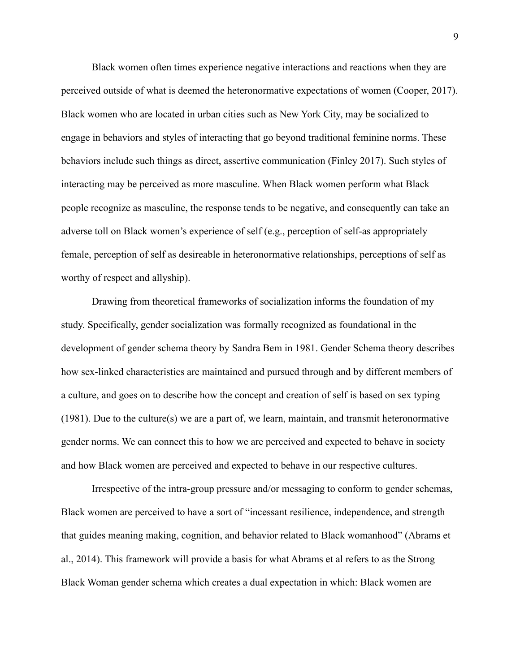Black women often times experience negative interactions and reactions when they are perceived outside of what is deemed the heteronormative expectations of women (Cooper, 2017). Black women who are located in urban cities such as New York City, may be socialized to engage in behaviors and styles of interacting that go beyond traditional feminine norms. These behaviors include such things as direct, assertive communication (Finley 2017). Such styles of interacting may be perceived as more masculine. When Black women perform what Black people recognize as masculine, the response tends to be negative, and consequently can take an adverse toll on Black women's experience of self (e.g., perception of self-as appropriately female, perception of self as desireable in heteronormative relationships, perceptions of self as worthy of respect and allyship).

Drawing from theoretical frameworks of socialization informs the foundation of my study. Specifically, gender socialization was formally recognized as foundational in the development of gender schema theory by Sandra Bem in 1981. Gender Schema theory describes how sex-linked characteristics are maintained and pursued through and by different members of a culture, and goes on to describe how the concept and creation of self is based on sex typing (1981). Due to the culture(s) we are a part of, we learn, maintain, and transmit heteronormative gender norms. We can connect this to how we are perceived and expected to behave in society and how Black women are perceived and expected to behave in our respective cultures.

Irrespective of the intra-group pressure and/or messaging to conform to gender schemas, Black women are perceived to have a sort of "incessant resilience, independence, and strength that guides meaning making, cognition, and behavior related to Black womanhood" (Abrams et al., 2014). This framework will provide a basis for what Abrams et al refers to as the Strong Black Woman gender schema which creates a dual expectation in which: Black women are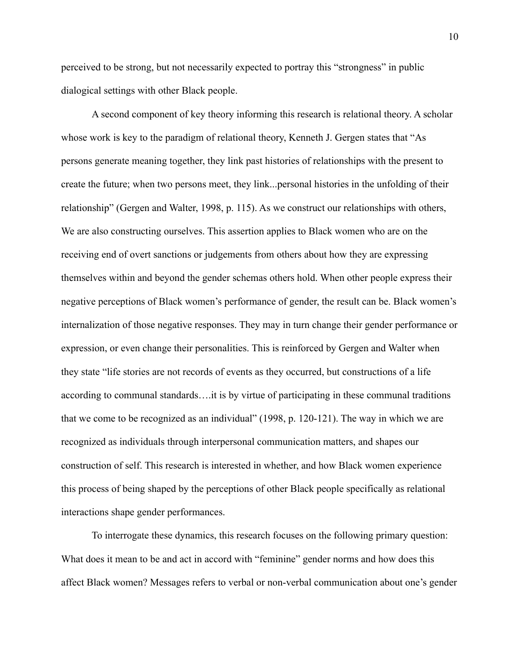perceived to be strong, but not necessarily expected to portray this "strongness" in public dialogical settings with other Black people.

A second component of key theory informing this research is relational theory. A scholar whose work is key to the paradigm of relational theory, Kenneth J. Gergen states that "As persons generate meaning together, they link past histories of relationships with the present to create the future; when two persons meet, they link...personal histories in the unfolding of their relationship" (Gergen and Walter, 1998, p. 115). As we construct our relationships with others, We are also constructing ourselves. This assertion applies to Black women who are on the receiving end of overt sanctions or judgements from others about how they are expressing themselves within and beyond the gender schemas others hold. When other people express their negative perceptions of Black women's performance of gender, the result can be. Black women's internalization of those negative responses. They may in turn change their gender performance or expression, or even change their personalities. This is reinforced by Gergen and Walter when they state "life stories are not records of events as they occurred, but constructions of a life according to communal standards….it is by virtue of participating in these communal traditions that we come to be recognized as an individual" (1998, p. 120-121). The way in which we are recognized as individuals through interpersonal communication matters, and shapes our construction of self. This research is interested in whether, and how Black women experience this process of being shaped by the perceptions of other Black people specifically as relational interactions shape gender performances.

To interrogate these dynamics, this research focuses on the following primary question: What does it mean to be and act in accord with "feminine" gender norms and how does this affect Black women? Messages refers to verbal or non-verbal communication about one's gender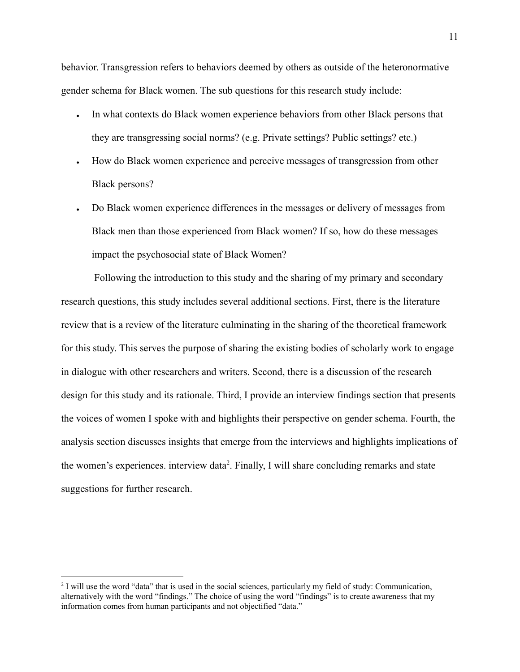behavior. Transgression refers to behaviors deemed by others as outside of the heteronormative gender schema for Black women. The sub questions for this research study include:

- In what contexts do Black women experience behaviors from other Black persons that they are transgressing social norms? (e.g. Private settings? Public settings? etc.)
- How do Black women experience and perceive messages of transgression from other Black persons?
- Do Black women experience differences in the messages or delivery of messages from Black men than those experienced from Black women? If so, how do these messages impact the psychosocial state of Black Women?

Following the introduction to this study and the sharing of my primary and secondary research questions, this study includes several additional sections. First, there is the literature review that is a review of the literature culminating in the sharing of the theoretical framework for this study. This serves the purpose of sharing the existing bodies of scholarly work to engage in dialogue with other researchers and writers. Second, there is a discussion of the research design for this study and its rationale. Third, I provide an interview findings section that presents the voices of women I spoke with and highlights their perspective on gender schema. Fourth, the analysis section discusses insights that emerge from the interviews and highlights implications of the women's experiences. interview data<sup>2</sup>. Finally, I will share concluding remarks and state suggestions for further research.

<sup>&</sup>lt;sup>2</sup> I will use the word "data" that is used in the social sciences, particularly my field of study: Communication, alternatively with the word "findings." The choice of using the word "findings" is to create awareness that my information comes from human participants and not objectified "data."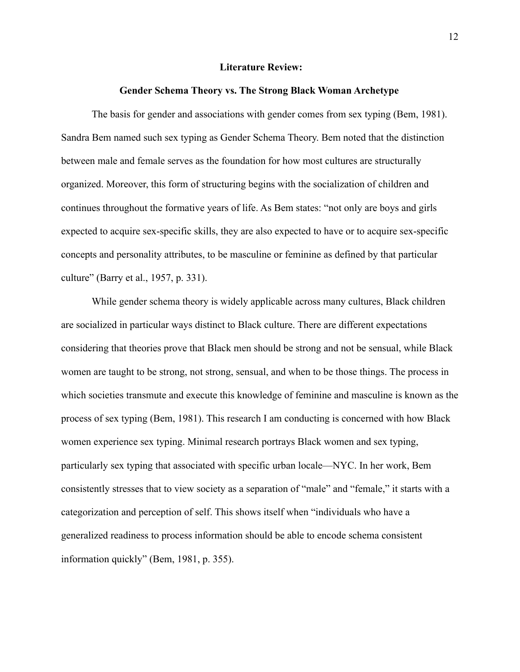#### **Literature Review:**

#### **Gender Schema Theory vs. The Strong Black Woman Archetype**

<span id="page-13-1"></span><span id="page-13-0"></span>The basis for gender and associations with gender comes from sex typing (Bem, 1981). Sandra Bem named such sex typing as Gender Schema Theory. Bem noted that the distinction between male and female serves as the foundation for how most cultures are structurally organized. Moreover, this form of structuring begins with the socialization of children and continues throughout the formative years of life. As Bem states: "not only are boys and girls expected to acquire sex-specific skills, they are also expected to have or to acquire sex-specific concepts and personality attributes, to be masculine or feminine as defined by that particular culture" (Barry et al., 1957, p. 331).

While gender schema theory is widely applicable across many cultures, Black children are socialized in particular ways distinct to Black culture. There are different expectations considering that theories prove that Black men should be strong and not be sensual, while Black women are taught to be strong, not strong, sensual, and when to be those things. The process in which societies transmute and execute this knowledge of feminine and masculine is known as the process of sex typing (Bem, 1981). This research I am conducting is concerned with how Black women experience sex typing. Minimal research portrays Black women and sex typing, particularly sex typing that associated with specific urban locale—NYC. In her work, Bem consistently stresses that to view society as a separation of "male" and "female," it starts with a categorization and perception of self. This shows itself when "individuals who have a generalized readiness to process information should be able to encode schema consistent information quickly" (Bem, 1981, p. 355).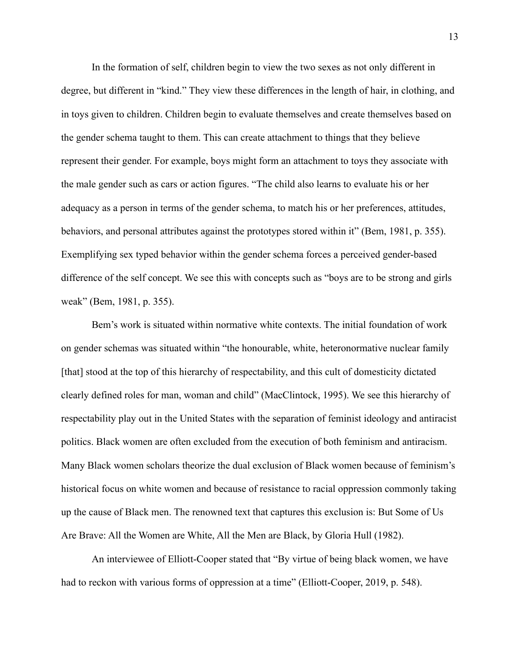In the formation of self, children begin to view the two sexes as not only different in degree, but different in "kind." They view these differences in the length of hair, in clothing, and in toys given to children. Children begin to evaluate themselves and create themselves based on the gender schema taught to them. This can create attachment to things that they believe represent their gender. For example, boys might form an attachment to toys they associate with the male gender such as cars or action figures. "The child also learns to evaluate his or her adequacy as a person in terms of the gender schema, to match his or her preferences, attitudes, behaviors, and personal attributes against the prototypes stored within it" (Bem, 1981, p. 355). Exemplifying sex typed behavior within the gender schema forces a perceived gender-based difference of the self concept. We see this with concepts such as "boys are to be strong and girls weak" (Bem, 1981, p. 355).

Bem's work is situated within normative white contexts. The initial foundation of work on gender schemas was situated within "the honourable, white, heteronormative nuclear family [that] stood at the top of this hierarchy of respectability, and this cult of domesticity dictated clearly defined roles for man, woman and child" (MacClintock, 1995). We see this hierarchy of respectability play out in the United States with the separation of feminist ideology and antiracist politics. Black women are often excluded from the execution of both feminism and antiracism. Many Black women scholars theorize the dual exclusion of Black women because of feminism's historical focus on white women and because of resistance to racial oppression commonly taking up the cause of Black men. The renowned text that captures this exclusion is: But Some of Us Are Brave: All the Women are White, All the Men are Black, by Gloria Hull (1982).

An interviewee of Elliott-Cooper stated that "By virtue of being black women, we have had to reckon with various forms of oppression at a time" (Elliott-Cooper, 2019, p. 548).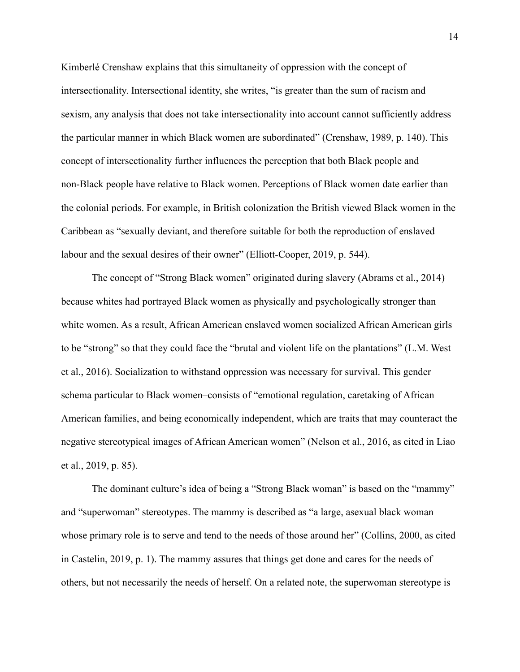Kimberlé Crenshaw explains that this simultaneity of oppression with the concept of intersectionality. Intersectional identity, she writes, "is greater than the sum of racism and sexism, any analysis that does not take intersectionality into account cannot sufficiently address the particular manner in which Black women are subordinated" (Crenshaw, 1989, p. 140). This concept of intersectionality further influences the perception that both Black people and non-Black people have relative to Black women. Perceptions of Black women date earlier than the colonial periods. For example, in British colonization the British viewed Black women in the Caribbean as "sexually deviant, and therefore suitable for both the reproduction of enslaved labour and the sexual desires of their owner" (Elliott-Cooper, 2019, p. 544).

The concept of "Strong Black women" originated during slavery (Abrams et al., 2014) because whites had portrayed Black women as physically and psychologically stronger than white women. As a result, African American enslaved women socialized African American girls to be "strong" so that they could face the "brutal and violent life on the plantations" (L.M. West et al., 2016). Socialization to withstand oppression was necessary for survival. This gender schema particular to Black women–consists of "emotional regulation, caretaking of African American families, and being economically independent, which are traits that may counteract the negative stereotypical images of African American women" (Nelson et al., 2016, as cited in Liao et al., 2019, p. 85).

The dominant culture's idea of being a "Strong Black woman" is based on the "mammy" and "superwoman" stereotypes. The mammy is described as "a large, asexual black woman whose primary role is to serve and tend to the needs of those around her" (Collins, 2000, as cited in Castelin, 2019, p. 1). The mammy assures that things get done and cares for the needs of others, but not necessarily the needs of herself. On a related note, the superwoman stereotype is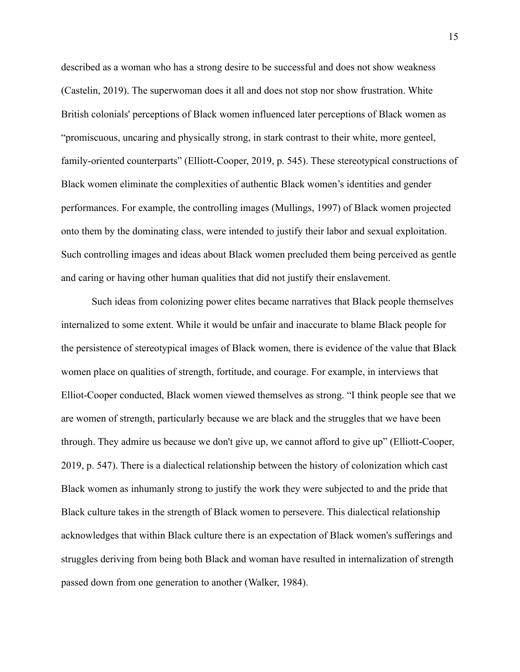described as a woman who has a strong desire to be successful and does not show weakness (Castelin, 2019). The superwoman does it all and does not stop nor show frustration. White British colonials' perceptions of Black women influenced later perceptions of Black women as "promiscuous, uncaring and physically strong, in stark contrast to their white, more genteel, family-oriented counterparts" (Elliott-Cooper, 2019, p. 545). These stereotypical constructions of Black women eliminate the complexities of authentic Black women's identities and gender performances. For example, the controlling images (Mullings, 1997) of Black women projected onto them by the dominating class, were intended to justify their labor and sexual exploitation. Such controlling images and ideas about Black women precluded them being perceived as gentle and caring or having other human qualities that did not justify their enslavement.

Such ideas from colonizing power elites became narratives that Black people themselves internalized to some extent. While it would be unfair and inaccurate to blame Black people for the persistence of stereotypical images of Black women, there is evidence of the value that Black women place on qualities of strength, fortitude, and courage. For example, in interviews that Elliot-Cooper conducted, Black women viewed themselves as strong. "I think people see that we are women of strength, particularly because we are black and the struggles that we have been through. They admire us because we don't give up, we cannot afford to give up" (Elliott-Cooper, 2019, p. 547). There is a dialectical relationship between the history of colonization which cast Black women as inhumanly strong to justify the work they were subjected to and the pride that Black culture takes in the strength of Black women to persevere. This dialectical relationship acknowledges that within Black culture there is an expectation of Black women's sufferings and struggles deriving from being both Black and woman have resulted in internalization of strength passed down from one generation to another (Walker, 1984).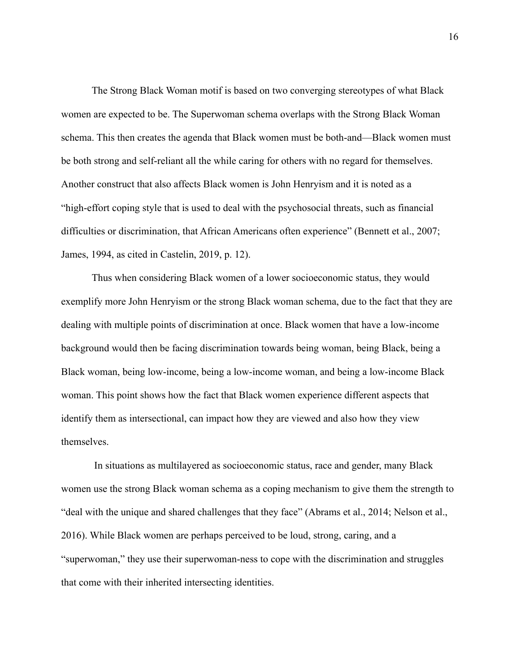The Strong Black Woman motif is based on two converging stereotypes of what Black women are expected to be. The Superwoman schema overlaps with the Strong Black Woman schema. This then creates the agenda that Black women must be both-and—Black women must be both strong and self-reliant all the while caring for others with no regard for themselves. Another construct that also affects Black women is John Henryism and it is noted as a "high-effort coping style that is used to deal with the psychosocial threats, such as financial difficulties or discrimination, that African Americans often experience" (Bennett et al., 2007; James, 1994, as cited in Castelin, 2019, p. 12).

Thus when considering Black women of a lower socioeconomic status, they would exemplify more John Henryism or the strong Black woman schema, due to the fact that they are dealing with multiple points of discrimination at once. Black women that have a low-income background would then be facing discrimination towards being woman, being Black, being a Black woman, being low-income, being a low-income woman, and being a low-income Black woman. This point shows how the fact that Black women experience different aspects that identify them as intersectional, can impact how they are viewed and also how they view themselves.

In situations as multilayered as socioeconomic status, race and gender, many Black women use the strong Black woman schema as a coping mechanism to give them the strength to "deal with the unique and shared challenges that they face" (Abrams et al., 2014; Nelson et al., 2016). While Black women are perhaps perceived to be loud, strong, caring, and a "superwoman," they use their superwoman-ness to cope with the discrimination and struggles that come with their inherited intersecting identities.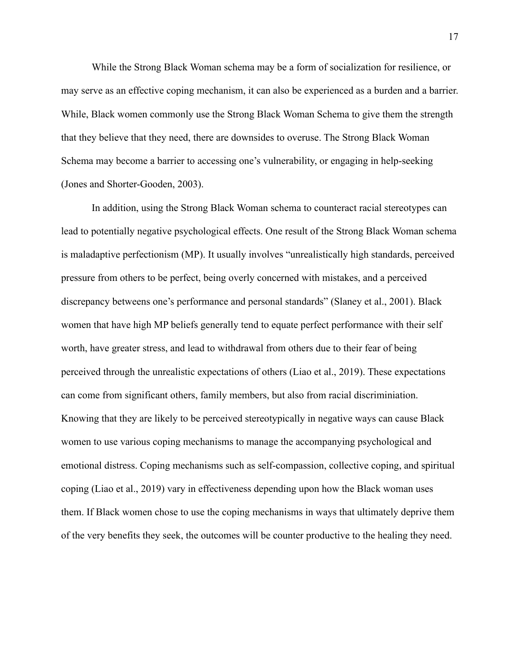While the Strong Black Woman schema may be a form of socialization for resilience, or may serve as an effective coping mechanism, it can also be experienced as a burden and a barrier. While, Black women commonly use the Strong Black Woman Schema to give them the strength that they believe that they need, there are downsides to overuse. The Strong Black Woman Schema may become a barrier to accessing one's vulnerability, or engaging in help-seeking (Jones and Shorter-Gooden, 2003).

In addition, using the Strong Black Woman schema to counteract racial stereotypes can lead to potentially negative psychological effects. One result of the Strong Black Woman schema is maladaptive perfectionism (MP). It usually involves "unrealistically high standards, perceived pressure from others to be perfect, being overly concerned with mistakes, and a perceived discrepancy betweens one's performance and personal standards" (Slaney et al., 2001). Black women that have high MP beliefs generally tend to equate perfect performance with their self worth, have greater stress, and lead to withdrawal from others due to their fear of being perceived through the unrealistic expectations of others (Liao et al., 2019). These expectations can come from significant others, family members, but also from racial discriminiation. Knowing that they are likely to be perceived stereotypically in negative ways can cause Black women to use various coping mechanisms to manage the accompanying psychological and emotional distress. Coping mechanisms such as self-compassion, collective coping, and spiritual coping (Liao et al., 2019) vary in effectiveness depending upon how the Black woman uses them. If Black women chose to use the coping mechanisms in ways that ultimately deprive them of the very benefits they seek, the outcomes will be counter productive to the healing they need.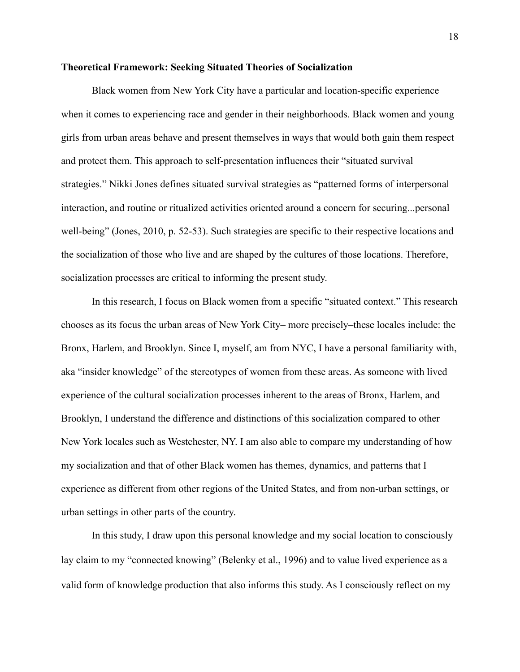#### <span id="page-19-0"></span>**Theoretical Framework: Seeking Situated Theories of Socialization**

Black women from New York City have a particular and location-specific experience when it comes to experiencing race and gender in their neighborhoods. Black women and young girls from urban areas behave and present themselves in ways that would both gain them respect and protect them. This approach to self-presentation influences their "situated survival strategies." Nikki Jones defines situated survival strategies as "patterned forms of interpersonal interaction, and routine or ritualized activities oriented around a concern for securing...personal well-being" (Jones, 2010, p. 52-53). Such strategies are specific to their respective locations and the socialization of those who live and are shaped by the cultures of those locations. Therefore, socialization processes are critical to informing the present study.

In this research, I focus on Black women from a specific "situated context." This research chooses as its focus the urban areas of New York City– more precisely–these locales include: the Bronx, Harlem, and Brooklyn. Since I, myself, am from NYC, I have a personal familiarity with, aka "insider knowledge" of the stereotypes of women from these areas. As someone with lived experience of the cultural socialization processes inherent to the areas of Bronx, Harlem, and Brooklyn, I understand the difference and distinctions of this socialization compared to other New York locales such as Westchester, NY. I am also able to compare my understanding of how my socialization and that of other Black women has themes, dynamics, and patterns that I experience as different from other regions of the United States, and from non-urban settings, or urban settings in other parts of the country.

In this study, I draw upon this personal knowledge and my social location to consciously lay claim to my "connected knowing" (Belenky et al., 1996) and to value lived experience as a valid form of knowledge production that also informs this study. As I consciously reflect on my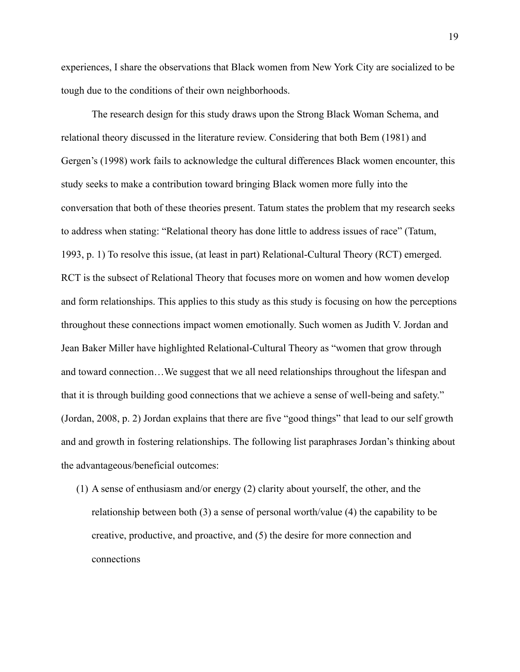experiences, I share the observations that Black women from New York City are socialized to be tough due to the conditions of their own neighborhoods.

The research design for this study draws upon the Strong Black Woman Schema, and relational theory discussed in the literature review. Considering that both Bem (1981) and Gergen's (1998) work fails to acknowledge the cultural differences Black women encounter, this study seeks to make a contribution toward bringing Black women more fully into the conversation that both of these theories present. Tatum states the problem that my research seeks to address when stating: "Relational theory has done little to address issues of race" (Tatum, 1993, p. 1) To resolve this issue, (at least in part) Relational-Cultural Theory (RCT) emerged. RCT is the subsect of Relational Theory that focuses more on women and how women develop and form relationships. This applies to this study as this study is focusing on how the perceptions throughout these connections impact women emotionally. Such women as Judith V. Jordan and Jean Baker Miller have highlighted Relational-Cultural Theory as "women that grow through and toward connection…We suggest that we all need relationships throughout the lifespan and that it is through building good connections that we achieve a sense of well-being and safety." (Jordan, 2008, p. 2) Jordan explains that there are five "good things" that lead to our self growth and and growth in fostering relationships. The following list paraphrases Jordan's thinking about the advantageous/beneficial outcomes:

(1) A sense of enthusiasm and/or energy (2) clarity about yourself, the other, and the relationship between both (3) a sense of personal worth/value (4) the capability to be creative, productive, and proactive, and (5) the desire for more connection and connections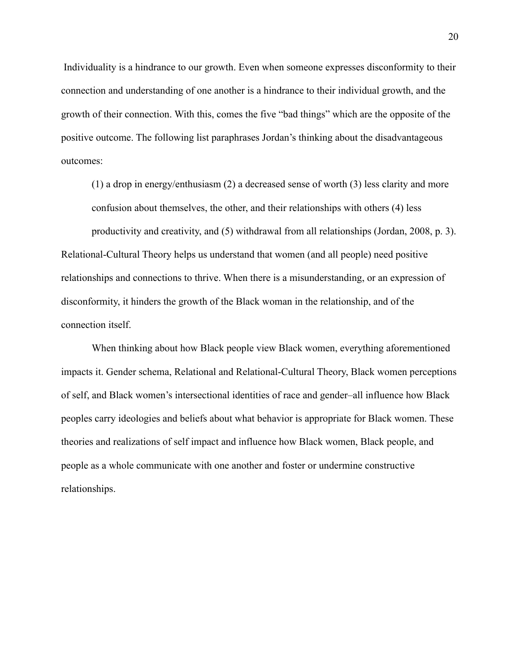Individuality is a hindrance to our growth. Even when someone expresses disconformity to their connection and understanding of one another is a hindrance to their individual growth, and the growth of their connection. With this, comes the five "bad things" which are the opposite of the positive outcome. The following list paraphrases Jordan's thinking about the disadvantageous outcomes:

(1) a drop in energy/enthusiasm (2) a decreased sense of worth (3) less clarity and more confusion about themselves, the other, and their relationships with others (4) less productivity and creativity, and (5) withdrawal from all relationships (Jordan, 2008, p. 3). Relational-Cultural Theory helps us understand that women (and all people) need positive relationships and connections to thrive. When there is a misunderstanding, or an expression of disconformity, it hinders the growth of the Black woman in the relationship, and of the connection itself.

When thinking about how Black people view Black women, everything aforementioned impacts it. Gender schema, Relational and Relational-Cultural Theory, Black women perceptions of self, and Black women's intersectional identities of race and gender–all influence how Black peoples carry ideologies and beliefs about what behavior is appropriate for Black women. These theories and realizations of self impact and influence how Black women, Black people, and people as a whole communicate with one another and foster or undermine constructive relationships.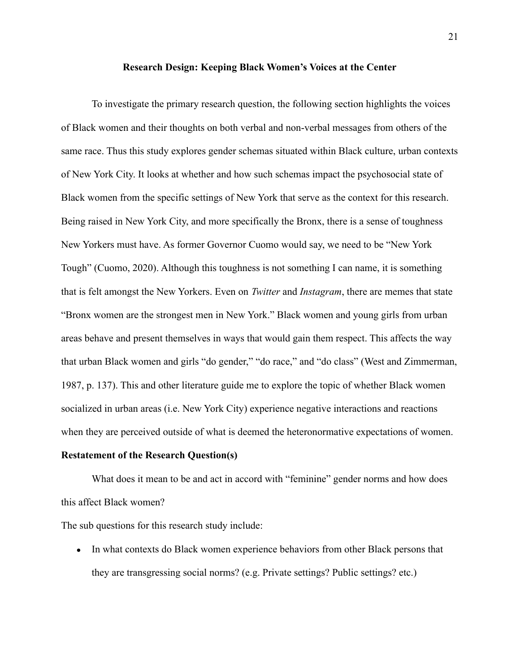#### **Research Design: Keeping Black Women's Voices at the Center**

<span id="page-22-0"></span>To investigate the primary research question, the following section highlights the voices of Black women and their thoughts on both verbal and non-verbal messages from others of the same race. Thus this study explores gender schemas situated within Black culture, urban contexts of New York City. It looks at whether and how such schemas impact the psychosocial state of Black women from the specific settings of New York that serve as the context for this research. Being raised in New York City, and more specifically the Bronx, there is a sense of toughness New Yorkers must have. As former Governor Cuomo would say, we need to be "New York Tough" (Cuomo, 2020). Although this toughness is not something I can name, it is something that is felt amongst the New Yorkers. Even on *Twitter* and *Instagram*, there are memes that state "Bronx women are the strongest men in New York." Black women and young girls from urban areas behave and present themselves in ways that would gain them respect. This affects the way that urban Black women and girls "do gender," "do race," and "do class" (West and Zimmerman, 1987, p. 137). This and other literature guide me to explore the topic of whether Black women socialized in urban areas (i.e. New York City) experience negative interactions and reactions when they are perceived outside of what is deemed the heteronormative expectations of women.

#### **Restatement of the Research Question(s)**

What does it mean to be and act in accord with "feminine" gender norms and how does this affect Black women?

The sub questions for this research study include:

● In what contexts do Black women experience behaviors from other Black persons that they are transgressing social norms? (e.g. Private settings? Public settings? etc.)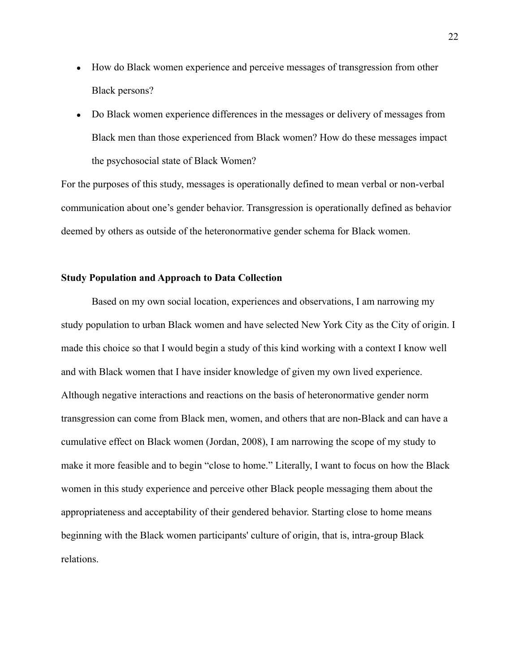- How do Black women experience and perceive messages of transgression from other Black persons?
- Do Black women experience differences in the messages or delivery of messages from Black men than those experienced from Black women? How do these messages impact the psychosocial state of Black Women?

For the purposes of this study, messages is operationally defined to mean verbal or non-verbal communication about one's gender behavior. Transgression is operationally defined as behavior deemed by others as outside of the heteronormative gender schema for Black women.

#### <span id="page-23-0"></span>**Study Population and Approach to Data Collection**

Based on my own social location, experiences and observations, I am narrowing my study population to urban Black women and have selected New York City as the City of origin. I made this choice so that I would begin a study of this kind working with a context I know well and with Black women that I have insider knowledge of given my own lived experience. Although negative interactions and reactions on the basis of heteronormative gender norm transgression can come from Black men, women, and others that are non-Black and can have a cumulative effect on Black women (Jordan, 2008), I am narrowing the scope of my study to make it more feasible and to begin "close to home." Literally, I want to focus on how the Black women in this study experience and perceive other Black people messaging them about the appropriateness and acceptability of their gendered behavior. Starting close to home means beginning with the Black women participants' culture of origin, that is, intra-group Black relations.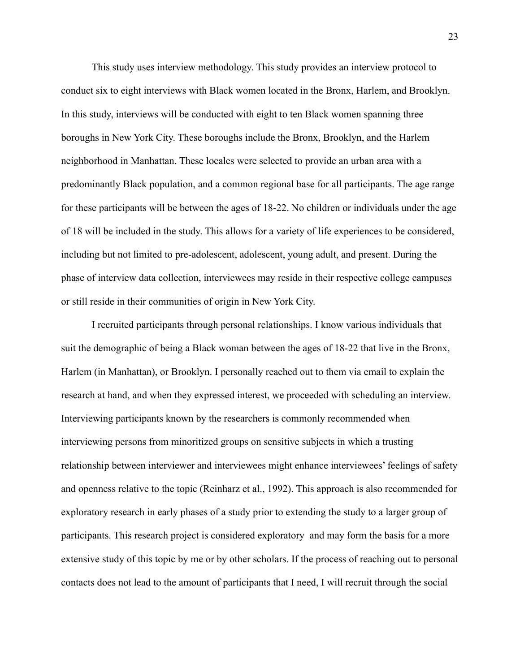This study uses interview methodology. This study provides an interview protocol to conduct six to eight interviews with Black women located in the Bronx, Harlem, and Brooklyn. In this study, interviews will be conducted with eight to ten Black women spanning three boroughs in New York City. These boroughs include the Bronx, Brooklyn, and the Harlem neighborhood in Manhattan. These locales were selected to provide an urban area with a predominantly Black population, and a common regional base for all participants. The age range for these participants will be between the ages of 18-22. No children or individuals under the age of 18 will be included in the study. This allows for a variety of life experiences to be considered, including but not limited to pre-adolescent, adolescent, young adult, and present. During the phase of interview data collection, interviewees may reside in their respective college campuses or still reside in their communities of origin in New York City.

I recruited participants through personal relationships. I know various individuals that suit the demographic of being a Black woman between the ages of 18-22 that live in the Bronx, Harlem (in Manhattan), or Brooklyn. I personally reached out to them via email to explain the research at hand, and when they expressed interest, we proceeded with scheduling an interview. Interviewing participants known by the researchers is commonly recommended when interviewing persons from minoritized groups on sensitive subjects in which a trusting relationship between interviewer and interviewees might enhance interviewees' feelings of safety and openness relative to the topic (Reinharz et al., 1992). This approach is also recommended for exploratory research in early phases of a study prior to extending the study to a larger group of participants. This research project is considered exploratory–and may form the basis for a more extensive study of this topic by me or by other scholars. If the process of reaching out to personal contacts does not lead to the amount of participants that I need, I will recruit through the social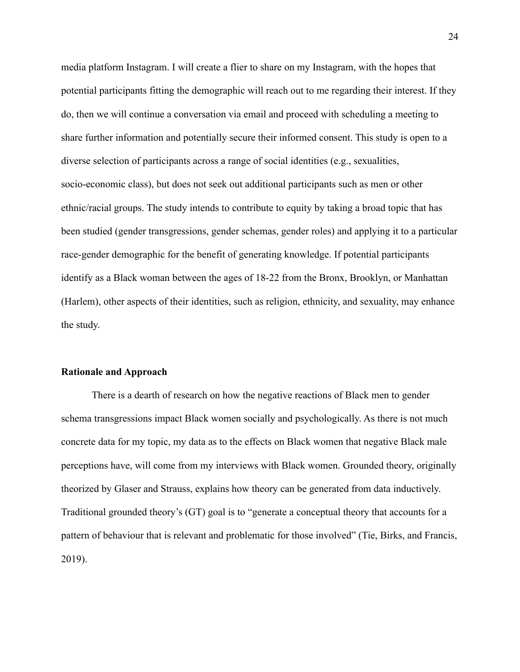media platform Instagram. I will create a flier to share on my Instagram, with the hopes that potential participants fitting the demographic will reach out to me regarding their interest. If they do, then we will continue a conversation via email and proceed with scheduling a meeting to share further information and potentially secure their informed consent. This study is open to a diverse selection of participants across a range of social identities (e.g., sexualities, socio-economic class), but does not seek out additional participants such as men or other ethnic/racial groups. The study intends to contribute to equity by taking a broad topic that has been studied (gender transgressions, gender schemas, gender roles) and applying it to a particular race-gender demographic for the benefit of generating knowledge. If potential participants identify as a Black woman between the ages of 18-22 from the Bronx, Brooklyn, or Manhattan (Harlem), other aspects of their identities, such as religion, ethnicity, and sexuality, may enhance the study.

#### <span id="page-25-0"></span>**Rationale and Approach**

There is a dearth of research on how the negative reactions of Black men to gender schema transgressions impact Black women socially and psychologically. As there is not much concrete data for my topic, my data as to the effects on Black women that negative Black male perceptions have, will come from my interviews with Black women. Grounded theory, originally theorized by Glaser and Strauss, explains how theory can be generated from data inductively. Traditional grounded theory's (GT) goal is to "generate a conceptual theory that accounts for a pattern of behaviour that is relevant and problematic for those involved" (Tie, Birks, and Francis, 2019).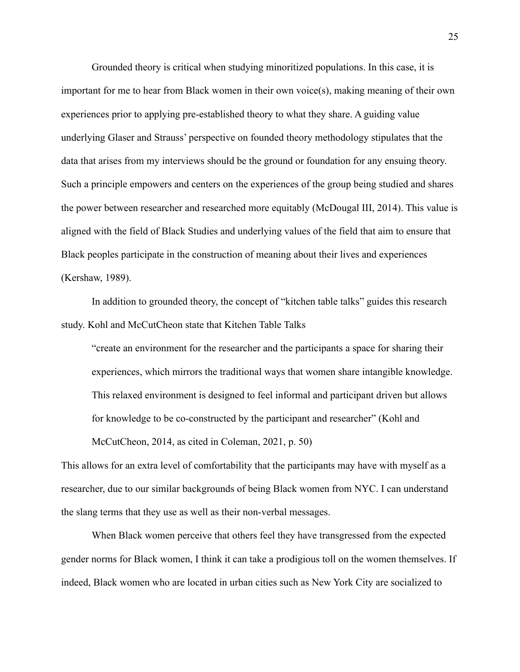Grounded theory is critical when studying minoritized populations. In this case, it is important for me to hear from Black women in their own voice(s), making meaning of their own experiences prior to applying pre-established theory to what they share. A guiding value underlying Glaser and Strauss' perspective on founded theory methodology stipulates that the data that arises from my interviews should be the ground or foundation for any ensuing theory. Such a principle empowers and centers on the experiences of the group being studied and shares the power between researcher and researched more equitably (McDougal III, 2014). This value is aligned with the field of Black Studies and underlying values of the field that aim to ensure that Black peoples participate in the construction of meaning about their lives and experiences (Kershaw, 1989).

In addition to grounded theory, the concept of "kitchen table talks" guides this research study. Kohl and McCutCheon state that Kitchen Table Talks

"create an environment for the researcher and the participants a space for sharing their experiences, which mirrors the traditional ways that women share intangible knowledge. This relaxed environment is designed to feel informal and participant driven but allows for knowledge to be co-constructed by the participant and researcher" (Kohl and McCutCheon, 2014, as cited in Coleman, 2021, p. 50)

This allows for an extra level of comfortability that the participants may have with myself as a researcher, due to our similar backgrounds of being Black women from NYC. I can understand the slang terms that they use as well as their non-verbal messages.

When Black women perceive that others feel they have transgressed from the expected gender norms for Black women, I think it can take a prodigious toll on the women themselves. If indeed, Black women who are located in urban cities such as New York City are socialized to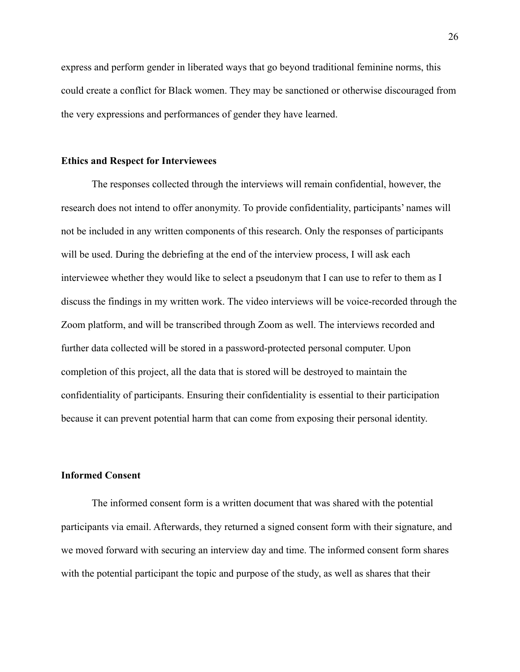express and perform gender in liberated ways that go beyond traditional feminine norms, this could create a conflict for Black women. They may be sanctioned or otherwise discouraged from the very expressions and performances of gender they have learned.

#### <span id="page-27-0"></span>**Ethics and Respect for Interviewees**

The responses collected through the interviews will remain confidential, however, the research does not intend to offer anonymity. To provide confidentiality, participants' names will not be included in any written components of this research. Only the responses of participants will be used. During the debriefing at the end of the interview process, I will ask each interviewee whether they would like to select a pseudonym that I can use to refer to them as I discuss the findings in my written work. The video interviews will be voice-recorded through the Zoom platform, and will be transcribed through Zoom as well. The interviews recorded and further data collected will be stored in a password-protected personal computer. Upon completion of this project, all the data that is stored will be destroyed to maintain the confidentiality of participants. Ensuring their confidentiality is essential to their participation because it can prevent potential harm that can come from exposing their personal identity.

### <span id="page-27-1"></span>**Informed Consent**

The informed consent form is a written document that was shared with the potential participants via email. Afterwards, they returned a signed consent form with their signature, and we moved forward with securing an interview day and time. The informed consent form shares with the potential participant the topic and purpose of the study, as well as shares that their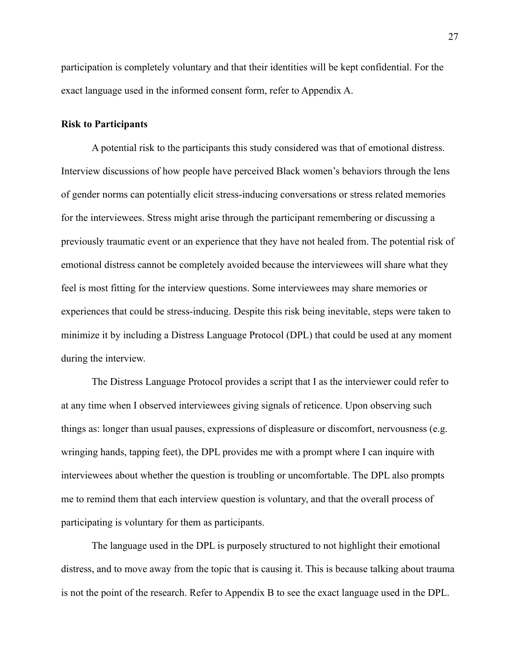participation is completely voluntary and that their identities will be kept confidential. For the exact language used in the informed consent form, refer to Appendix A.

#### <span id="page-28-0"></span>**Risk to Participants**

A potential risk to the participants this study considered was that of emotional distress. Interview discussions of how people have perceived Black women's behaviors through the lens of gender norms can potentially elicit stress-inducing conversations or stress related memories for the interviewees. Stress might arise through the participant remembering or discussing a previously traumatic event or an experience that they have not healed from. The potential risk of emotional distress cannot be completely avoided because the interviewees will share what they feel is most fitting for the interview questions. Some interviewees may share memories or experiences that could be stress-inducing. Despite this risk being inevitable, steps were taken to minimize it by including a Distress Language Protocol (DPL) that could be used at any moment during the interview.

The Distress Language Protocol provides a script that I as the interviewer could refer to at any time when I observed interviewees giving signals of reticence. Upon observing such things as: longer than usual pauses, expressions of displeasure or discomfort, nervousness (e.g. wringing hands, tapping feet), the DPL provides me with a prompt where I can inquire with interviewees about whether the question is troubling or uncomfortable. The DPL also prompts me to remind them that each interview question is voluntary, and that the overall process of participating is voluntary for them as participants.

The language used in the DPL is purposely structured to not highlight their emotional distress, and to move away from the topic that is causing it. This is because talking about trauma is not the point of the research. Refer to Appendix B to see the exact language used in the DPL.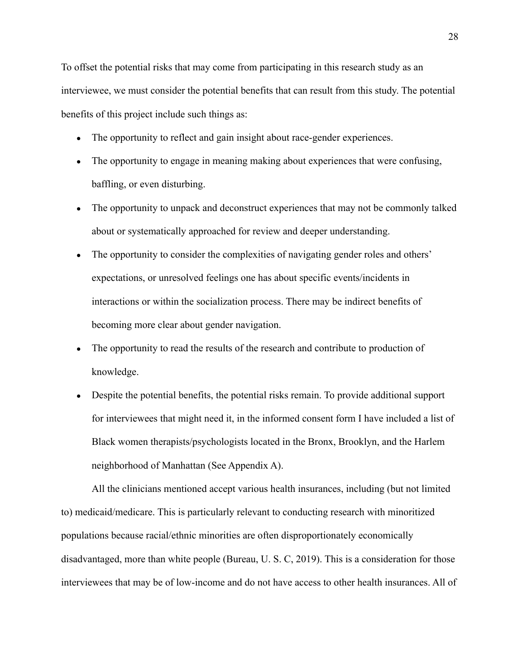To offset the potential risks that may come from participating in this research study as an interviewee, we must consider the potential benefits that can result from this study. The potential benefits of this project include such things as:

- The opportunity to reflect and gain insight about race-gender experiences.
- The opportunity to engage in meaning making about experiences that were confusing, baffling, or even disturbing.
- The opportunity to unpack and deconstruct experiences that may not be commonly talked about or systematically approached for review and deeper understanding.
- The opportunity to consider the complexities of navigating gender roles and others' expectations, or unresolved feelings one has about specific events/incidents in interactions or within the socialization process. There may be indirect benefits of becoming more clear about gender navigation.
- The opportunity to read the results of the research and contribute to production of knowledge.
- Despite the potential benefits, the potential risks remain. To provide additional support for interviewees that might need it, in the informed consent form I have included a list of Black women therapists/psychologists located in the Bronx, Brooklyn, and the Harlem neighborhood of Manhattan (See Appendix A).

All the clinicians mentioned accept various health insurances, including (but not limited to) medicaid/medicare. This is particularly relevant to conducting research with minoritized populations because racial/ethnic minorities are often disproportionately economically disadvantaged, more than white people (Bureau, U. S. C, 2019). This is a consideration for those interviewees that may be of low-income and do not have access to other health insurances. All of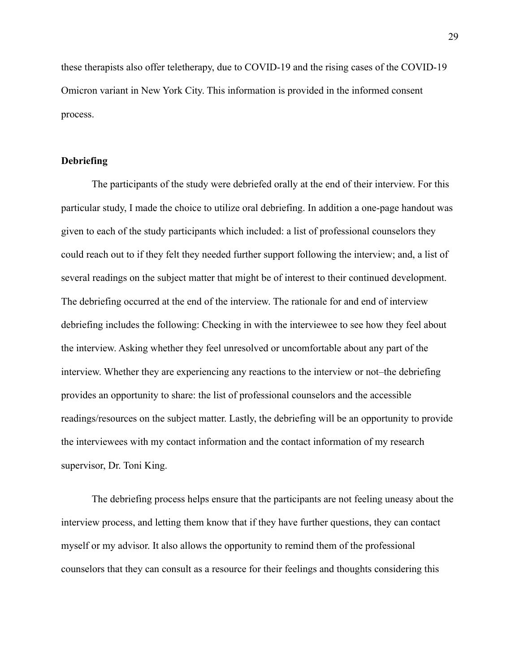these therapists also offer teletherapy, due to COVID-19 and the rising cases of the COVID-19 Omicron variant in New York City. This information is provided in the informed consent process.

#### <span id="page-30-0"></span>**Debriefing**

The participants of the study were debriefed orally at the end of their interview. For this particular study, I made the choice to utilize oral debriefing. In addition a one-page handout was given to each of the study participants which included: a list of professional counselors they could reach out to if they felt they needed further support following the interview; and, a list of several readings on the subject matter that might be of interest to their continued development. The debriefing occurred at the end of the interview. The rationale for and end of interview debriefing includes the following: Checking in with the interviewee to see how they feel about the interview. Asking whether they feel unresolved or uncomfortable about any part of the interview. Whether they are experiencing any reactions to the interview or not–the debriefing provides an opportunity to share: the list of professional counselors and the accessible readings/resources on the subject matter. Lastly, the debriefing will be an opportunity to provide the interviewees with my contact information and the contact information of my research supervisor, Dr. Toni King.

The debriefing process helps ensure that the participants are not feeling uneasy about the interview process, and letting them know that if they have further questions, they can contact myself or my advisor. It also allows the opportunity to remind them of the professional counselors that they can consult as a resource for their feelings and thoughts considering this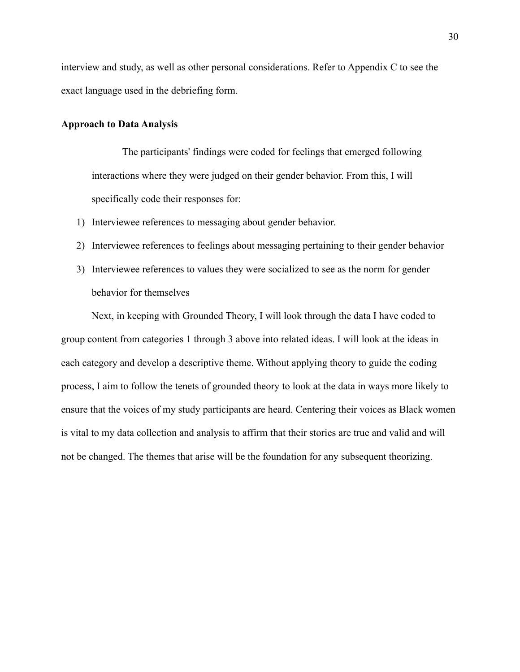interview and study, as well as other personal considerations. Refer to Appendix C to see the exact language used in the debriefing form.

#### <span id="page-31-0"></span>**Approach to Data Analysis**

The participants' findings were coded for feelings that emerged following interactions where they were judged on their gender behavior. From this, I will specifically code their responses for:

- 1) Interviewee references to messaging about gender behavior.
- 2) Interviewee references to feelings about messaging pertaining to their gender behavior
- 3) Interviewee references to values they were socialized to see as the norm for gender behavior for themselves

Next, in keeping with Grounded Theory, I will look through the data I have coded to group content from categories 1 through 3 above into related ideas. I will look at the ideas in each category and develop a descriptive theme. Without applying theory to guide the coding process, I aim to follow the tenets of grounded theory to look at the data in ways more likely to ensure that the voices of my study participants are heard. Centering their voices as Black women is vital to my data collection and analysis to affirm that their stories are true and valid and will not be changed. The themes that arise will be the foundation for any subsequent theorizing.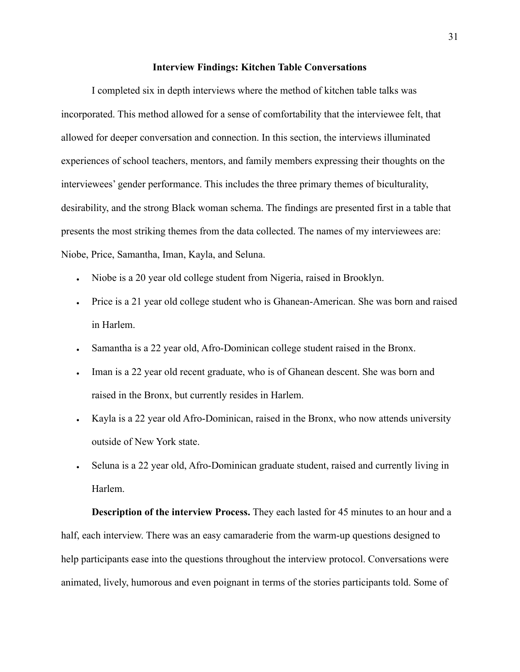#### **Interview Findings: Kitchen Table Conversations**

<span id="page-32-0"></span>I completed six in depth interviews where the method of kitchen table talks was incorporated. This method allowed for a sense of comfortability that the interviewee felt, that allowed for deeper conversation and connection. In this section, the interviews illuminated experiences of school teachers, mentors, and family members expressing their thoughts on the interviewees' gender performance. This includes the three primary themes of biculturality, desirability, and the strong Black woman schema. The findings are presented first in a table that presents the most striking themes from the data collected. The names of my interviewees are: Niobe, Price, Samantha, Iman, Kayla, and Seluna.

- Niobe is a 20 year old college student from Nigeria, raised in Brooklyn.
- Price is a 21 year old college student who is Ghanean-American. She was born and raised in Harlem.
- Samantha is a 22 year old, Afro-Dominican college student raised in the Bronx.
- Iman is a 22 year old recent graduate, who is of Ghanean descent. She was born and raised in the Bronx, but currently resides in Harlem.
- Kayla is a 22 year old Afro-Dominican, raised in the Bronx, who now attends university outside of New York state.
- Seluna is a 22 year old, Afro-Dominican graduate student, raised and currently living in Harlem.

**Description of the interview Process.** They each lasted for 45 minutes to an hour and a half, each interview. There was an easy camaraderie from the warm-up questions designed to help participants ease into the questions throughout the interview protocol. Conversations were animated, lively, humorous and even poignant in terms of the stories participants told. Some of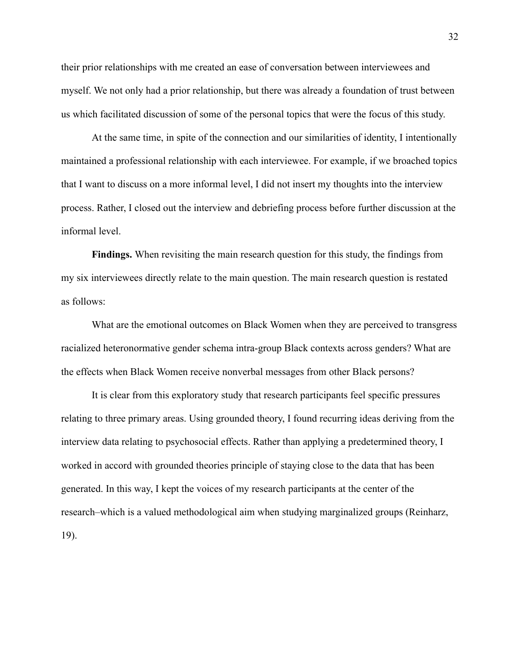their prior relationships with me created an ease of conversation between interviewees and myself. We not only had a prior relationship, but there was already a foundation of trust between us which facilitated discussion of some of the personal topics that were the focus of this study.

At the same time, in spite of the connection and our similarities of identity, I intentionally maintained a professional relationship with each interviewee. For example, if we broached topics that I want to discuss on a more informal level, I did not insert my thoughts into the interview process. Rather, I closed out the interview and debriefing process before further discussion at the informal level.

**Findings.** When revisiting the main research question for this study, the findings from my six interviewees directly relate to the main question. The main research question is restated as follows:

What are the emotional outcomes on Black Women when they are perceived to transgress racialized heteronormative gender schema intra-group Black contexts across genders? What are the effects when Black Women receive nonverbal messages from other Black persons?

It is clear from this exploratory study that research participants feel specific pressures relating to three primary areas. Using grounded theory, I found recurring ideas deriving from the interview data relating to psychosocial effects. Rather than applying a predetermined theory, I worked in accord with grounded theories principle of staying close to the data that has been generated. In this way, I kept the voices of my research participants at the center of the research–which is a valued methodological aim when studying marginalized groups (Reinharz, 19).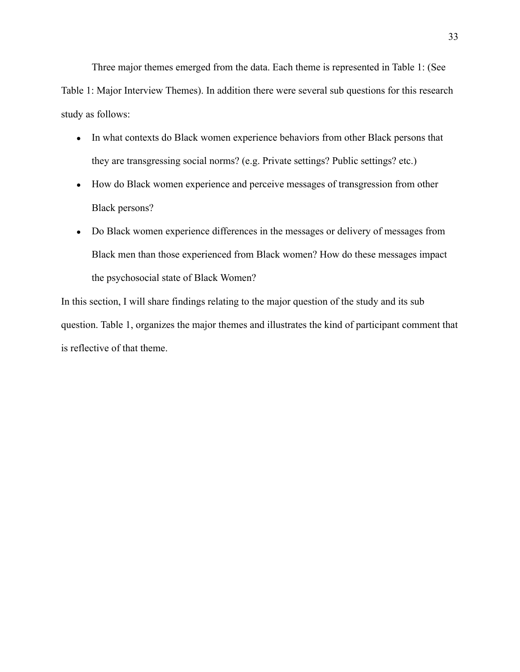Three major themes emerged from the data. Each theme is represented in Table 1: (See Table 1: Major Interview Themes). In addition there were several sub questions for this research study as follows:

- In what contexts do Black women experience behaviors from other Black persons that they are transgressing social norms? (e.g. Private settings? Public settings? etc.)
- How do Black women experience and perceive messages of transgression from other Black persons?
- Do Black women experience differences in the messages or delivery of messages from Black men than those experienced from Black women? How do these messages impact the psychosocial state of Black Women?

In this section, I will share findings relating to the major question of the study and its sub question. Table 1, organizes the major themes and illustrates the kind of participant comment that is reflective of that theme.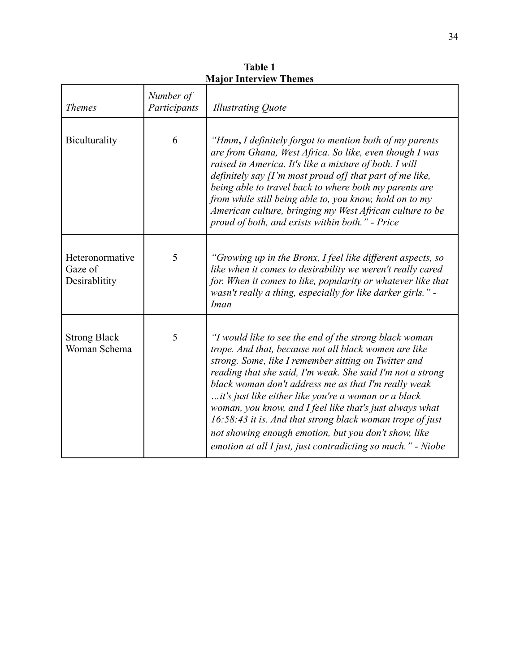| <b>Themes</b>                               | Number of<br>Participants | <b>Illustrating Quote</b>                                                                                                                                                                                                                                                                                                                                                                                                                                                                                                                                                                             |
|---------------------------------------------|---------------------------|-------------------------------------------------------------------------------------------------------------------------------------------------------------------------------------------------------------------------------------------------------------------------------------------------------------------------------------------------------------------------------------------------------------------------------------------------------------------------------------------------------------------------------------------------------------------------------------------------------|
| Biculturality                               | 6                         | "Hmm, I definitely forgot to mention both of my parents<br>are from Ghana, West Africa. So like, even though I was<br>raised in America. It's like a mixture of both. I will<br>definitely say $\prod$ 'm most proud of] that part of me like,<br>being able to travel back to where both my parents are<br>from while still being able to, you know, hold on to my<br>American culture, bringing my West African culture to be<br>proud of both, and exists within both." - Price                                                                                                                    |
| Heteronormative<br>Gaze of<br>Desirablitity | 5                         | "Growing up in the Bronx, I feel like different aspects, so<br>like when it comes to desirability we weren't really cared<br>for. When it comes to like, popularity or whatever like that<br>wasn't really a thing, especially for like darker girls." -<br>Iman                                                                                                                                                                                                                                                                                                                                      |
| <b>Strong Black</b><br>Woman Schema         | 5                         | "I would like to see the end of the strong black woman<br>trope. And that, because not all black women are like<br>strong. Some, like I remember sitting on Twitter and<br>reading that she said, I'm weak. She said I'm not a strong<br>black woman don't address me as that I'm really weak<br>it's just like either like you're a woman or a black<br>woman, you know, and I feel like that's just always what<br>16:58:43 it is. And that strong black woman trope of just<br>not showing enough emotion, but you don't show, like<br>emotion at all I just, just contradicting so much." - Niobe |

**Table 1 Major Interview Themes**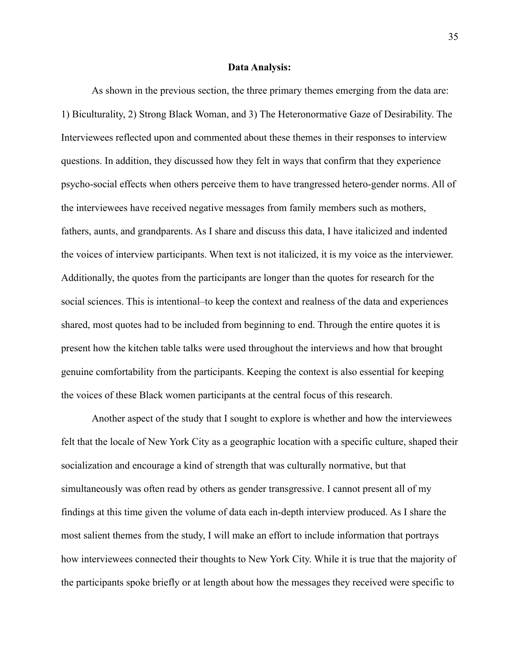#### **Data Analysis:**

As shown in the previous section, the three primary themes emerging from the data are: 1) Biculturality, 2) Strong Black Woman, and 3) The Heteronormative Gaze of Desirability. The Interviewees reflected upon and commented about these themes in their responses to interview questions. In addition, they discussed how they felt in ways that confirm that they experience psycho-social effects when others perceive them to have trangressed hetero-gender norms. All of the interviewees have received negative messages from family members such as mothers, fathers, aunts, and grandparents. As I share and discuss this data, I have italicized and indented the voices of interview participants. When text is not italicized, it is my voice as the interviewer. Additionally, the quotes from the participants are longer than the quotes for research for the social sciences. This is intentional–to keep the context and realness of the data and experiences shared, most quotes had to be included from beginning to end. Through the entire quotes it is present how the kitchen table talks were used throughout the interviews and how that brought genuine comfortability from the participants. Keeping the context is also essential for keeping the voices of these Black women participants at the central focus of this research.

Another aspect of the study that I sought to explore is whether and how the interviewees felt that the locale of New York City as a geographic location with a specific culture, shaped their socialization and encourage a kind of strength that was culturally normative, but that simultaneously was often read by others as gender transgressive. I cannot present all of my findings at this time given the volume of data each in-depth interview produced. As I share the most salient themes from the study, I will make an effort to include information that portrays how interviewees connected their thoughts to New York City. While it is true that the majority of the participants spoke briefly or at length about how the messages they received were specific to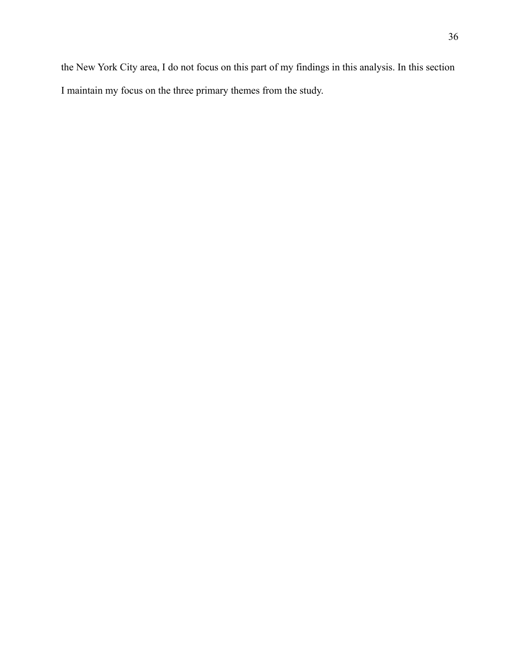the New York City area, I do not focus on this part of my findings in this analysis. In this section I maintain my focus on the three primary themes from the study.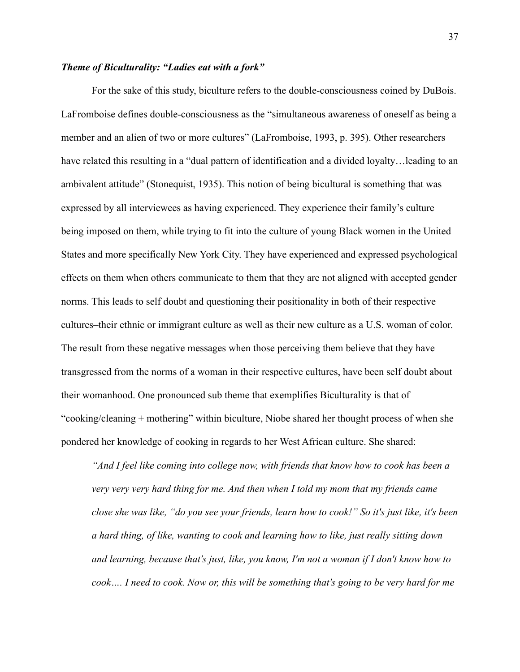# *Theme of Biculturality: "Ladies eat with a fork"*

For the sake of this study, biculture refers to the double-consciousness coined by DuBois. LaFromboise defines double-consciousness as the "simultaneous awareness of oneself as being a member and an alien of two or more cultures" (LaFromboise, 1993, p. 395). Other researchers have related this resulting in a "dual pattern of identification and a divided loyalty…leading to an ambivalent attitude" (Stonequist, 1935). This notion of being bicultural is something that was expressed by all interviewees as having experienced. They experience their family's culture being imposed on them, while trying to fit into the culture of young Black women in the United States and more specifically New York City. They have experienced and expressed psychological effects on them when others communicate to them that they are not aligned with accepted gender norms. This leads to self doubt and questioning their positionality in both of their respective cultures–their ethnic or immigrant culture as well as their new culture as a U.S. woman of color. The result from these negative messages when those perceiving them believe that they have transgressed from the norms of a woman in their respective cultures, have been self doubt about their womanhood. One pronounced sub theme that exemplifies Biculturality is that of "cooking/cleaning + mothering" within biculture, Niobe shared her thought process of when she pondered her knowledge of cooking in regards to her West African culture. She shared:

*"And I feel like coming into college now, with friends that know how to cook has been a very very very hard thing for me. And then when I told my mom that my friends came close she was like, "do you see your friends, learn how to cook!" So it's just like, it's been a hard thing, of like, wanting to cook and learning how to like, just really sitting down and learning, because that's just, like, you know, I'm not a woman if I don't know how to cook…. I need to cook. Now or, this will be something that's going to be very hard for me*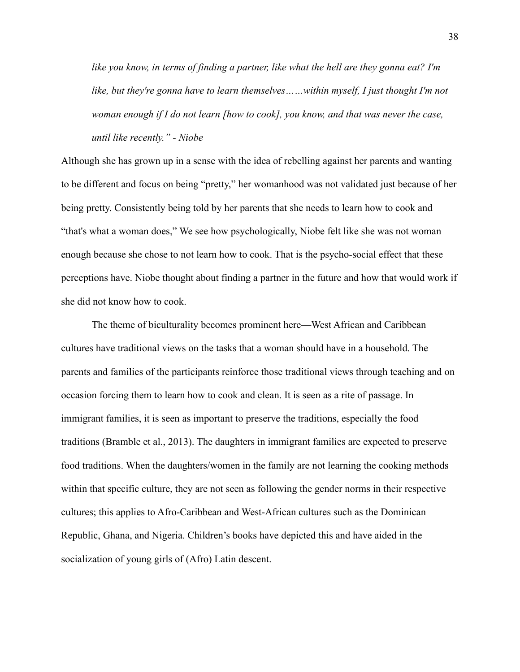*like you know, in terms of finding a partner, like what the hell are they gonna eat? I'm like, but they're gonna have to learn themselves……within myself, I just thought I'm not woman enough if I do not learn [how to cook], you know, and that was never the case, until like recently." - Niobe*

Although she has grown up in a sense with the idea of rebelling against her parents and wanting to be different and focus on being "pretty," her womanhood was not validated just because of her being pretty. Consistently being told by her parents that she needs to learn how to cook and "that's what a woman does," We see how psychologically, Niobe felt like she was not woman enough because she chose to not learn how to cook. That is the psycho-social effect that these perceptions have. Niobe thought about finding a partner in the future and how that would work if she did not know how to cook.

The theme of biculturality becomes prominent here—West African and Caribbean cultures have traditional views on the tasks that a woman should have in a household. The parents and families of the participants reinforce those traditional views through teaching and on occasion forcing them to learn how to cook and clean. It is seen as a rite of passage. In immigrant families, it is seen as important to preserve the traditions, especially the food traditions (Bramble et al., 2013). The daughters in immigrant families are expected to preserve food traditions. When the daughters/women in the family are not learning the cooking methods within that specific culture, they are not seen as following the gender norms in their respective cultures; this applies to Afro-Caribbean and West-African cultures such as the Dominican Republic, Ghana, and Nigeria. Children's books have depicted this and have aided in the socialization of young girls of (Afro) Latin descent.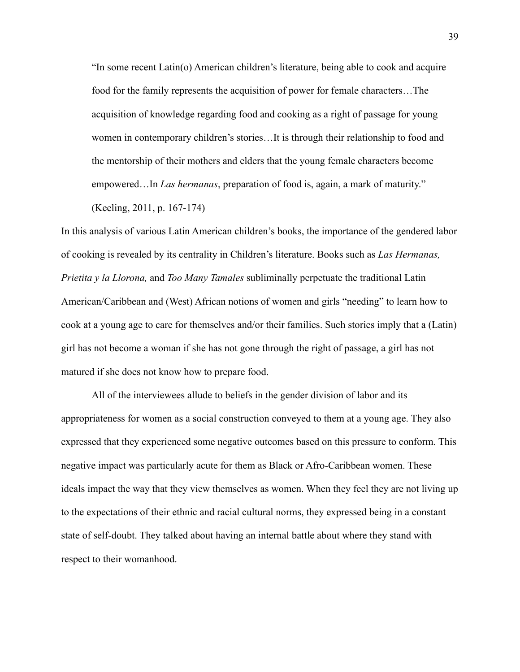"In some recent Latin(o) American children's literature, being able to cook and acquire food for the family represents the acquisition of power for female characters…The acquisition of knowledge regarding food and cooking as a right of passage for young women in contemporary children's stories…It is through their relationship to food and the mentorship of their mothers and elders that the young female characters become empowered…In *Las hermanas*, preparation of food is, again, a mark of maturity."

(Keeling, 2011, p. 167-174)

In this analysis of various Latin American children's books, the importance of the gendered labor of cooking is revealed by its centrality in Children's literature. Books such as *Las Hermanas, Prietita y la Llorona,* and *Too Many Tamales* subliminally perpetuate the traditional Latin American/Caribbean and (West) African notions of women and girls "needing" to learn how to cook at a young age to care for themselves and/or their families. Such stories imply that a (Latin) girl has not become a woman if she has not gone through the right of passage, a girl has not matured if she does not know how to prepare food.

All of the interviewees allude to beliefs in the gender division of labor and its appropriateness for women as a social construction conveyed to them at a young age. They also expressed that they experienced some negative outcomes based on this pressure to conform. This negative impact was particularly acute for them as Black or Afro-Caribbean women. These ideals impact the way that they view themselves as women. When they feel they are not living up to the expectations of their ethnic and racial cultural norms, they expressed being in a constant state of self-doubt. They talked about having an internal battle about where they stand with respect to their womanhood.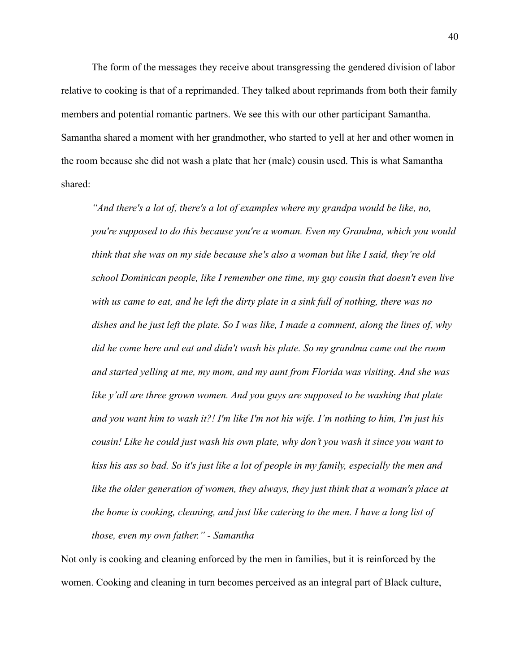The form of the messages they receive about transgressing the gendered division of labor relative to cooking is that of a reprimanded. They talked about reprimands from both their family members and potential romantic partners. We see this with our other participant Samantha. Samantha shared a moment with her grandmother, who started to yell at her and other women in the room because she did not wash a plate that her (male) cousin used. This is what Samantha shared:

*"And there's a lot of, there's a lot of examples where my grandpa would be like, no, you're supposed to do this because you're a woman. Even my Grandma, which you would think that she was on my side because she's also a woman but like I said, they're old school Dominican people, like I remember one time, my guy cousin that doesn't even live with us came to eat, and he left the dirty plate in a sink full of nothing, there was no dishes and he just left the plate. So I was like, I made a comment, along the lines of, why did he come here and eat and didn't wash his plate. So my grandma came out the room and started yelling at me, my mom, and my aunt from Florida was visiting. And she was like y'all are three grown women. And you guys are supposed to be washing that plate and you want him to wash it?! I'm like I'm not his wife. I'm nothing to him, I'm just his cousin! Like he could just wash his own plate, why don't you wash it since you want to kiss his ass so bad. So it's just like a lot of people in my family, especially the men and like the older generation of women, they always, they just think that a woman's place at the home is cooking, cleaning, and just like catering to the men. I have a long list of those, even my own father." - Samantha*

Not only is cooking and cleaning enforced by the men in families, but it is reinforced by the women. Cooking and cleaning in turn becomes perceived as an integral part of Black culture,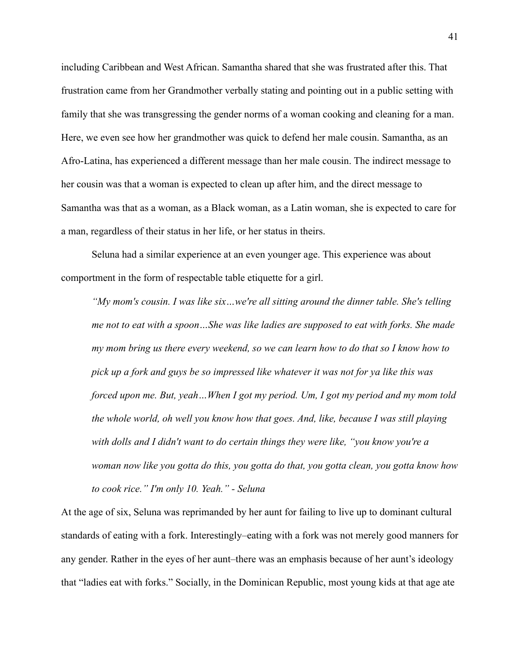including Caribbean and West African. Samantha shared that she was frustrated after this. That frustration came from her Grandmother verbally stating and pointing out in a public setting with family that she was transgressing the gender norms of a woman cooking and cleaning for a man. Here, we even see how her grandmother was quick to defend her male cousin. Samantha, as an Afro-Latina, has experienced a different message than her male cousin. The indirect message to her cousin was that a woman is expected to clean up after him, and the direct message to Samantha was that as a woman, as a Black woman, as a Latin woman, she is expected to care for a man, regardless of their status in her life, or her status in theirs.

Seluna had a similar experience at an even younger age. This experience was about comportment in the form of respectable table etiquette for a girl.

*"My mom's cousin. I was like six…we're all sitting around the dinner table. She's telling me not to eat with a spoon…She was like ladies are supposed to eat with forks. She made my mom bring us there every weekend, so we can learn how to do that so I know how to pick up a fork and guys be so impressed like whatever it was not for ya like this was forced upon me. But, yeah…When I got my period. Um, I got my period and my mom told the whole world, oh well you know how that goes. And, like, because I was still playing with dolls and I didn't want to do certain things they were like, "you know you're a woman now like you gotta do this, you gotta do that, you gotta clean, you gotta know how to cook rice." I'm only 10. Yeah." - Seluna*

At the age of six, Seluna was reprimanded by her aunt for failing to live up to dominant cultural standards of eating with a fork. Interestingly–eating with a fork was not merely good manners for any gender. Rather in the eyes of her aunt–there was an emphasis because of her aunt's ideology that "ladies eat with forks." Socially, in the Dominican Republic, most young kids at that age ate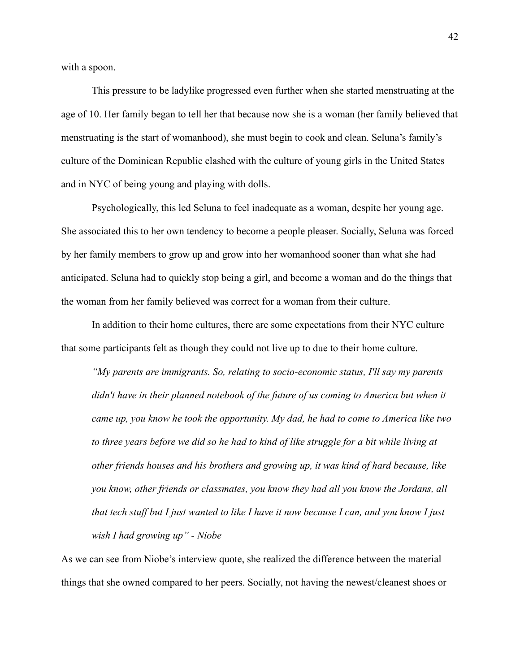with a spoon.

This pressure to be ladylike progressed even further when she started menstruating at the age of 10. Her family began to tell her that because now she is a woman (her family believed that menstruating is the start of womanhood), she must begin to cook and clean. Seluna's family's culture of the Dominican Republic clashed with the culture of young girls in the United States and in NYC of being young and playing with dolls.

Psychologically, this led Seluna to feel inadequate as a woman, despite her young age. She associated this to her own tendency to become a people pleaser. Socially, Seluna was forced by her family members to grow up and grow into her womanhood sooner than what she had anticipated. Seluna had to quickly stop being a girl, and become a woman and do the things that the woman from her family believed was correct for a woman from their culture.

In addition to their home cultures, there are some expectations from their NYC culture that some participants felt as though they could not live up to due to their home culture.

*"My parents are immigrants. So, relating to socio-economic status, I'll say my parents didn't have in their planned notebook of the future of us coming to America but when it came up, you know he took the opportunity. My dad, he had to come to America like two to three years before we did so he had to kind of like struggle for a bit while living at other friends houses and his brothers and growing up, it was kind of hard because, like you know, other friends or classmates, you know they had all you know the Jordans, all that tech stuff but I just wanted to like I have it now because I can, and you know I just wish I had growing up" - Niobe*

As we can see from Niobe's interview quote, she realized the difference between the material things that she owned compared to her peers. Socially, not having the newest/cleanest shoes or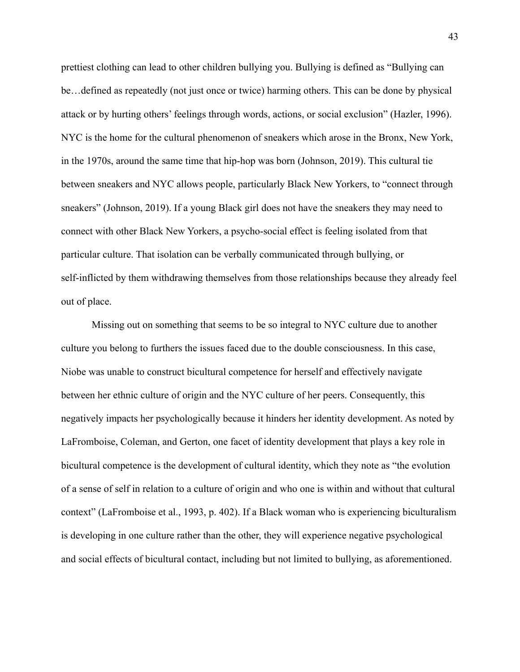prettiest clothing can lead to other children bullying you. Bullying is defined as "Bullying can be…defined as repeatedly (not just once or twice) harming others. This can be done by physical attack or by hurting others' feelings through words, actions, or social exclusion" (Hazler, 1996). NYC is the home for the cultural phenomenon of sneakers which arose in the Bronx, New York, in the 1970s, around the same time that hip-hop was born (Johnson, 2019). This cultural tie between sneakers and NYC allows people, particularly Black New Yorkers, to "connect through sneakers" (Johnson, 2019). If a young Black girl does not have the sneakers they may need to connect with other Black New Yorkers, a psycho-social effect is feeling isolated from that particular culture. That isolation can be verbally communicated through bullying, or self-inflicted by them withdrawing themselves from those relationships because they already feel out of place.

Missing out on something that seems to be so integral to NYC culture due to another culture you belong to furthers the issues faced due to the double consciousness. In this case, Niobe was unable to construct bicultural competence for herself and effectively navigate between her ethnic culture of origin and the NYC culture of her peers. Consequently, this negatively impacts her psychologically because it hinders her identity development. As noted by LaFromboise, Coleman, and Gerton, one facet of identity development that plays a key role in bicultural competence is the development of cultural identity, which they note as "the evolution of a sense of self in relation to a culture of origin and who one is within and without that cultural context" (LaFromboise et al., 1993, p. 402). If a Black woman who is experiencing biculturalism is developing in one culture rather than the other, they will experience negative psychological and social effects of bicultural contact, including but not limited to bullying, as aforementioned.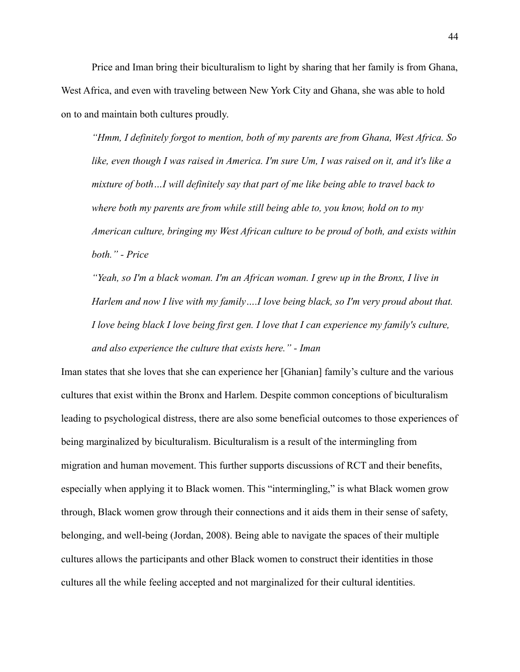Price and Iman bring their biculturalism to light by sharing that her family is from Ghana, West Africa, and even with traveling between New York City and Ghana, she was able to hold on to and maintain both cultures proudly.

*"Hmm, I definitely forgot to mention, both of my parents are from Ghana, West Africa. So like, even though I was raised in America. I'm sure Um, I was raised on it, and it's like a mixture of both…I will definitely say that part of me like being able to travel back to where both my parents are from while still being able to, you know, hold on to my American culture, bringing my West African culture to be proud of both, and exists within both." - Price*

*"Yeah, so I'm a black woman. I'm an African woman. I grew up in the Bronx, I live in Harlem and now I live with my family….I love being black, so I'm very proud about that. I love being black I love being first gen. I love that I can experience my family's culture, and also experience the culture that exists here." - Iman*

Iman states that she loves that she can experience her [Ghanian] family's culture and the various cultures that exist within the Bronx and Harlem. Despite common conceptions of biculturalism leading to psychological distress, there are also some beneficial outcomes to those experiences of being marginalized by biculturalism. Biculturalism is a result of the intermingling from migration and human movement. This further supports discussions of RCT and their benefits, especially when applying it to Black women. This "intermingling," is what Black women grow through, Black women grow through their connections and it aids them in their sense of safety, belonging, and well-being (Jordan, 2008). Being able to navigate the spaces of their multiple cultures allows the participants and other Black women to construct their identities in those cultures all the while feeling accepted and not marginalized for their cultural identities.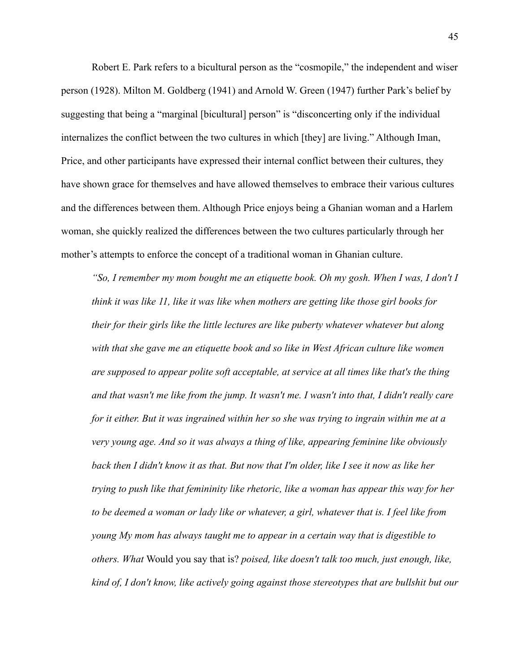Robert E. Park refers to a bicultural person as the "cosmopile," the independent and wiser person (1928). Milton M. Goldberg (1941) and Arnold W. Green (1947) further Park's belief by suggesting that being a "marginal [bicultural] person" is "disconcerting only if the individual internalizes the conflict between the two cultures in which [they] are living." Although Iman, Price, and other participants have expressed their internal conflict between their cultures, they have shown grace for themselves and have allowed themselves to embrace their various cultures and the differences between them. Although Price enjoys being a Ghanian woman and a Harlem woman, she quickly realized the differences between the two cultures particularly through her mother's attempts to enforce the concept of a traditional woman in Ghanian culture.

*"So, I remember my mom bought me an etiquette book. Oh my gosh. When I was, I don't I think it was like 11, like it was like when mothers are getting like those girl books for their for their girls like the little lectures are like puberty whatever whatever but along with that she gave me an etiquette book and so like in West African culture like women are supposed to appear polite soft acceptable, at service at all times like that's the thing and that wasn't me like from the jump. It wasn't me. I wasn't into that, I didn't really care for it either. But it was ingrained within her so she was trying to ingrain within me at a very young age. And so it was always a thing of like, appearing feminine like obviously back then I didn't know it as that. But now that I'm older, like I see it now as like her trying to push like that femininity like rhetoric, like a woman has appear this way for her to be deemed a woman or lady like or whatever, a girl, whatever that is. I feel like from young My mom has always taught me to appear in a certain way that is digestible to others. What* Would you say that is? *poised, like doesn't talk too much, just enough, like, kind of, I don't know, like actively going against those stereotypes that are bullshit but our*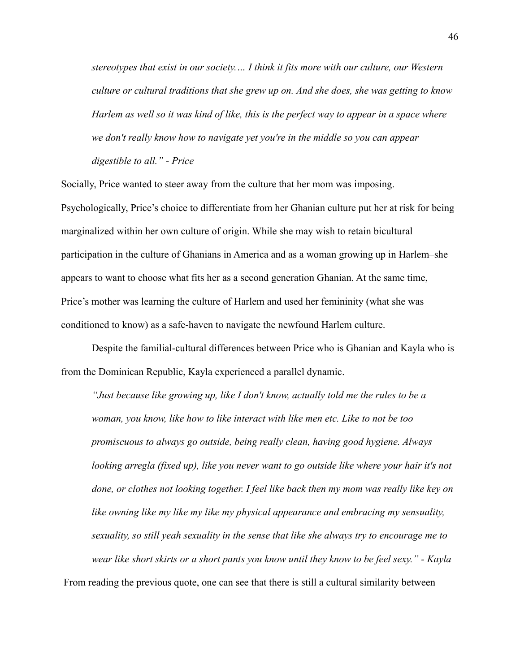*stereotypes that exist in our society.… I think it fits more with our culture, our Western culture or cultural traditions that she grew up on. And she does, she was getting to know Harlem as well so it was kind of like, this is the perfect way to appear in a space where we don't really know how to navigate yet you're in the middle so you can appear digestible to all." - Price*

Socially, Price wanted to steer away from the culture that her mom was imposing. Psychologically, Price's choice to differentiate from her Ghanian culture put her at risk for being marginalized within her own culture of origin. While she may wish to retain bicultural participation in the culture of Ghanians in America and as a woman growing up in Harlem–she appears to want to choose what fits her as a second generation Ghanian. At the same time, Price's mother was learning the culture of Harlem and used her femininity (what she was conditioned to know) as a safe-haven to navigate the newfound Harlem culture.

Despite the familial-cultural differences between Price who is Ghanian and Kayla who is from the Dominican Republic, Kayla experienced a parallel dynamic.

*"Just because like growing up, like I don't know, actually told me the rules to be a woman, you know, like how to like interact with like men etc. Like to not be too promiscuous to always go outside, being really clean, having good hygiene. Always looking arregla (fixed up), like you never want to go outside like where your hair it's not done, or clothes not looking together. I feel like back then my mom was really like key on like owning like my like my like my physical appearance and embracing my sensuality, sexuality, so still yeah sexuality in the sense that like she always try to encourage me to wear like short skirts or a short pants you know until they know to be feel sexy." - Kayla*

From reading the previous quote, one can see that there is still a cultural similarity between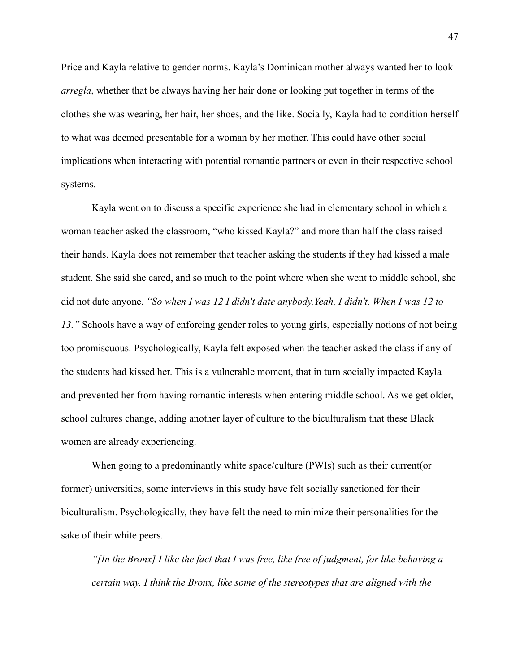Price and Kayla relative to gender norms. Kayla's Dominican mother always wanted her to look *arregla*, whether that be always having her hair done or looking put together in terms of the clothes she was wearing, her hair, her shoes, and the like. Socially, Kayla had to condition herself to what was deemed presentable for a woman by her mother. This could have other social implications when interacting with potential romantic partners or even in their respective school systems.

Kayla went on to discuss a specific experience she had in elementary school in which a woman teacher asked the classroom, "who kissed Kayla?" and more than half the class raised their hands. Kayla does not remember that teacher asking the students if they had kissed a male student. She said she cared, and so much to the point where when she went to middle school, she did not date anyone. *"So when I was 12 I didn't date anybody.Yeah, I didn't. When I was 12 to 13."* Schools have a way of enforcing gender roles to young girls, especially notions of not being too promiscuous. Psychologically, Kayla felt exposed when the teacher asked the class if any of the students had kissed her. This is a vulnerable moment, that in turn socially impacted Kayla and prevented her from having romantic interests when entering middle school. As we get older, school cultures change, adding another layer of culture to the biculturalism that these Black women are already experiencing.

When going to a predominantly white space/culture (PWIs) such as their current(or former) universities, some interviews in this study have felt socially sanctioned for their biculturalism. Psychologically, they have felt the need to minimize their personalities for the sake of their white peers.

*"[In the Bronx] I like the fact that I was free, like free of judgment, for like behaving a certain way. I think the Bronx, like some of the stereotypes that are aligned with the*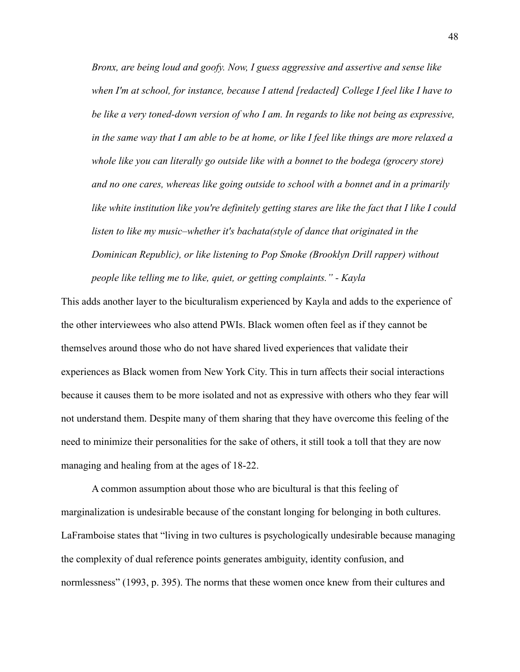*Bronx, are being loud and goofy. Now, I guess aggressive and assertive and sense like when I'm at school, for instance, because I attend [redacted] College I feel like I have to be like a very toned-down version of who I am. In regards to like not being as expressive, in the same way that I am able to be at home, or like I feel like things are more relaxed a whole like you can literally go outside like with a bonnet to the bodega (grocery store) and no one cares, whereas like going outside to school with a bonnet and in a primarily like white institution like you're definitely getting stares are like the fact that I like I could listen to like my music–whether it's bachata(style of dance that originated in the Dominican Republic), or like listening to Pop Smoke (Brooklyn Drill rapper) without people like telling me to like, quiet, or getting complaints." - Kayla*

This adds another layer to the biculturalism experienced by Kayla and adds to the experience of the other interviewees who also attend PWIs. Black women often feel as if they cannot be themselves around those who do not have shared lived experiences that validate their experiences as Black women from New York City. This in turn affects their social interactions because it causes them to be more isolated and not as expressive with others who they fear will not understand them. Despite many of them sharing that they have overcome this feeling of the need to minimize their personalities for the sake of others, it still took a toll that they are now managing and healing from at the ages of 18-22.

A common assumption about those who are bicultural is that this feeling of marginalization is undesirable because of the constant longing for belonging in both cultures. LaFramboise states that "living in two cultures is psychologically undesirable because managing the complexity of dual reference points generates ambiguity, identity confusion, and normlessness" (1993, p. 395). The norms that these women once knew from their cultures and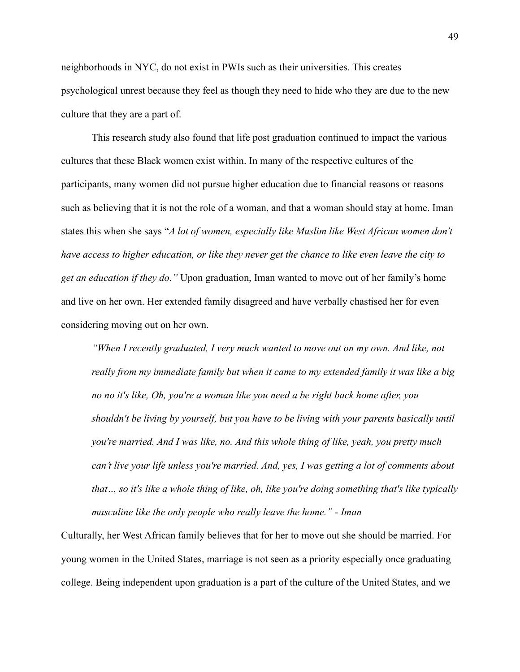neighborhoods in NYC, do not exist in PWIs such as their universities. This creates psychological unrest because they feel as though they need to hide who they are due to the new culture that they are a part of.

This research study also found that life post graduation continued to impact the various cultures that these Black women exist within. In many of the respective cultures of the participants, many women did not pursue higher education due to financial reasons or reasons such as believing that it is not the role of a woman, and that a woman should stay at home. Iman states this when she says "*A lot of women, especially like Muslim like West African women don't have access to higher education, or like they never get the chance to like even leave the city to get an education if they do."* Upon graduation, Iman wanted to move out of her family's home and live on her own. Her extended family disagreed and have verbally chastised her for even considering moving out on her own.

*"When I recently graduated, I very much wanted to move out on my own. And like, not really from my immediate family but when it came to my extended family it was like a big no no it's like, Oh, you're a woman like you need a be right back home after, you shouldn't be living by yourself, but you have to be living with your parents basically until you're married. And I was like, no. And this whole thing of like, yeah, you pretty much can't live your life unless you're married. And, yes, I was getting a lot of comments about that… so it's like a whole thing of like, oh, like you're doing something that's like typically masculine like the only people who really leave the home." - Iman*

Culturally, her West African family believes that for her to move out she should be married. For young women in the United States, marriage is not seen as a priority especially once graduating college. Being independent upon graduation is a part of the culture of the United States, and we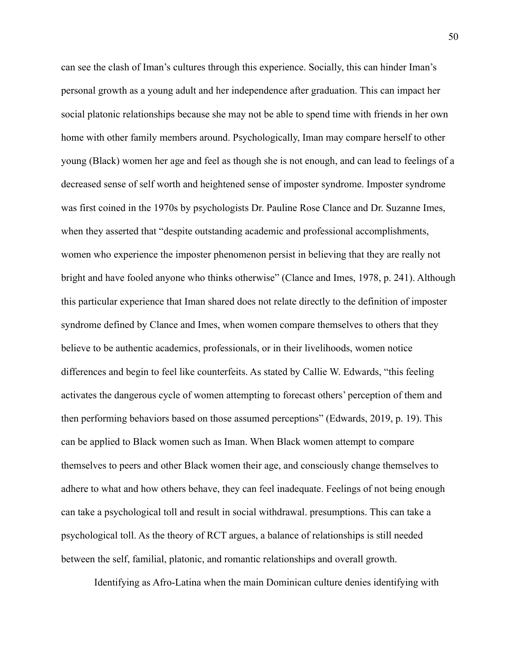can see the clash of Iman's cultures through this experience. Socially, this can hinder Iman's personal growth as a young adult and her independence after graduation. This can impact her social platonic relationships because she may not be able to spend time with friends in her own home with other family members around. Psychologically, Iman may compare herself to other young (Black) women her age and feel as though she is not enough, and can lead to feelings of a decreased sense of self worth and heightened sense of imposter syndrome. Imposter syndrome was first coined in the 1970s by psychologists Dr. Pauline Rose Clance and Dr. Suzanne Imes, when they asserted that "despite outstanding academic and professional accomplishments, women who experience the imposter phenomenon persist in believing that they are really not bright and have fooled anyone who thinks otherwise" (Clance and Imes, 1978, p. 241). Although this particular experience that Iman shared does not relate directly to the definition of imposter syndrome defined by Clance and Imes, when women compare themselves to others that they believe to be authentic academics, professionals, or in their livelihoods, women notice differences and begin to feel like counterfeits. As stated by Callie W. Edwards, "this feeling activates the dangerous cycle of women attempting to forecast others' perception of them and then performing behaviors based on those assumed perceptions" (Edwards, 2019, p. 19). This can be applied to Black women such as Iman. When Black women attempt to compare themselves to peers and other Black women their age, and consciously change themselves to adhere to what and how others behave, they can feel inadequate. Feelings of not being enough can take a psychological toll and result in social withdrawal. presumptions. This can take a psychological toll. As the theory of RCT argues, a balance of relationships is still needed between the self, familial, platonic, and romantic relationships and overall growth.

Identifying as Afro-Latina when the main Dominican culture denies identifying with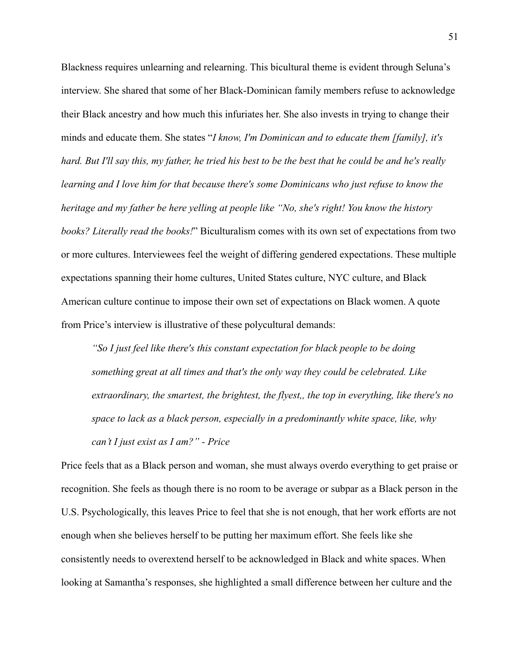Blackness requires unlearning and relearning. This bicultural theme is evident through Seluna's interview. She shared that some of her Black-Dominican family members refuse to acknowledge their Black ancestry and how much this infuriates her. She also invests in trying to change their minds and educate them. She states "*I know, I'm Dominican and to educate them [family], it's hard. But I'll say this, my father, he tried his best to be the best that he could be and he's really learning and I love him for that because there's some Dominicans who just refuse to know the heritage and my father be here yelling at people like "No, she's right! You know the history books? Literally read the books!*" Biculturalism comes with its own set of expectations from two or more cultures. Interviewees feel the weight of differing gendered expectations. These multiple expectations spanning their home cultures, United States culture, NYC culture, and Black American culture continue to impose their own set of expectations on Black women. A quote from Price's interview is illustrative of these polycultural demands:

*"So I just feel like there's this constant expectation for black people to be doing something great at all times and that's the only way they could be celebrated. Like extraordinary, the smartest, the brightest, the flyest,, the top in everything, like there's no space to lack as a black person, especially in a predominantly white space, like, why can't I just exist as I am?" - Price*

Price feels that as a Black person and woman, she must always overdo everything to get praise or recognition. She feels as though there is no room to be average or subpar as a Black person in the U.S. Psychologically, this leaves Price to feel that she is not enough, that her work efforts are not enough when she believes herself to be putting her maximum effort. She feels like she consistently needs to overextend herself to be acknowledged in Black and white spaces. When looking at Samantha's responses, she highlighted a small difference between her culture and the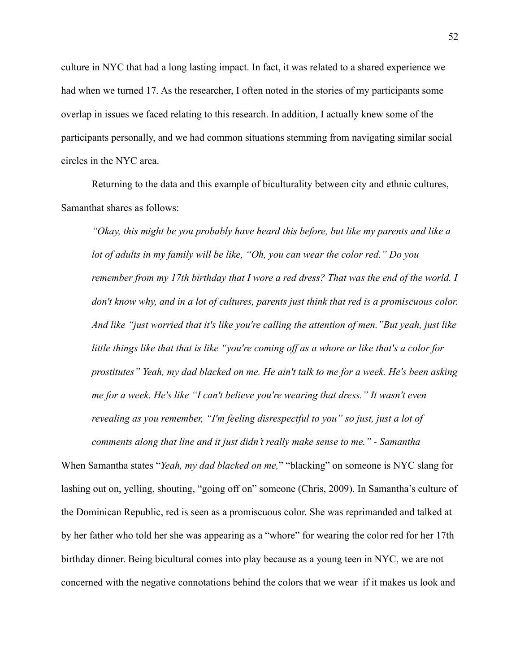culture in NYC that had a long lasting impact. In fact, it was related to a shared experience we had when we turned 17. As the researcher, I often noted in the stories of my participants some overlap in issues we faced relating to this research. In addition, I actually knew some of the participants personally, and we had common situations stemming from navigating similar social circles in the NYC area.

Returning to the data and this example of biculturality between city and ethnic cultures, Samanthat shares as follows:

*"Okay, this might be you probably have heard this before, but like my parents and like a lot of adults in my family will be like, "Oh, you can wear the color red." Do you remember from my 17th birthday that I wore a red dress? That was the end of the world. I don't know why, and in a lot of cultures, parents just think that red is a promiscuous color. And like "just worried that it's like you're calling the attention of men."But yeah, just like little things like that that is like "you're coming off as a whore or like that's a color for prostitutes" Yeah, my dad blacked on me. He ain't talk to me for a week. He's been asking me for a week. He's like "I can't believe you're wearing that dress." It wasn't even revealing as you remember, "I'm feeling disrespectful to you" so just, just a lot of comments along that line and it just didn't really make sense to me." - Samantha*

When Samantha states "*Yeah, my dad blacked on me,*" "blacking" on someone is NYC slang for lashing out on, yelling, shouting, "going off on" someone (Chris, 2009). In Samantha's culture of the Dominican Republic, red is seen as a promiscuous color. She was reprimanded and talked at by her father who told her she was appearing as a "whore" for wearing the color red for her 17th birthday dinner. Being bicultural comes into play because as a young teen in NYC, we are not concerned with the negative connotations behind the colors that we wear–if it makes us look and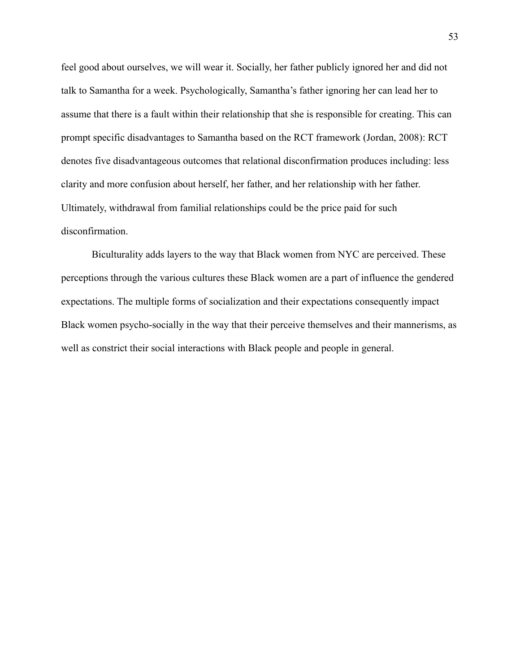feel good about ourselves, we will wear it. Socially, her father publicly ignored her and did not talk to Samantha for a week. Psychologically, Samantha's father ignoring her can lead her to assume that there is a fault within their relationship that she is responsible for creating. This can prompt specific disadvantages to Samantha based on the RCT framework (Jordan, 2008): RCT denotes five disadvantageous outcomes that relational disconfirmation produces including: less clarity and more confusion about herself, her father, and her relationship with her father. Ultimately, withdrawal from familial relationships could be the price paid for such disconfirmation.

Biculturality adds layers to the way that Black women from NYC are perceived. These perceptions through the various cultures these Black women are a part of influence the gendered expectations. The multiple forms of socialization and their expectations consequently impact Black women psycho-socially in the way that their perceive themselves and their mannerisms, as well as constrict their social interactions with Black people and people in general.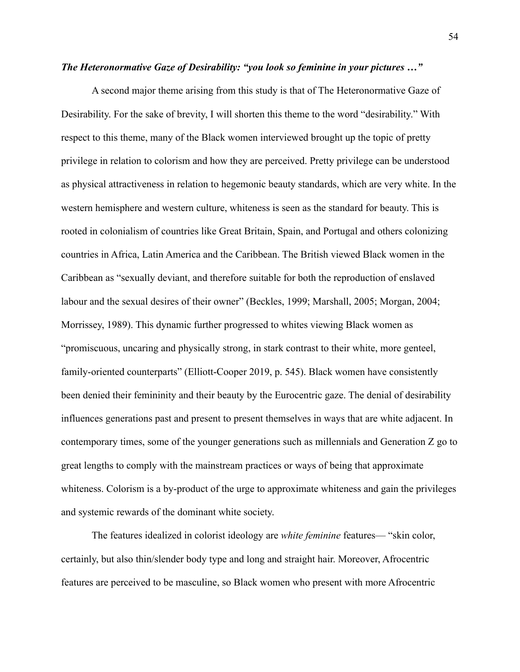# *The Heteronormative Gaze of Desirability: "you look so feminine in your pictures …"*

A second major theme arising from this study is that of The Heteronormative Gaze of Desirability. For the sake of brevity, I will shorten this theme to the word "desirability." With respect to this theme, many of the Black women interviewed brought up the topic of pretty privilege in relation to colorism and how they are perceived. Pretty privilege can be understood as physical attractiveness in relation to hegemonic beauty standards, which are very white. In the western hemisphere and western culture, whiteness is seen as the standard for beauty. This is rooted in colonialism of countries like Great Britain, Spain, and Portugal and others colonizing countries in Africa, Latin America and the Caribbean. The British viewed Black women in the Caribbean as "sexually deviant, and therefore suitable for both the reproduction of enslaved labour and the sexual desires of their owner" (Beckles, 1999; Marshall, 2005; Morgan, 2004; Morrissey, 1989). This dynamic further progressed to whites viewing Black women as "promiscuous, uncaring and physically strong, in stark contrast to their white, more genteel, family-oriented counterparts" (Elliott-Cooper 2019, p. 545). Black women have consistently been denied their femininity and their beauty by the Eurocentric gaze. The denial of desirability influences generations past and present to present themselves in ways that are white adjacent. In contemporary times, some of the younger generations such as millennials and Generation Z go to great lengths to comply with the mainstream practices or ways of being that approximate whiteness. Colorism is a by-product of the urge to approximate whiteness and gain the privileges and systemic rewards of the dominant white society.

The features idealized in colorist ideology are *white feminine* features— "skin color, certainly, but also thin/slender body type and long and straight hair. Moreover, Afrocentric features are perceived to be masculine, so Black women who present with more Afrocentric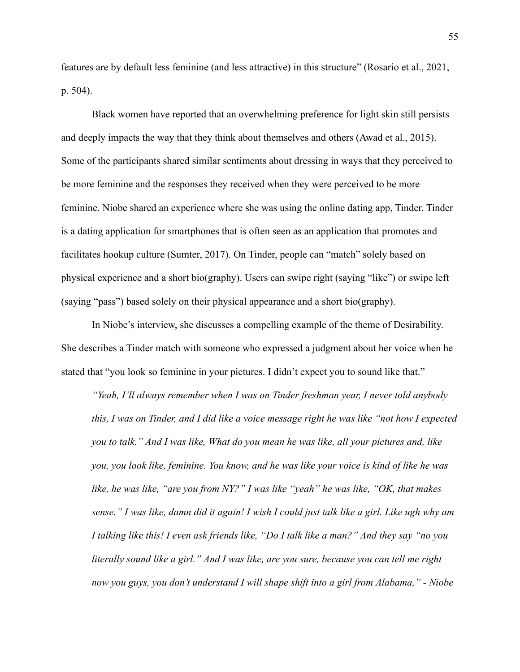features are by default less feminine (and less attractive) in this structure" (Rosario et al., 2021, p. 504).

Black women have reported that an overwhelming preference for light skin still persists and deeply impacts the way that they think about themselves and others (Awad et al., 2015). Some of the participants shared similar sentiments about dressing in ways that they perceived to be more feminine and the responses they received when they were perceived to be more feminine. Niobe shared an experience where she was using the online dating app, Tinder. Tinder is a dating application for smartphones that is often seen as an application that promotes and facilitates hookup culture (Sumter, 2017). On Tinder, people can "match" solely based on physical experience and a short bio(graphy). Users can swipe right (saying "like") or swipe left (saying "pass") based solely on their physical appearance and a short bio(graphy).

In Niobe's interview, she discusses a compelling example of the theme of Desirability. She describes a Tinder match with someone who expressed a judgment about her voice when he stated that "you look so feminine in your pictures. I didn't expect you to sound like that."

*"Yeah, I'll always remember when I was on Tinder freshman year, I never told anybody this, I was on Tinder, and I did like a voice message right he was like "not how I expected you to talk." And I was like, What do you mean he was like, all your pictures and, like you, you look like, feminine. You know, and he was like your voice is kind of like he was like, he was like, "are you from NY?" I was like "yeah" he was like, "OK, that makes sense." I was like, damn did it again! I wish I could just talk like a girl. Like ugh why am I talking like this! I even ask friends like, "Do I talk like a man?" And they say "no you literally sound like a girl." And I was like, are you sure, because you can tell me right now you guys, you don't understand I will shape shift into a girl from Alabama," - Niobe*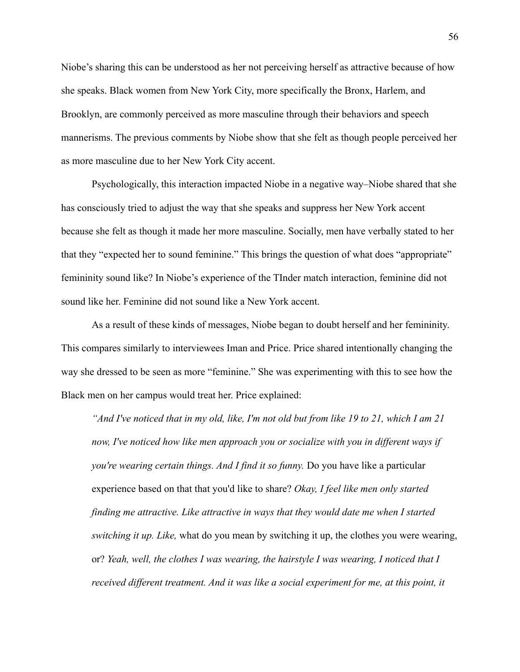Niobe's sharing this can be understood as her not perceiving herself as attractive because of how she speaks. Black women from New York City, more specifically the Bronx, Harlem, and Brooklyn, are commonly perceived as more masculine through their behaviors and speech mannerisms. The previous comments by Niobe show that she felt as though people perceived her as more masculine due to her New York City accent.

Psychologically, this interaction impacted Niobe in a negative way–Niobe shared that she has consciously tried to adjust the way that she speaks and suppress her New York accent because she felt as though it made her more masculine. Socially, men have verbally stated to her that they "expected her to sound feminine." This brings the question of what does "appropriate" femininity sound like? In Niobe's experience of the TInder match interaction, feminine did not sound like her. Feminine did not sound like a New York accent.

As a result of these kinds of messages, Niobe began to doubt herself and her femininity. This compares similarly to interviewees Iman and Price. Price shared intentionally changing the way she dressed to be seen as more "feminine." She was experimenting with this to see how the Black men on her campus would treat her. Price explained:

*"And I've noticed that in my old, like, I'm not old but from like 19 to 21, which I am 21 now, I've noticed how like men approach you or socialize with you in different ways if you're wearing certain things. And I find it so funny.* Do you have like a particular experience based on that that you'd like to share? *Okay, I feel like men only started finding me attractive. Like attractive in ways that they would date me when I started switching it up. Like,* what do you mean by switching it up, the clothes you were wearing, or? *Yeah, well, the clothes I was wearing, the hairstyle I was wearing, I noticed that I received different treatment. And it was like a social experiment for me, at this point, it*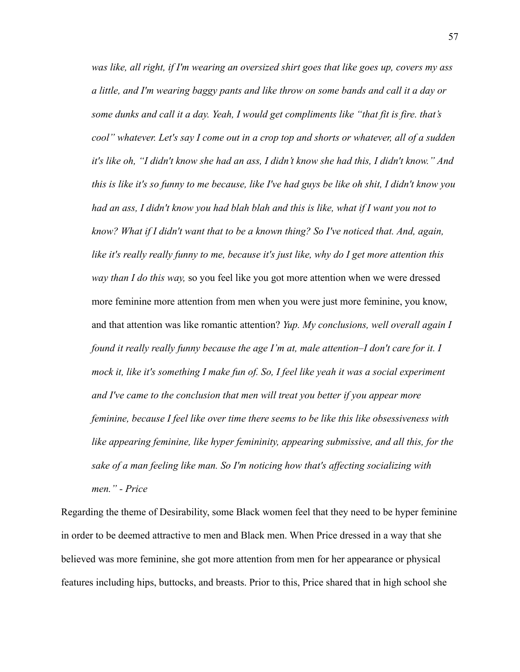*was like, all right, if I'm wearing an oversized shirt goes that like goes up, covers my ass a little, and I'm wearing baggy pants and like throw on some bands and call it a day or some dunks and call it a day. Yeah, I would get compliments like "that fit is fire. that's cool" whatever. Let's say I come out in a crop top and shorts or whatever, all of a sudden it's like oh, "I didn't know she had an ass, I didn't know she had this, I didn't know." And this is like it's so funny to me because, like I've had guys be like oh shit, I didn't know you had an ass, I didn't know you had blah blah and this is like, what if I want you not to know? What if I didn't want that to be a known thing? So I've noticed that. And, again, like it's really really funny to me, because it's just like, why do I get more attention this way than I do this way,* so you feel like you got more attention when we were dressed more feminine more attention from men when you were just more feminine, you know, and that attention was like romantic attention? *Yup. My conclusions, well overall again I found it really really funny because the age I'm at, male attention–I don't care for it. I mock it, like it's something I make fun of. So, I feel like yeah it was a social experiment and I've came to the conclusion that men will treat you better if you appear more feminine, because I feel like over time there seems to be like this like obsessiveness with like appearing feminine, like hyper femininity, appearing submissive, and all this, for the sake of a man feeling like man. So I'm noticing how that's affecting socializing with men." - Price*

Regarding the theme of Desirability, some Black women feel that they need to be hyper feminine in order to be deemed attractive to men and Black men. When Price dressed in a way that she believed was more feminine, she got more attention from men for her appearance or physical features including hips, buttocks, and breasts. Prior to this, Price shared that in high school she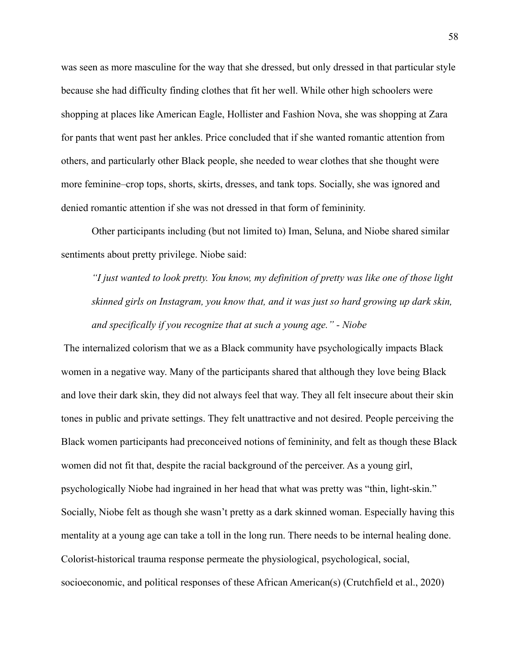was seen as more masculine for the way that she dressed, but only dressed in that particular style because she had difficulty finding clothes that fit her well. While other high schoolers were shopping at places like American Eagle, Hollister and Fashion Nova, she was shopping at Zara for pants that went past her ankles. Price concluded that if she wanted romantic attention from others, and particularly other Black people, she needed to wear clothes that she thought were more feminine–crop tops, shorts, skirts, dresses, and tank tops. Socially, she was ignored and denied romantic attention if she was not dressed in that form of femininity.

Other participants including (but not limited to) Iman, Seluna, and Niobe shared similar sentiments about pretty privilege. Niobe said:

*"I just wanted to look pretty. You know, my definition of pretty was like one of those light skinned girls on Instagram, you know that, and it was just so hard growing up dark skin, and specifically if you recognize that at such a young age." - Niobe*

The internalized colorism that we as a Black community have psychologically impacts Black women in a negative way. Many of the participants shared that although they love being Black and love their dark skin, they did not always feel that way. They all felt insecure about their skin tones in public and private settings. They felt unattractive and not desired. People perceiving the Black women participants had preconceived notions of femininity, and felt as though these Black women did not fit that, despite the racial background of the perceiver. As a young girl, psychologically Niobe had ingrained in her head that what was pretty was "thin, light-skin." Socially, Niobe felt as though she wasn't pretty as a dark skinned woman. Especially having this mentality at a young age can take a toll in the long run. There needs to be internal healing done. Colorist-historical trauma response permeate the physiological, psychological, social, socioeconomic, and political responses of these African American(s) (Crutchfield et al., 2020)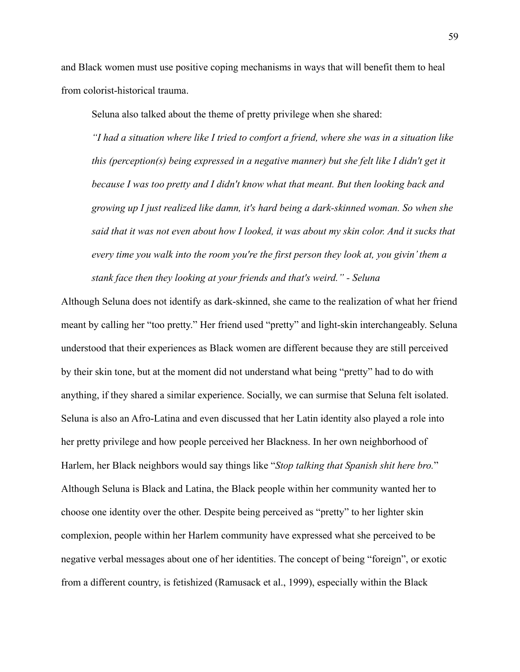and Black women must use positive coping mechanisms in ways that will benefit them to heal from colorist-historical trauma.

Seluna also talked about the theme of pretty privilege when she shared:

*"I had a situation where like I tried to comfort a friend, where she was in a situation like this (perception(s) being expressed in a negative manner) but she felt like I didn't get it because I was too pretty and I didn't know what that meant. But then looking back and growing up I just realized like damn, it's hard being a dark-skinned woman. So when she said that it was not even about how I looked, it was about my skin color. And it sucks that every time you walk into the room you're the first person they look at, you givin' them a stank face then they looking at your friends and that's weird." - Seluna*

Although Seluna does not identify as dark-skinned, she came to the realization of what her friend meant by calling her "too pretty." Her friend used "pretty" and light-skin interchangeably. Seluna understood that their experiences as Black women are different because they are still perceived by their skin tone, but at the moment did not understand what being "pretty" had to do with anything, if they shared a similar experience. Socially, we can surmise that Seluna felt isolated. Seluna is also an Afro-Latina and even discussed that her Latin identity also played a role into her pretty privilege and how people perceived her Blackness. In her own neighborhood of Harlem, her Black neighbors would say things like "*Stop talking that Spanish shit here bro.*" Although Seluna is Black and Latina, the Black people within her community wanted her to choose one identity over the other. Despite being perceived as "pretty" to her lighter skin complexion, people within her Harlem community have expressed what she perceived to be negative verbal messages about one of her identities. The concept of being "foreign", or exotic from a different country, is fetishized (Ramusack et al., 1999), especially within the Black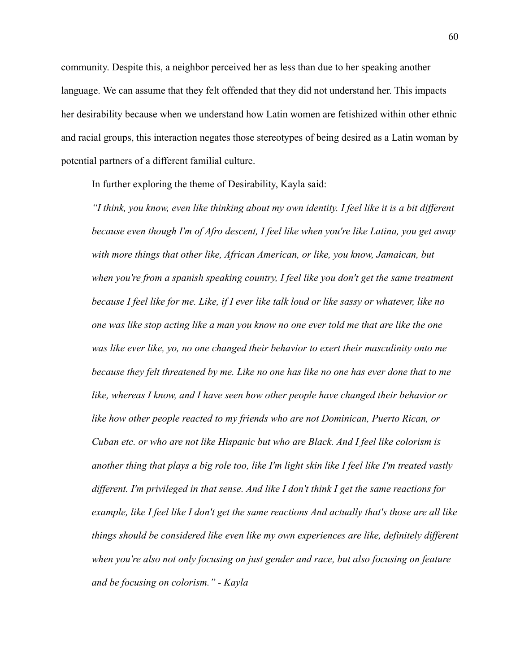community. Despite this, a neighbor perceived her as less than due to her speaking another language. We can assume that they felt offended that they did not understand her. This impacts her desirability because when we understand how Latin women are fetishized within other ethnic and racial groups, this interaction negates those stereotypes of being desired as a Latin woman by potential partners of a different familial culture.

In further exploring the theme of Desirability, Kayla said:

*"I think, you know, even like thinking about my own identity. I feel like it is a bit different because even though I'm of Afro descent, I feel like when you're like Latina, you get away with more things that other like, African American, or like, you know, Jamaican, but when you're from a spanish speaking country, I feel like you don't get the same treatment because I feel like for me. Like, if I ever like talk loud or like sassy or whatever, like no one was like stop acting like a man you know no one ever told me that are like the one was like ever like, yo, no one changed their behavior to exert their masculinity onto me because they felt threatened by me. Like no one has like no one has ever done that to me like, whereas I know, and I have seen how other people have changed their behavior or like how other people reacted to my friends who are not Dominican, Puerto Rican, or Cuban etc. or who are not like Hispanic but who are Black. And I feel like colorism is another thing that plays a big role too, like I'm light skin like I feel like I'm treated vastly different. I'm privileged in that sense. And like I don't think I get the same reactions for example, like I feel like I don't get the same reactions And actually that's those are all like things should be considered like even like my own experiences are like, definitely different when you're also not only focusing on just gender and race, but also focusing on feature and be focusing on colorism." - Kayla*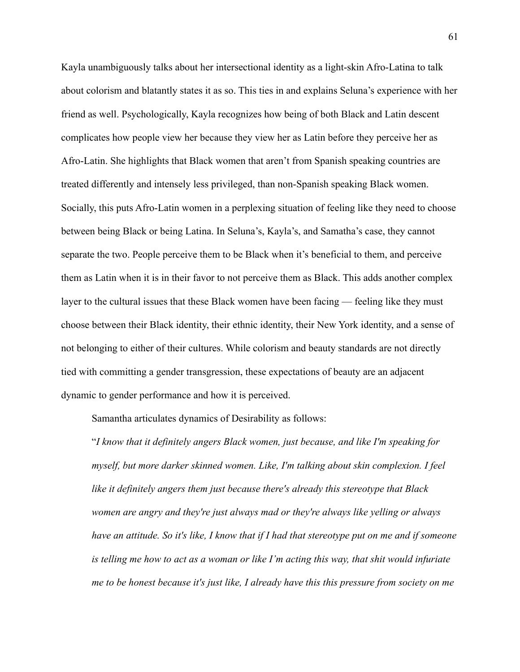Kayla unambiguously talks about her intersectional identity as a light-skin Afro-Latina to talk about colorism and blatantly states it as so. This ties in and explains Seluna's experience with her friend as well. Psychologically, Kayla recognizes how being of both Black and Latin descent complicates how people view her because they view her as Latin before they perceive her as Afro-Latin. She highlights that Black women that aren't from Spanish speaking countries are treated differently and intensely less privileged, than non-Spanish speaking Black women. Socially, this puts Afro-Latin women in a perplexing situation of feeling like they need to choose between being Black or being Latina. In Seluna's, Kayla's, and Samatha's case, they cannot separate the two. People perceive them to be Black when it's beneficial to them, and perceive them as Latin when it is in their favor to not perceive them as Black. This adds another complex layer to the cultural issues that these Black women have been facing — feeling like they must choose between their Black identity, their ethnic identity, their New York identity, and a sense of not belonging to either of their cultures. While colorism and beauty standards are not directly tied with committing a gender transgression, these expectations of beauty are an adjacent dynamic to gender performance and how it is perceived.

Samantha articulates dynamics of Desirability as follows:

"*I know that it definitely angers Black women, just because, and like I'm speaking for myself, but more darker skinned women. Like, I'm talking about skin complexion. I feel like it definitely angers them just because there's already this stereotype that Black women are angry and they're just always mad or they're always like yelling or always have an attitude. So it's like, I know that if I had that stereotype put on me and if someone is telling me how to act as a woman or like I'm acting this way, that shit would infuriate me to be honest because it's just like, I already have this this pressure from society on me*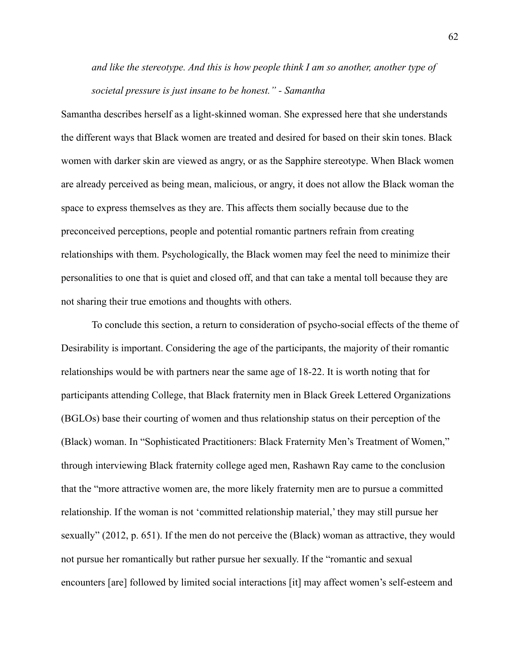# *and like the stereotype. And this is how people think I am so another, another type of societal pressure is just insane to be honest." - Samantha*

Samantha describes herself as a light-skinned woman. She expressed here that she understands the different ways that Black women are treated and desired for based on their skin tones. Black women with darker skin are viewed as angry, or as the Sapphire stereotype. When Black women are already perceived as being mean, malicious, or angry, it does not allow the Black woman the space to express themselves as they are. This affects them socially because due to the preconceived perceptions, people and potential romantic partners refrain from creating relationships with them. Psychologically, the Black women may feel the need to minimize their personalities to one that is quiet and closed off, and that can take a mental toll because they are not sharing their true emotions and thoughts with others.

To conclude this section, a return to consideration of psycho-social effects of the theme of Desirability is important. Considering the age of the participants, the majority of their romantic relationships would be with partners near the same age of 18-22. It is worth noting that for participants attending College, that Black fraternity men in Black Greek Lettered Organizations (BGLOs) base their courting of women and thus relationship status on their perception of the (Black) woman. In "Sophisticated Practitioners: Black Fraternity Men's Treatment of Women," through interviewing Black fraternity college aged men, Rashawn Ray came to the conclusion that the "more attractive women are, the more likely fraternity men are to pursue a committed relationship. If the woman is not 'committed relationship material,' they may still pursue her sexually" (2012, p. 651). If the men do not perceive the (Black) woman as attractive, they would not pursue her romantically but rather pursue her sexually. If the "romantic and sexual encounters [are] followed by limited social interactions [it] may affect women's self-esteem and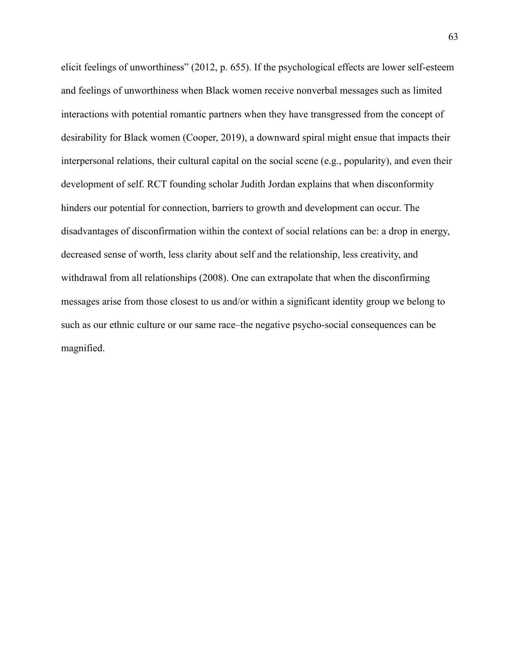elicit feelings of unworthiness" (2012, p. 655). If the psychological effects are lower self-esteem and feelings of unworthiness when Black women receive nonverbal messages such as limited interactions with potential romantic partners when they have transgressed from the concept of desirability for Black women (Cooper, 2019), a downward spiral might ensue that impacts their interpersonal relations, their cultural capital on the social scene (e.g., popularity), and even their development of self. RCT founding scholar Judith Jordan explains that when disconformity hinders our potential for connection, barriers to growth and development can occur. The disadvantages of disconfirmation within the context of social relations can be: a drop in energy, decreased sense of worth, less clarity about self and the relationship, less creativity, and withdrawal from all relationships (2008). One can extrapolate that when the disconfirming messages arise from those closest to us and/or within a significant identity group we belong to such as our ethnic culture or our same race–the negative psycho-social consequences can be magnified.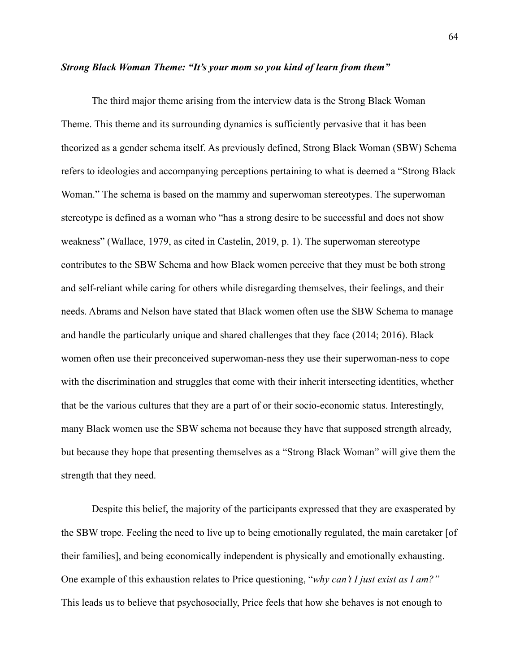### *Strong Black Woman Theme: "It's your mom so you kind of learn from them"*

The third major theme arising from the interview data is the Strong Black Woman Theme. This theme and its surrounding dynamics is sufficiently pervasive that it has been theorized as a gender schema itself. As previously defined, Strong Black Woman (SBW) Schema refers to ideologies and accompanying perceptions pertaining to what is deemed a "Strong Black Woman." The schema is based on the mammy and superwoman stereotypes. The superwoman stereotype is defined as a woman who "has a strong desire to be successful and does not show weakness" (Wallace, 1979, as cited in Castelin, 2019, p. 1). The superwoman stereotype contributes to the SBW Schema and how Black women perceive that they must be both strong and self-reliant while caring for others while disregarding themselves, their feelings, and their needs. Abrams and Nelson have stated that Black women often use the SBW Schema to manage and handle the particularly unique and shared challenges that they face (2014; 2016). Black women often use their preconceived superwoman-ness they use their superwoman-ness to cope with the discrimination and struggles that come with their inherit intersecting identities, whether that be the various cultures that they are a part of or their socio-economic status. Interestingly, many Black women use the SBW schema not because they have that supposed strength already, but because they hope that presenting themselves as a "Strong Black Woman" will give them the strength that they need.

Despite this belief, the majority of the participants expressed that they are exasperated by the SBW trope. Feeling the need to live up to being emotionally regulated, the main caretaker [of their families], and being economically independent is physically and emotionally exhausting. One example of this exhaustion relates to Price questioning, "*why can't I just exist as I am?"* This leads us to believe that psychosocially, Price feels that how she behaves is not enough to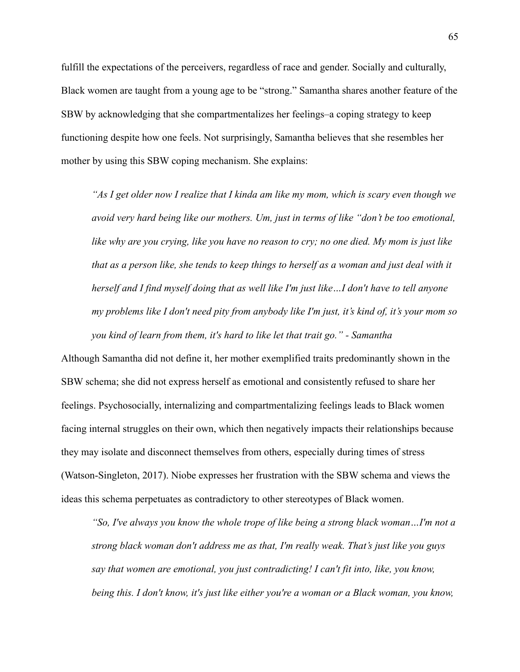fulfill the expectations of the perceivers, regardless of race and gender. Socially and culturally, Black women are taught from a young age to be "strong." Samantha shares another feature of the SBW by acknowledging that she compartmentalizes her feelings–a coping strategy to keep functioning despite how one feels. Not surprisingly, Samantha believes that she resembles her mother by using this SBW coping mechanism. She explains:

*"As I get older now I realize that I kinda am like my mom, which is scary even though we avoid very hard being like our mothers. Um, just in terms of like "don't be too emotional, like why are you crying, like you have no reason to cry; no one died. My mom is just like that as a person like, she tends to keep things to herself as a woman and just deal with it herself and I find myself doing that as well like I'm just like…I don't have to tell anyone my problems like I don't need pity from anybody like I'm just, it's kind of, it's your mom so you kind of learn from them, it's hard to like let that trait go." - Samantha*

Although Samantha did not define it, her mother exemplified traits predominantly shown in the SBW schema; she did not express herself as emotional and consistently refused to share her feelings. Psychosocially, internalizing and compartmentalizing feelings leads to Black women facing internal struggles on their own, which then negatively impacts their relationships because they may isolate and disconnect themselves from others, especially during times of stress (Watson-Singleton, 2017). Niobe expresses her frustration with the SBW schema and views the ideas this schema perpetuates as contradictory to other stereotypes of Black women.

*"So, I've always you know the whole trope of like being a strong black woman…I'm not a strong black woman don't address me as that, I'm really weak. That's just like you guys say that women are emotional, you just contradicting! I can't fit into, like, you know, being this. I don't know, it's just like either you're a woman or a Black woman, you know,*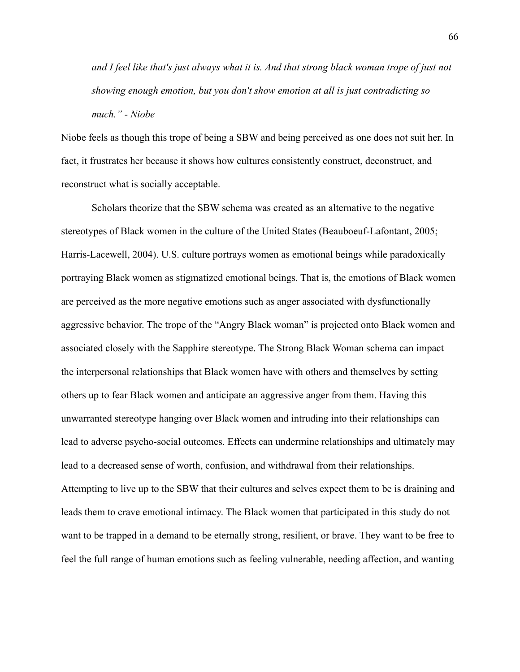*and I feel like that's just always what it is. And that strong black woman trope of just not showing enough emotion, but you don't show emotion at all is just contradicting so much." - Niobe*

Niobe feels as though this trope of being a SBW and being perceived as one does not suit her. In fact, it frustrates her because it shows how cultures consistently construct, deconstruct, and reconstruct what is socially acceptable.

Scholars theorize that the SBW schema was created as an alternative to the negative stereotypes of Black women in the culture of the United States (Beauboeuf-Lafontant, 2005; Harris-Lacewell, 2004). U.S. culture portrays women as emotional beings while paradoxically portraying Black women as stigmatized emotional beings. That is, the emotions of Black women are perceived as the more negative emotions such as anger associated with dysfunctionally aggressive behavior. The trope of the "Angry Black woman" is projected onto Black women and associated closely with the Sapphire stereotype. The Strong Black Woman schema can impact the interpersonal relationships that Black women have with others and themselves by setting others up to fear Black women and anticipate an aggressive anger from them. Having this unwarranted stereotype hanging over Black women and intruding into their relationships can lead to adverse psycho-social outcomes. Effects can undermine relationships and ultimately may lead to a decreased sense of worth, confusion, and withdrawal from their relationships. Attempting to live up to the SBW that their cultures and selves expect them to be is draining and leads them to crave emotional intimacy. The Black women that participated in this study do not want to be trapped in a demand to be eternally strong, resilient, or brave. They want to be free to feel the full range of human emotions such as feeling vulnerable, needing affection, and wanting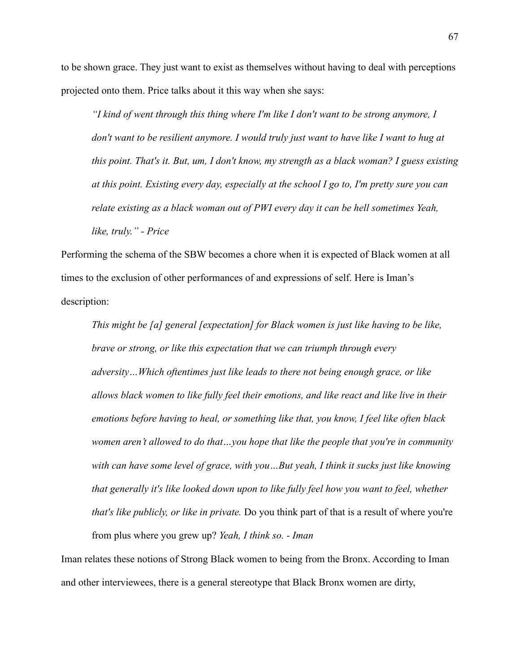to be shown grace. They just want to exist as themselves without having to deal with perceptions projected onto them. Price talks about it this way when she says:

*"I kind of went through this thing where I'm like I don't want to be strong anymore, I don't want to be resilient anymore. I would truly just want to have like I want to hug at this point. That's it. But, um, I don't know, my strength as a black woman? I guess existing at this point. Existing every day, especially at the school I go to, I'm pretty sure you can relate existing as a black woman out of PWI every day it can be hell sometimes Yeah, like, truly." - Price*

Performing the schema of the SBW becomes a chore when it is expected of Black women at all times to the exclusion of other performances of and expressions of self. Here is Iman's description:

*This might be [a] general [expectation] for Black women is just like having to be like, brave or strong, or like this expectation that we can triumph through every adversity…Which oftentimes just like leads to there not being enough grace, or like allows black women to like fully feel their emotions, and like react and like live in their emotions before having to heal, or something like that, you know, I feel like often black women aren't allowed to do that…you hope that like the people that you're in community with can have some level of grace, with you…But yeah, I think it sucks just like knowing that generally it's like looked down upon to like fully feel how you want to feel, whether that's like publicly, or like in private.* Do you think part of that is a result of where you're from plus where you grew up? *Yeah, I think so. - Iman*

Iman relates these notions of Strong Black women to being from the Bronx. According to Iman and other interviewees, there is a general stereotype that Black Bronx women are dirty,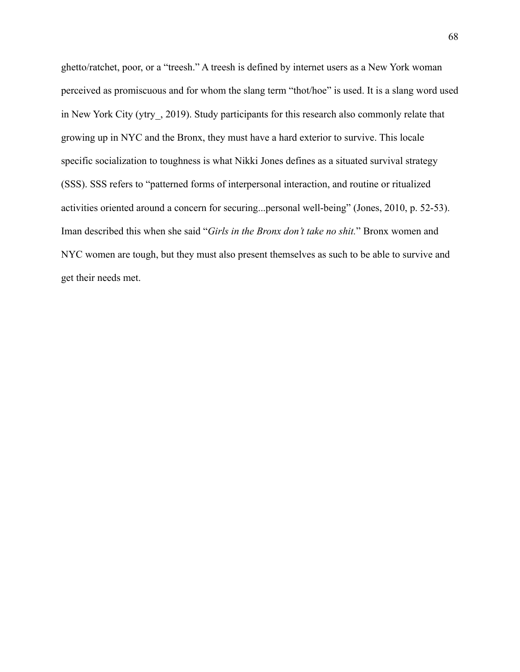ghetto/ratchet, poor, or a "treesh." A treesh is defined by internet users as a New York woman perceived as promiscuous and for whom the slang term "thot/hoe" is used. It is a slang word used in New York City (ytry, 2019). Study participants for this research also commonly relate that growing up in NYC and the Bronx, they must have a hard exterior to survive. This locale specific socialization to toughness is what Nikki Jones defines as a situated survival strategy (SSS). SSS refers to "patterned forms of interpersonal interaction, and routine or ritualized activities oriented around a concern for securing...personal well-being" (Jones, 2010, p. 52-53). Iman described this when she said "*Girls in the Bronx don't take no shit.*" Bronx women and NYC women are tough, but they must also present themselves as such to be able to survive and get their needs met.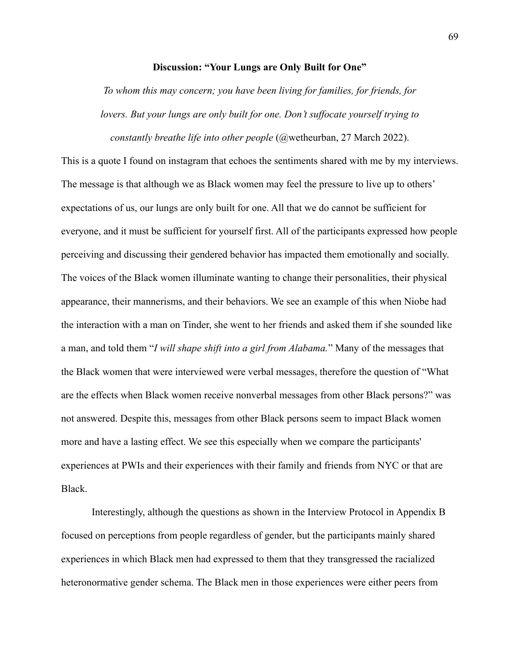### **Discussion: "Your Lungs are Only Built for One"**

*To whom this may concern; you have been living for families, for friends, for lovers. But your lungs are only built for one. Don't suffocate yourself trying to constantly breathe life into other people* (@wetheurban, 27 March 2022).

This is a quote I found on instagram that echoes the sentiments shared with me by my interviews. The message is that although we as Black women may feel the pressure to live up to others' expectations of us, our lungs are only built for one. All that we do cannot be sufficient for everyone, and it must be sufficient for yourself first. All of the participants expressed how people perceiving and discussing their gendered behavior has impacted them emotionally and socially. The voices of the Black women illuminate wanting to change their personalities, their physical appearance, their mannerisms, and their behaviors. We see an example of this when Niobe had the interaction with a man on Tinder, she went to her friends and asked them if she sounded like a man, and told them "*I will shape shift into a girl from Alabama.*" Many of the messages that the Black women that were interviewed were verbal messages, therefore the question of "What are the effects when Black women receive nonverbal messages from other Black persons?" was not answered. Despite this, messages from other Black persons seem to impact Black women more and have a lasting effect. We see this especially when we compare the participants' experiences at PWIs and their experiences with their family and friends from NYC or that are Black.

Interestingly, although the questions as shown in the Interview Protocol in Appendix B focused on perceptions from people regardless of gender, but the participants mainly shared experiences in which Black men had expressed to them that they transgressed the racialized heteronormative gender schema. The Black men in those experiences were either peers from

69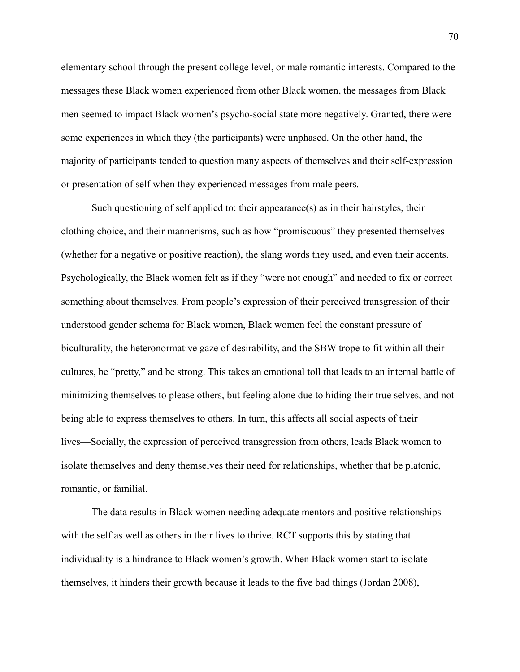elementary school through the present college level, or male romantic interests. Compared to the messages these Black women experienced from other Black women, the messages from Black men seemed to impact Black women's psycho-social state more negatively. Granted, there were some experiences in which they (the participants) were unphased. On the other hand, the majority of participants tended to question many aspects of themselves and their self-expression or presentation of self when they experienced messages from male peers.

Such questioning of self applied to: their appearance(s) as in their hairstyles, their clothing choice, and their mannerisms, such as how "promiscuous" they presented themselves (whether for a negative or positive reaction), the slang words they used, and even their accents. Psychologically, the Black women felt as if they "were not enough" and needed to fix or correct something about themselves. From people's expression of their perceived transgression of their understood gender schema for Black women, Black women feel the constant pressure of biculturality, the heteronormative gaze of desirability, and the SBW trope to fit within all their cultures, be "pretty," and be strong. This takes an emotional toll that leads to an internal battle of minimizing themselves to please others, but feeling alone due to hiding their true selves, and not being able to express themselves to others. In turn, this affects all social aspects of their lives—Socially, the expression of perceived transgression from others, leads Black women to isolate themselves and deny themselves their need for relationships, whether that be platonic, romantic, or familial.

The data results in Black women needing adequate mentors and positive relationships with the self as well as others in their lives to thrive. RCT supports this by stating that individuality is a hindrance to Black women's growth. When Black women start to isolate themselves, it hinders their growth because it leads to the five bad things (Jordan 2008),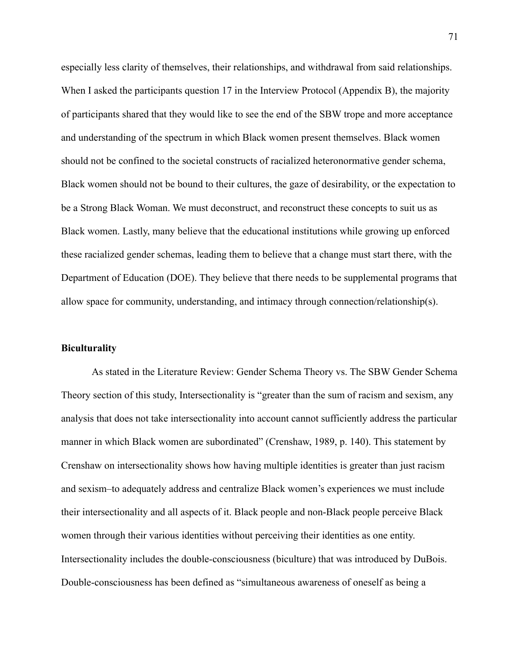especially less clarity of themselves, their relationships, and withdrawal from said relationships. When I asked the participants question 17 in the Interview Protocol (Appendix B), the majority of participants shared that they would like to see the end of the SBW trope and more acceptance and understanding of the spectrum in which Black women present themselves. Black women should not be confined to the societal constructs of racialized heteronormative gender schema, Black women should not be bound to their cultures, the gaze of desirability, or the expectation to be a Strong Black Woman. We must deconstruct, and reconstruct these concepts to suit us as Black women. Lastly, many believe that the educational institutions while growing up enforced these racialized gender schemas, leading them to believe that a change must start there, with the Department of Education (DOE). They believe that there needs to be supplemental programs that allow space for community, understanding, and intimacy through connection/relationship(s).

#### **Biculturality**

As stated in the Literature Review: Gender Schema Theory vs. The SBW Gender Schema Theory section of this study, Intersectionality is "greater than the sum of racism and sexism, any analysis that does not take intersectionality into account cannot sufficiently address the particular manner in which Black women are subordinated" (Crenshaw, 1989, p. 140). This statement by Crenshaw on intersectionality shows how having multiple identities is greater than just racism and sexism–to adequately address and centralize Black women's experiences we must include their intersectionality and all aspects of it. Black people and non-Black people perceive Black women through their various identities without perceiving their identities as one entity. Intersectionality includes the double-consciousness (biculture) that was introduced by DuBois. Double-consciousness has been defined as "simultaneous awareness of oneself as being a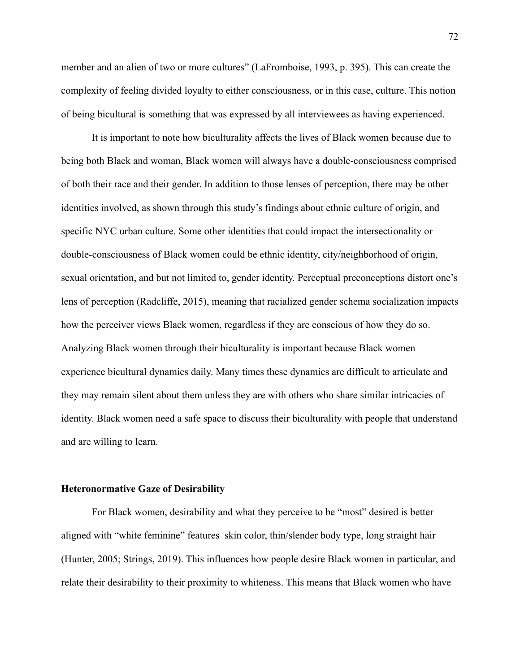member and an alien of two or more cultures" (LaFromboise, 1993, p. 395). This can create the complexity of feeling divided loyalty to either consciousness, or in this case, culture. This notion of being bicultural is something that was expressed by all interviewees as having experienced.

It is important to note how biculturality affects the lives of Black women because due to being both Black and woman, Black women will always have a double-consciousness comprised of both their race and their gender. In addition to those lenses of perception, there may be other identities involved, as shown through this study's findings about ethnic culture of origin, and specific NYC urban culture. Some other identities that could impact the intersectionality or double-consciousness of Black women could be ethnic identity, city/neighborhood of origin, sexual orientation, and but not limited to, gender identity. Perceptual preconceptions distort one's lens of perception (Radcliffe, 2015), meaning that racialized gender schema socialization impacts how the perceiver views Black women, regardless if they are conscious of how they do so. Analyzing Black women through their biculturality is important because Black women experience bicultural dynamics daily. Many times these dynamics are difficult to articulate and they may remain silent about them unless they are with others who share similar intricacies of identity. Black women need a safe space to discuss their biculturality with people that understand and are willing to learn.

#### **Heteronormative Gaze of Desirability**

For Black women, desirability and what they perceive to be "most" desired is better aligned with "white feminine" features–skin color, thin/slender body type, long straight hair (Hunter, 2005; Strings, 2019). This influences how people desire Black women in particular, and relate their desirability to their proximity to whiteness. This means that Black women who have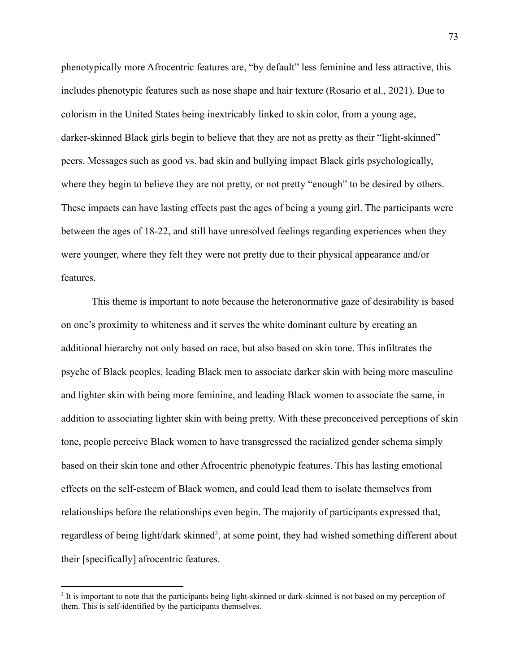phenotypically more Afrocentric features are, "by default" less feminine and less attractive, this includes phenotypic features such as nose shape and hair texture (Rosario et al., 2021). Due to colorism in the United States being inextricably linked to skin color, from a young age, darker-skinned Black girls begin to believe that they are not as pretty as their "light-skinned" peers. Messages such as good vs. bad skin and bullying impact Black girls psychologically, where they begin to believe they are not pretty, or not pretty "enough" to be desired by others. These impacts can have lasting effects past the ages of being a young girl. The participants were between the ages of 18-22, and still have unresolved feelings regarding experiences when they were younger, where they felt they were not pretty due to their physical appearance and/or features.

This theme is important to note because the heteronormative gaze of desirability is based on one's proximity to whiteness and it serves the white dominant culture by creating an additional hierarchy not only based on race, but also based on skin tone. This infiltrates the psyche of Black peoples, leading Black men to associate darker skin with being more masculine and lighter skin with being more feminine, and leading Black women to associate the same, in addition to associating lighter skin with being pretty. With these preconceived perceptions of skin tone, people perceive Black women to have transgressed the racialized gender schema simply based on their skin tone and other Afrocentric phenotypic features. This has lasting emotional effects on the self-esteem of Black women, and could lead them to isolate themselves from relationships before the relationships even begin. The majority of participants expressed that, regardless of being light/dark skinned<sup>3</sup>, at some point, they had wished something different about their [specifically] afrocentric features.

<sup>&</sup>lt;sup>3</sup> It is important to note that the participants being light-skinned or dark-skinned is not based on my perception of them. This is self-identified by the participants themselves.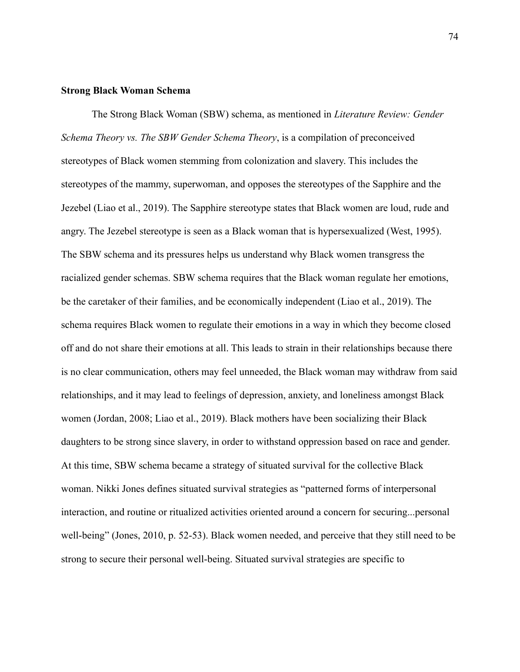#### **Strong Black Woman Schema**

The Strong Black Woman (SBW) schema, as mentioned in *Literature Review: Gender Schema Theory vs. The SBW Gender Schema Theory*, is a compilation of preconceived stereotypes of Black women stemming from colonization and slavery. This includes the stereotypes of the mammy, superwoman, and opposes the stereotypes of the Sapphire and the Jezebel (Liao et al., 2019). The Sapphire stereotype states that Black women are loud, rude and angry. The Jezebel stereotype is seen as a Black woman that is hypersexualized (West, 1995). The SBW schema and its pressures helps us understand why Black women transgress the racialized gender schemas. SBW schema requires that the Black woman regulate her emotions, be the caretaker of their families, and be economically independent (Liao et al., 2019). The schema requires Black women to regulate their emotions in a way in which they become closed off and do not share their emotions at all. This leads to strain in their relationships because there is no clear communication, others may feel unneeded, the Black woman may withdraw from said relationships, and it may lead to feelings of depression, anxiety, and loneliness amongst Black women (Jordan, 2008; Liao et al., 2019). Black mothers have been socializing their Black daughters to be strong since slavery, in order to withstand oppression based on race and gender. At this time, SBW schema became a strategy of situated survival for the collective Black woman. Nikki Jones defines situated survival strategies as "patterned forms of interpersonal interaction, and routine or ritualized activities oriented around a concern for securing...personal well-being" (Jones, 2010, p. 52-53). Black women needed, and perceive that they still need to be strong to secure their personal well-being. Situated survival strategies are specific to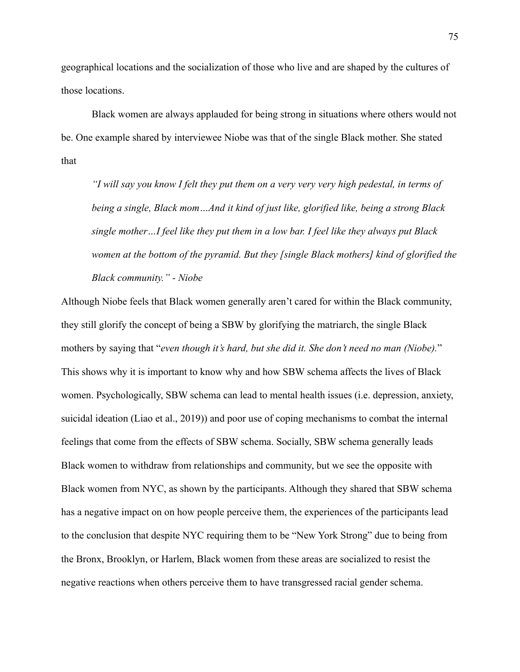geographical locations and the socialization of those who live and are shaped by the cultures of those locations.

Black women are always applauded for being strong in situations where others would not be. One example shared by interviewee Niobe was that of the single Black mother. She stated that

*"I will say you know I felt they put them on a very very very high pedestal, in terms of being a single, Black mom…And it kind of just like, glorified like, being a strong Black single mother…I feel like they put them in a low bar. I feel like they always put Black women at the bottom of the pyramid. But they [single Black mothers] kind of glorified the Black community." - Niobe*

Although Niobe feels that Black women generally aren't cared for within the Black community, they still glorify the concept of being a SBW by glorifying the matriarch, the single Black mothers by saying that "*even though it's hard, but she did it. She don't need no man (Niobe).*" This shows why it is important to know why and how SBW schema affects the lives of Black women. Psychologically, SBW schema can lead to mental health issues (i.e. depression, anxiety, suicidal ideation (Liao et al., 2019)) and poor use of coping mechanisms to combat the internal feelings that come from the effects of SBW schema. Socially, SBW schema generally leads Black women to withdraw from relationships and community, but we see the opposite with Black women from NYC, as shown by the participants. Although they shared that SBW schema has a negative impact on on how people perceive them, the experiences of the participants lead to the conclusion that despite NYC requiring them to be "New York Strong" due to being from the Bronx, Brooklyn, or Harlem, Black women from these areas are socialized to resist the negative reactions when others perceive them to have transgressed racial gender schema.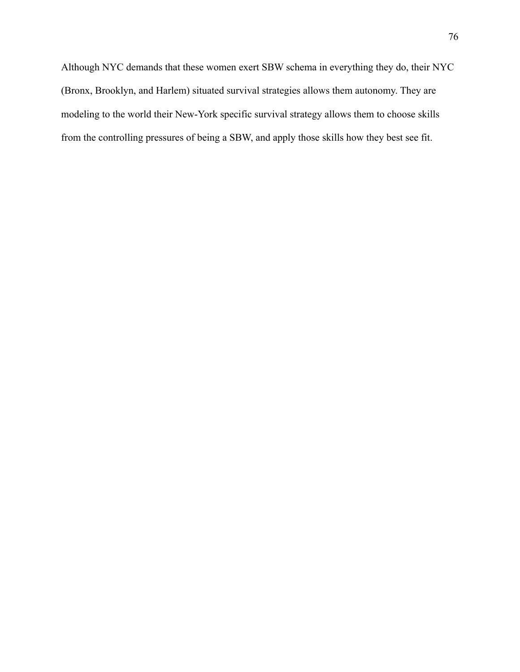Although NYC demands that these women exert SBW schema in everything they do, their NYC (Bronx, Brooklyn, and Harlem) situated survival strategies allows them autonomy. They are modeling to the world their New-York specific survival strategy allows them to choose skills from the controlling pressures of being a SBW, and apply those skills how they best see fit.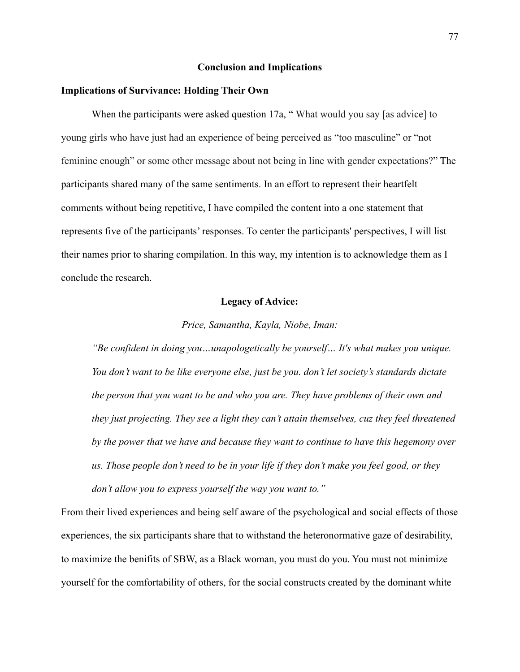### **Conclusion and Implications**

#### **Implications of Survivance: Holding Their Own**

When the participants were asked question 17a, "What would you say [as advice] to young girls who have just had an experience of being perceived as "too masculine" or "not feminine enough" or some other message about not being in line with gender expectations?" The participants shared many of the same sentiments. In an effort to represent their heartfelt comments without being repetitive, I have compiled the content into a one statement that represents five of the participants' responses. To center the participants' perspectives, I will list their names prior to sharing compilation. In this way, my intention is to acknowledge them as I conclude the research.

### **Legacy of Advice:**

#### *Price, Samantha, Kayla, Niobe, Iman:*

*"Be confident in doing you…unapologetically be yourself… It's what makes you unique. You don't want to be like everyone else, just be you. don't let society's standards dictate the person that you want to be and who you are. They have problems of their own and they just projecting. They see a light they can't attain themselves, cuz they feel threatened by the power that we have and because they want to continue to have this hegemony over us. Those people don't need to be in your life if they don't make you feel good, or they don't allow you to express yourself the way you want to."*

From their lived experiences and being self aware of the psychological and social effects of those experiences, the six participants share that to withstand the heteronormative gaze of desirability, to maximize the benifits of SBW, as a Black woman, you must do you. You must not minimize yourself for the comfortability of others, for the social constructs created by the dominant white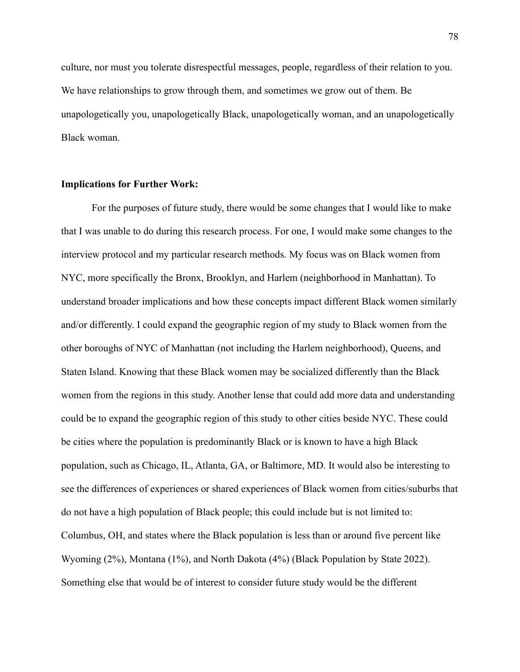culture, nor must you tolerate disrespectful messages, people, regardless of their relation to you. We have relationships to grow through them, and sometimes we grow out of them. Be unapologetically you, unapologetically Black, unapologetically woman, and an unapologetically Black woman.

### **Implications for Further Work:**

For the purposes of future study, there would be some changes that I would like to make that I was unable to do during this research process. For one, I would make some changes to the interview protocol and my particular research methods. My focus was on Black women from NYC, more specifically the Bronx, Brooklyn, and Harlem (neighborhood in Manhattan). To understand broader implications and how these concepts impact different Black women similarly and/or differently. I could expand the geographic region of my study to Black women from the other boroughs of NYC of Manhattan (not including the Harlem neighborhood), Queens, and Staten Island. Knowing that these Black women may be socialized differently than the Black women from the regions in this study. Another lense that could add more data and understanding could be to expand the geographic region of this study to other cities beside NYC. These could be cities where the population is predominantly Black or is known to have a high Black population, such as Chicago, IL, Atlanta, GA, or Baltimore, MD. It would also be interesting to see the differences of experiences or shared experiences of Black women from cities/suburbs that do not have a high population of Black people; this could include but is not limited to: Columbus, OH, and states where the Black population is less than or around five percent like Wyoming (2%), Montana (1%), and North Dakota (4%) (Black Population by State 2022). Something else that would be of interest to consider future study would be the different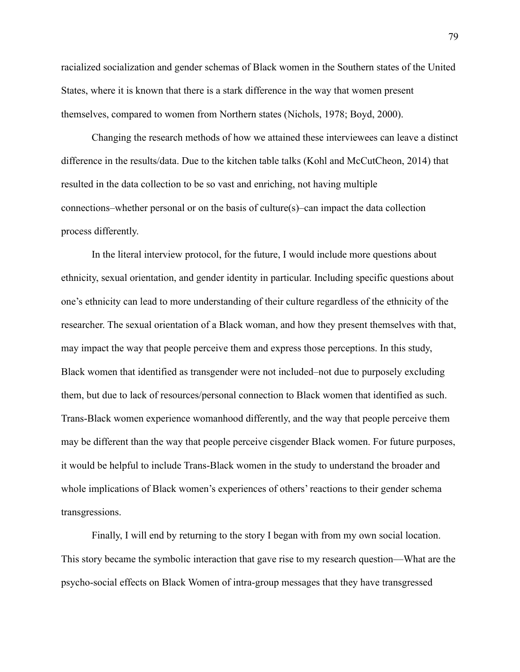racialized socialization and gender schemas of Black women in the Southern states of the United States, where it is known that there is a stark difference in the way that women present themselves, compared to women from Northern states (Nichols, 1978; Boyd, 2000).

Changing the research methods of how we attained these interviewees can leave a distinct difference in the results/data. Due to the kitchen table talks (Kohl and McCutCheon, 2014) that resulted in the data collection to be so vast and enriching, not having multiple connections–whether personal or on the basis of culture(s)–can impact the data collection process differently.

In the literal interview protocol, for the future, I would include more questions about ethnicity, sexual orientation, and gender identity in particular. Including specific questions about one's ethnicity can lead to more understanding of their culture regardless of the ethnicity of the researcher. The sexual orientation of a Black woman, and how they present themselves with that, may impact the way that people perceive them and express those perceptions. In this study, Black women that identified as transgender were not included–not due to purposely excluding them, but due to lack of resources/personal connection to Black women that identified as such. Trans-Black women experience womanhood differently, and the way that people perceive them may be different than the way that people perceive cisgender Black women. For future purposes, it would be helpful to include Trans-Black women in the study to understand the broader and whole implications of Black women's experiences of others' reactions to their gender schema transgressions.

Finally, I will end by returning to the story I began with from my own social location. This story became the symbolic interaction that gave rise to my research question—What are the psycho-social effects on Black Women of intra-group messages that they have transgressed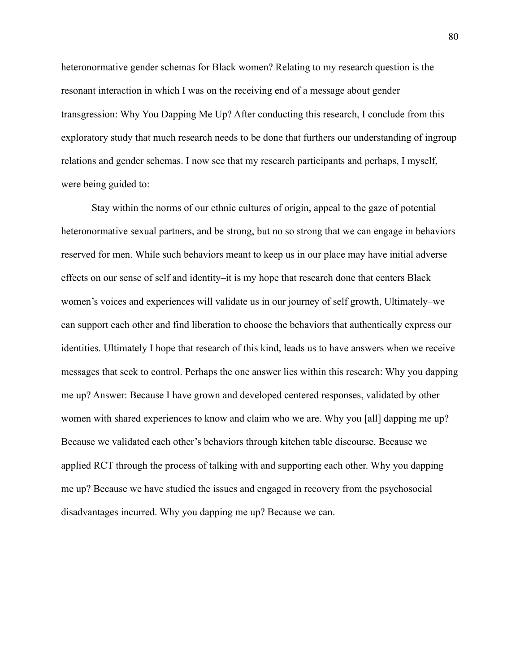heteronormative gender schemas for Black women? Relating to my research question is the resonant interaction in which I was on the receiving end of a message about gender transgression: Why You Dapping Me Up? After conducting this research, I conclude from this exploratory study that much research needs to be done that furthers our understanding of ingroup relations and gender schemas. I now see that my research participants and perhaps, I myself, were being guided to:

Stay within the norms of our ethnic cultures of origin, appeal to the gaze of potential heteronormative sexual partners, and be strong, but no so strong that we can engage in behaviors reserved for men. While such behaviors meant to keep us in our place may have initial adverse effects on our sense of self and identity–it is my hope that research done that centers Black women's voices and experiences will validate us in our journey of self growth, Ultimately–we can support each other and find liberation to choose the behaviors that authentically express our identities. Ultimately I hope that research of this kind, leads us to have answers when we receive messages that seek to control. Perhaps the one answer lies within this research: Why you dapping me up? Answer: Because I have grown and developed centered responses, validated by other women with shared experiences to know and claim who we are. Why you [all] dapping me up? Because we validated each other's behaviors through kitchen table discourse. Because we applied RCT through the process of talking with and supporting each other. Why you dapping me up? Because we have studied the issues and engaged in recovery from the psychosocial disadvantages incurred. Why you dapping me up? Because we can.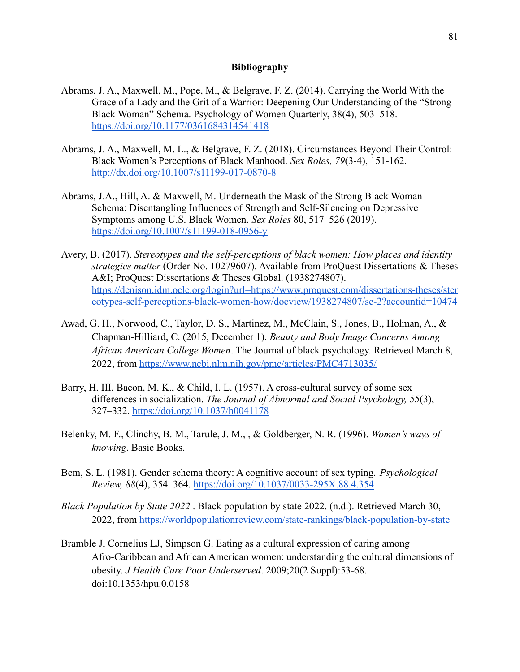### **Bibliography**

- Abrams, J. A., Maxwell, M., Pope, M., & Belgrave, F. Z. (2014). Carrying the World With the Grace of a Lady and the Grit of a Warrior: Deepening Our Understanding of the "Strong Black Woman" Schema. Psychology of Women Quarterly, 38(4), 503–518. <https://doi.org/10.1177/0361684314541418>
- Abrams, J. A., Maxwell, M. L., & Belgrave, F. Z. (2018). Circumstances Beyond Their Control: Black Women's Perceptions of Black Manhood. *Sex Roles, 79*(3-4), 151-162. <http://dx.doi.org/10.1007/s11199-017-0870-8>
- Abrams, J.A., Hill, A. & Maxwell, M. Underneath the Mask of the Strong Black Woman Schema: Disentangling Influences of Strength and Self-Silencing on Depressive Symptoms among U.S. Black Women. *Sex Roles* 80, 517–526 (2019). <https://doi.org/10.1007/s11199-018-0956-y>
- Avery, B. (2017). *Stereotypes and the self-perceptions of black women: How places and identity strategies matter* (Order No. 10279607). Available from ProQuest Dissertations & Theses A&I; ProQuest Dissertations & Theses Global. (1938274807). [https://denison.idm.oclc.org/login?url=https://www.proquest.com/dissertations-theses/ster](https://denison.idm.oclc.org/login?url=https://www.proquest.com/dissertations-theses/stereotypes-self-perceptions-black-women-how/docview/1938274807/se-2?accountid=10474) [eotypes-self-perceptions-black-women-how/docview/1938274807/se-2?accountid=10474](https://denison.idm.oclc.org/login?url=https://www.proquest.com/dissertations-theses/stereotypes-self-perceptions-black-women-how/docview/1938274807/se-2?accountid=10474)
- Awad, G. H., Norwood, C., Taylor, D. S., Martinez, M., McClain, S., Jones, B., Holman, A., & Chapman-Hilliard, C. (2015, December 1). *Beauty and Body Image Concerns Among African American College Women*. The Journal of black psychology. Retrieved March 8, 2022, from <https://www.ncbi.nlm.nih.gov/pmc/articles/PMC4713035/>
- Barry, H. III, Bacon, M. K., & Child, I. L. (1957). A cross-cultural survey of some sex differences in socialization. *The Journal of Abnormal and Social Psychology, 55*(3), 327–332. [https://doi.org/10.1037/h0041178](https://psycnet.apa.org/doi/10.1037/h0041178)
- Belenky, M. F., Clinchy, B. M., Tarule, J. M., , & Goldberger, N. R. (1996). *Women's ways of knowing*. Basic Books.
- Bem, S. L. (1981). Gender schema theory: A cognitive account of sex typing. *Psychological Review, 88*(4), 354–364. [https://doi.org/10.1037/0033-295X.88.4.354](https://psycnet.apa.org/doi/10.1037/0033-295X.88.4.354)
- *Black Population by State 2022* . Black population by state 2022. (n.d.). Retrieved March 30, 2022, from <https://worldpopulationreview.com/state-rankings/black-population-by-state>
- Bramble J, Cornelius LJ, Simpson G. Eating as a cultural expression of caring among Afro-Caribbean and African American women: understanding the cultural dimensions of obesity. *J Health Care Poor Underserved*. 2009;20(2 Suppl):53-68. doi:10.1353/hpu.0.0158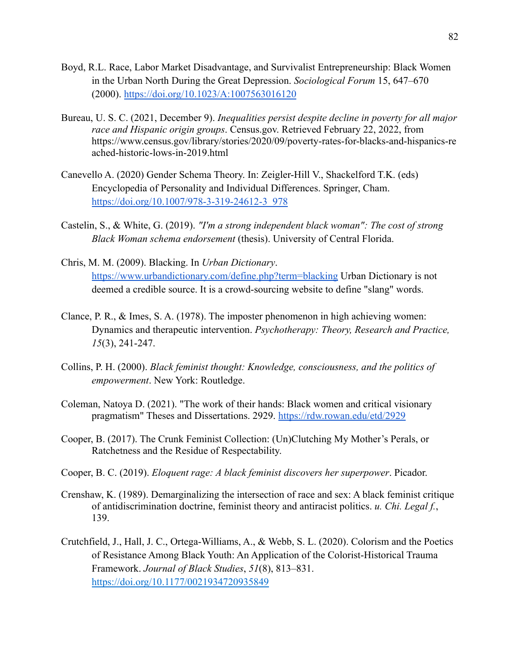- Boyd, R.L. Race, Labor Market Disadvantage, and Survivalist Entrepreneurship: Black Women in the Urban North During the Great Depression. *Sociological Forum* 15, 647–670 (2000). <https://doi.org/10.1023/A:1007563016120>
- Bureau, U. S. C. (2021, December 9). *Inequalities persist despite decline in poverty for all major race and Hispanic origin groups*. Census.gov. Retrieved February 22, 2022, from https://www.census.gov/library/stories/2020/09/poverty-rates-for-blacks-and-hispanics-re ached-historic-lows-in-2019.html
- Canevello A. (2020) Gender Schema Theory. In: Zeigler-Hill V., Shackelford T.K. (eds) Encyclopedia of Personality and Individual Differences. Springer, Cham. [https://doi.org/10.1007/978-3-319-24612-3\\_978](https://doi.org/10.1007/978-3-319-24612-3_978)
- Castelin, S., & White, G. (2019). *"I'm a strong independent black woman": The cost of strong Black Woman schema endorsement* (thesis). University of Central Florida.
- Chris, M. M. (2009). Blacking. In *Urban Dictionary*. <https://www.urbandictionary.com/define.php?term=blacking> Urban Dictionary is not deemed a credible source. It is a crowd-sourcing website to define "slang" words.
- Clance, P. R., & Imes, S. A. (1978). The imposter phenomenon in high achieving women: Dynamics and therapeutic intervention. *Psychotherapy: Theory, Research and Practice, 15*(3), 241-247.
- Collins, P. H. (2000). *Black feminist thought: Knowledge, consciousness, and the politics of empowerment*. New York: Routledge.
- Coleman, Natoya D. (2021). "The work of their hands: Black women and critical visionary pragmatism" Theses and Dissertations. 2929. <https://rdw.rowan.edu/etd/2929>
- Cooper, B. (2017). The Crunk Feminist Collection: (Un)Clutching My Mother's Perals, or Ratchetness and the Residue of Respectability.
- Cooper, B. C. (2019). *Eloquent rage: A black feminist discovers her superpower*. Picador.
- Crenshaw, K. (1989). Demarginalizing the intersection of race and sex: A black feminist critique of antidiscrimination doctrine, feminist theory and antiracist politics. *u. Chi. Legal f.*, 139.
- Crutchfield, J., Hall, J. C., Ortega-Williams, A., & Webb, S. L. (2020). Colorism and the Poetics of Resistance Among Black Youth: An Application of the Colorist-Historical Trauma Framework. *Journal of Black Studies*, *51*(8), 813–831. <https://doi.org/10.1177/0021934720935849>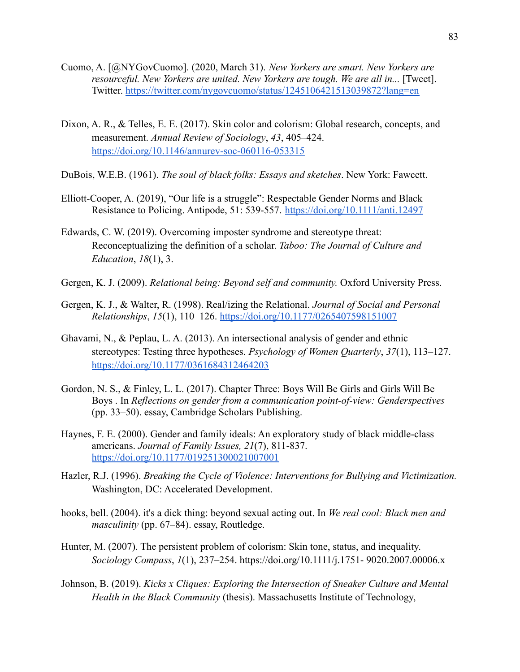- Cuomo, A. [@NYGovCuomo]. (2020, March 31). *New Yorkers are smart. New Yorkers are resourceful. New Yorkers are united. New Yorkers are tough. We are all in...* [Tweet]. Twitter. <https://twitter.com/nygovcuomo/status/1245106421513039872?lang=en>
- Dixon, A. R., & Telles, E. E. (2017). Skin color and colorism: Global research, concepts, and measurement. *Annual Review of Sociology*, *43*, 405–424. <https://doi.org/10.1146/annurev-soc-060116-053315>
- DuBois, W.E.B. (1961). *The soul of black folks: Essays and sketches*. New York: Fawcett.
- Elliott-Cooper, A. (2019), "Our life is a struggle": Respectable Gender Norms and Black Resistance to Policing. Antipode, 51: 539-557. <https://doi.org/10.1111/anti.12497>
- Edwards, C. W. (2019). Overcoming imposter syndrome and stereotype threat: Reconceptualizing the definition of a scholar. *Taboo: The Journal of Culture and Education*, *18*(1), 3.
- Gergen, K. J. (2009). *Relational being: Beyond self and community.* Oxford University Press.
- Gergen, K. J., & Walter, R. (1998). Real/izing the Relational. *Journal of Social and Personal Relationships*, *15*(1), 110–126. <https://doi.org/10.1177/0265407598151007>
- Ghavami, N., & Peplau, L. A. (2013). An intersectional analysis of gender and ethnic stereotypes: Testing three hypotheses. *Psychology of Women Quarterly*, *37*(1), 113–127. <https://doi.org/10.1177/0361684312464203>
- Gordon, N. S., & Finley, L. L. (2017). Chapter Three: Boys Will Be Girls and Girls Will Be Boys . In *Reflections on gender from a communication point-of-view: Genderspectives* (pp. 33–50). essay, Cambridge Scholars Publishing.
- Haynes, F. E. (2000). Gender and family ideals: An exploratory study of black middle-class americans. *Journal of Family Issues, 21*(7), 811-837. <https://doi.org/10.1177/019251300021007001>
- Hazler, R.J. (1996). *Breaking the Cycle of Violence: Interventions for Bullying and Victimization.* Washington, DC: Accelerated Development.
- hooks, bell. (2004). it's a dick thing: beyond sexual acting out. In *We real cool: Black men and masculinity* (pp. 67–84). essay, Routledge.
- Hunter, M. (2007). The persistent problem of colorism: Skin tone, status, and inequality. *Sociology Compass*, *1*(1), 237–254. https://doi.org/10.1111/j.1751- 9020.2007.00006.x
- Johnson, B. (2019). *Kicks x Cliques: Exploring the Intersection of Sneaker Culture and Mental Health in the Black Community* (thesis). Massachusetts Institute of Technology,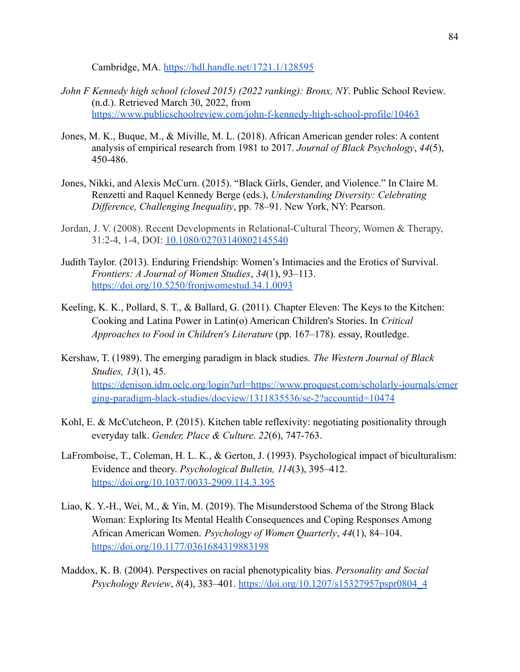Cambridge, MA. <https://hdl.handle.net/1721.1/128595>

- *John F Kennedy high school (closed 2015) (2022 ranking): Bronx, NY*. Public School Review. (n.d.). Retrieved March 30, 2022, from <https://www.publicschoolreview.com/john-f-kennedy-high-school-profile/10463>
- Jones, M. K., Buque, M., & Miville, M. L. (2018). African American gender roles: A content analysis of empirical research from 1981 to 2017. *Journal of Black Psychology*, *44*(5), 450-486.
- Jones, Nikki, and Alexis McCurn. (2015). "Black Girls, Gender, and Violence." In Claire M. Renzetti and Raquel Kennedy Berge (eds.), *Understanding Diversity: Celebrating Difference, Challenging Inequality*, pp. 78–91. New York, NY: Pearson.
- Jordan, J. V. (2008). Recent Developments in Relational-Cultural Theory, Women & Therapy, 31:2-4, 1-4, DOI: [10.1080/02703140802145540](https://doi.org/10.1080/02703140802145540)
- Judith Taylor. (2013). Enduring Friendship: Women's Intimacies and the Erotics of Survival. *Frontiers: A Journal of Women Studies*, *34*(1), 93–113. <https://doi.org/10.5250/fronjwomestud.34.1.0093>
- Keeling, K. K., Pollard, S. T., & Ballard, G. (2011). Chapter Eleven: The Keys to the Kitchen: Cooking and Latina Power in Latin(o) American Children's Stories. In *Critical Approaches to Food in Children's Literature* (pp. 167–178). essay, Routledge.
- Kershaw, T. (1989). The emerging paradigm in black studies. *The Western Journal of Black Studies, 13*(1), 45. [https://denison.idm.oclc.org/login?url=https://www.proquest.com/scholarly-journals/emer](https://denison.idm.oclc.org/login?url=https://www.proquest.com/scholarly-journals/emerging-paradigm-black-studies/docview/1311835536/se-2?accountid=10474) [ging-paradigm-black-studies/docview/1311835536/se-2?accountid=10474](https://denison.idm.oclc.org/login?url=https://www.proquest.com/scholarly-journals/emerging-paradigm-black-studies/docview/1311835536/se-2?accountid=10474)
- Kohl, E. & McCutcheon, P. (2015). Kitchen table reflexivity: negotiating positionality through everyday talk. *Gender, Place & Culture. 22*(6), 747-763.
- LaFromboise, T., Coleman, H. L. K., & Gerton, J. (1993). Psychological impact of biculturalism: Evidence and theory. *Psychological Bulletin, 114*(3), 395–412. [https://doi.org/10.1037/0033-2909.114.3.395](https://psycnet.apa.org/doi/10.1037/0033-2909.114.3.395)
- Liao, K. Y.-H., Wei, M., & Yin, M. (2019). The Misunderstood Schema of the Strong Black Woman: Exploring Its Mental Health Consequences and Coping Responses Among African American Women. *Psychology of Women Quarterly*, *44*(1), 84–104. <https://doi.org/10.1177/0361684319883198>
- Maddox, K. B. (2004). Perspectives on racial phenotypicality bias. *Personality and Social Psychology Review*, *8*(4), 383–401. [https://doi.org/10.1207/s15327957pspr0804\\_4](https://doi.org/10.1207/s15327957pspr0804_4)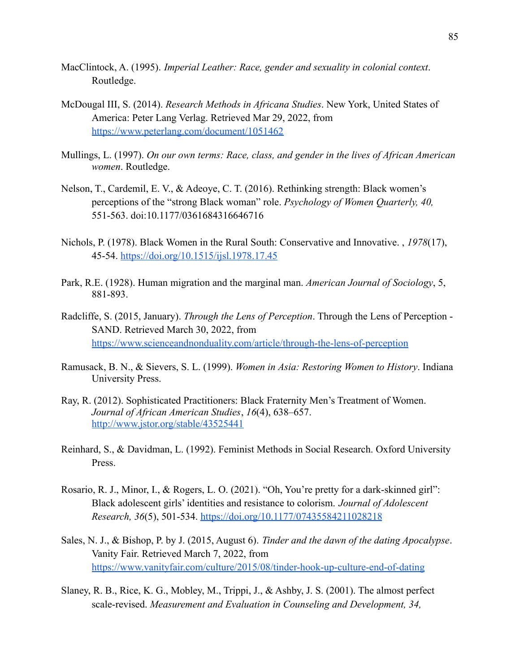- MacClintock, A. (1995). *Imperial Leather: Race, gender and sexuality in colonial context*. Routledge.
- McDougal III, S. (2014). *Research Methods in Africana Studies*. New York, United States of America: Peter Lang Verlag. Retrieved Mar 29, 2022, from <https://www.peterlang.com/document/1051462>
- Mullings, L. (1997). *On our own terms: Race, class, and gender in the lives of African American women*. Routledge.
- Nelson, T., Cardemil, E. V., & Adeoye, C. T. (2016). Rethinking strength: Black women's perceptions of the "strong Black woman" role. *Psychology of Women Quarterly, 40,* 551-563. doi:10.1177/0361684316646716
- Nichols, P. (1978). Black Women in the Rural South: Conservative and Innovative. , *1978*(17), 45-54. <https://doi.org/10.1515/ijsl.1978.17.45>
- Park, R.E. (1928). Human migration and the marginal man. *American Journal of Sociology*, 5, 881-893.
- Radcliffe, S. (2015, January). *Through the Lens of Perception*. Through the Lens of Perception SAND. Retrieved March 30, 2022, from <https://www.scienceandnonduality.com/article/through-the-lens-of-perception>
- Ramusack, B. N., & Sievers, S. L. (1999). *Women in Asia: Restoring Women to History*. Indiana University Press.
- Ray, R. (2012). Sophisticated Practitioners: Black Fraternity Men's Treatment of Women. *Journal of African American Studies*, *16*(4), 638–657. <http://www.jstor.org/stable/43525441>
- Reinhard, S., & Davidman, L. (1992). Feminist Methods in Social Research. Oxford University Press.
- Rosario, R. J., Minor, I., & Rogers, L. O. (2021). "Oh, You're pretty for a dark-skinned girl": Black adolescent girls' identities and resistance to colorism. *Journal of Adolescent Research, 36*(5), 501-534. <https://doi.org/10.1177/07435584211028218>
- Sales, N. J., & Bishop, P. by J. (2015, August 6). *Tinder and the dawn of the dating Apocalypse*. Vanity Fair. Retrieved March 7, 2022, from <https://www.vanityfair.com/culture/2015/08/tinder-hook-up-culture-end-of-dating>
- Slaney, R. B., Rice, K. G., Mobley, M., Trippi, J., & Ashby, J. S. (2001). The almost perfect scale-revised. *Measurement and Evaluation in Counseling and Development, 34,*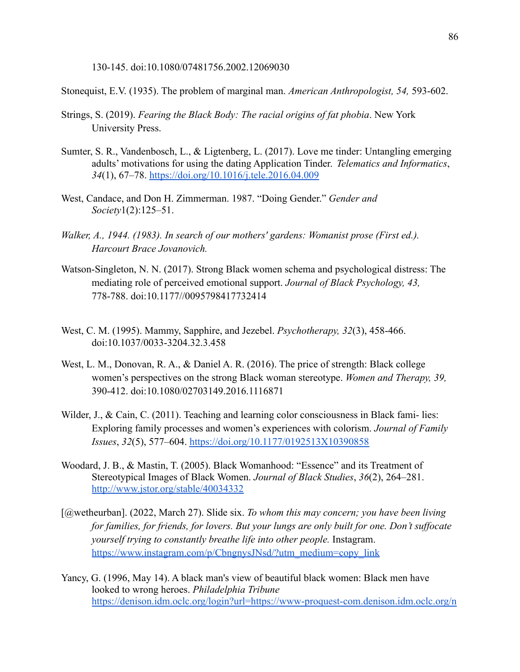130-145. doi:10.1080/07481756.2002.12069030

Stonequist, E.V. (1935). The problem of marginal man. *American Anthropologist, 54,* 593-602.

- Strings, S. (2019). *Fearing the Black Body: The racial origins of fat phobia*. New York University Press.
- Sumter, S. R., Vandenbosch, L., & Ligtenberg, L. (2017). Love me tinder: Untangling emerging adults' motivations for using the dating Application Tinder. *Telematics and Informatics*, *34*(1), 67–78. <https://doi.org/10.1016/j.tele.2016.04.009>
- West, Candace, and Don H. Zimmerman. 1987. "Doing Gender." *Gender and Society*1(2):125–51.
- *Walker, A., 1944. (1983). In search of our mothers' gardens: Womanist prose (First ed.). Harcourt Brace Jovanovich.*
- Watson-Singleton, N. N. (2017). Strong Black women schema and psychological distress: The mediating role of perceived emotional support. *Journal of Black Psychology, 43,* 778-788. doi:10.1177//0095798417732414
- West, C. M. (1995). Mammy, Sapphire, and Jezebel. *Psychotherapy, 32*(3), 458-466. doi:10.1037/0033-3204.32.3.458
- West, L. M., Donovan, R. A., & Daniel A. R. (2016). The price of strength: Black college women's perspectives on the strong Black woman stereotype. *Women and Therapy, 39,* 390-412. doi:10.1080/02703149.2016.1116871
- Wilder, J., & Cain, C. (2011). Teaching and learning color consciousness in Black fami-lies: Exploring family processes and women's experiences with colorism. *Journal of Family Issues*, *32*(5), 577–604. <https://doi.org/10.1177/0192513X10390858>
- Woodard, J. B., & Mastin, T. (2005). Black Womanhood: "Essence" and its Treatment of Stereotypical Images of Black Women. *Journal of Black Studies*, *36*(2), 264–281. <http://www.jstor.org/stable/40034332>
- [@wetheurban]. (2022, March 27). Slide six. *To whom this may concern; you have been living for families, for friends, for lovers. But your lungs are only built for one. Don't suffocate yourself trying to constantly breathe life into other people.* Instagram. [https://www.instagram.com/p/CbngnysJNsd/?utm\\_medium=copy\\_link](https://www.instagram.com/p/CbngnysJNsd/?utm_medium=copy_link)
- Yancy, G. (1996, May 14). A black man's view of beautiful black women: Black men have looked to wrong heroes. *Philadelphia Tribune* [https://denison.idm.oclc.org/login?url=https://www-proquest-com.denison.idm.oclc.org/n](https://denison.idm.oclc.org/login?url=https://www-proquest-com.denison.idm.oclc.org/newspapers/black-mans-view-beautiful-women-men-have-looked/docview/337815171/se-2?accountid=10474)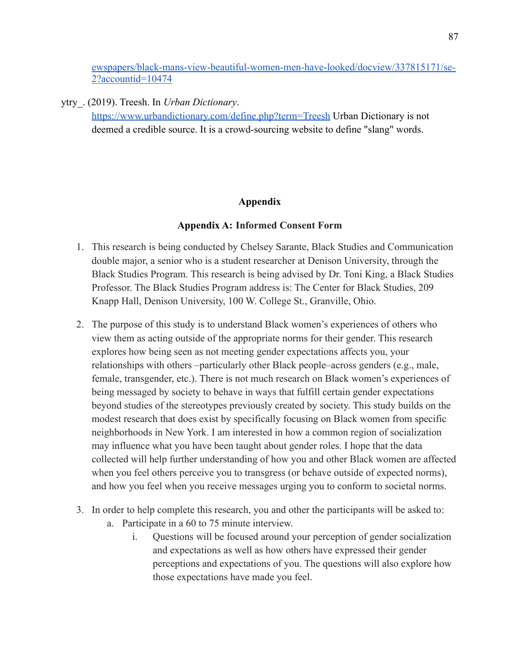[ewspapers/black-mans-view-beautiful-women-men-have-looked/docview/337815171/se-](https://denison.idm.oclc.org/login?url=https://www-proquest-com.denison.idm.oclc.org/newspapers/black-mans-view-beautiful-women-men-have-looked/docview/337815171/se-2?accountid=10474)[2?accountid=10474](https://denison.idm.oclc.org/login?url=https://www-proquest-com.denison.idm.oclc.org/newspapers/black-mans-view-beautiful-women-men-have-looked/docview/337815171/se-2?accountid=10474)

ytry\_. (2019). Treesh. In *Urban Dictionary*. <https://www.urbandictionary.com/define.php?term=Treesh> Urban Dictionary is not deemed a credible source. It is a crowd-sourcing website to define "slang" words.

# **Appendix**

# **Appendix A: Informed Consent Form**

- 1. This research is being conducted by Chelsey Sarante, Black Studies and Communication double major, a senior who is a student researcher at Denison University, through the Black Studies Program. This research is being advised by Dr. Toni King, a Black Studies Professor. The Black Studies Program address is: The Center for Black Studies, 209 Knapp Hall, Denison University, 100 W. College St., Granville, Ohio.
- 2. The purpose of this study is to understand Black women's experiences of others who view them as acting outside of the appropriate norms for their gender. This research explores how being seen as not meeting gender expectations affects you, your relationships with others –particularly other Black people–across genders (e.g., male, female, transgender, etc.). There is not much research on Black women's experiences of being messaged by society to behave in ways that fulfill certain gender expectations beyond studies of the stereotypes previously created by society. This study builds on the modest research that does exist by specifically focusing on Black women from specific neighborhoods in New York. I am interested in how a common region of socialization may influence what you have been taught about gender roles. I hope that the data collected will help further understanding of how you and other Black women are affected when you feel others perceive you to transgress (or behave outside of expected norms), and how you feel when you receive messages urging you to conform to societal norms.
- 3. In order to help complete this research, you and other the participants will be asked to:
	- a. Participate in a 60 to 75 minute interview.
		- i. Questions will be focused around your perception of gender socialization and expectations as well as how others have expressed their gender perceptions and expectations of you. The questions will also explore how those expectations have made you feel.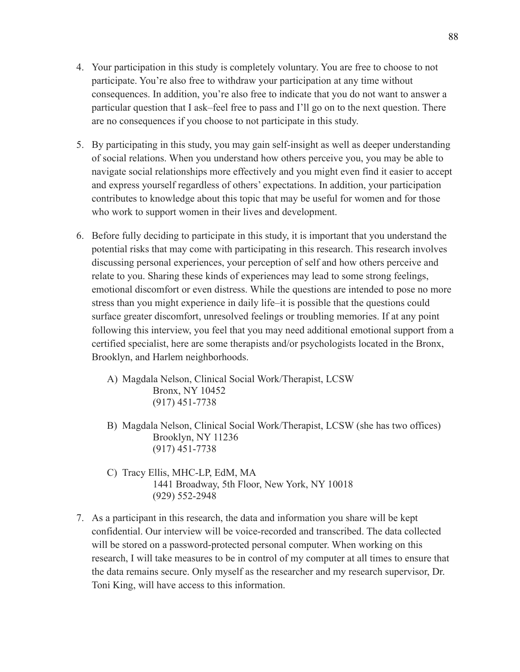- 4. Your participation in this study is completely voluntary. You are free to choose to not participate. You're also free to withdraw your participation at any time without consequences. In addition, you're also free to indicate that you do not want to answer a particular question that I ask–feel free to pass and I'll go on to the next question. There are no consequences if you choose to not participate in this study.
- 5. By participating in this study, you may gain self-insight as well as deeper understanding of social relations. When you understand how others perceive you, you may be able to navigate social relationships more effectively and you might even find it easier to accept and express yourself regardless of others' expectations. In addition, your participation contributes to knowledge about this topic that may be useful for women and for those who work to support women in their lives and development.
- 6. Before fully deciding to participate in this study, it is important that you understand the potential risks that may come with participating in this research. This research involves discussing personal experiences, your perception of self and how others perceive and relate to you. Sharing these kinds of experiences may lead to some strong feelings, emotional discomfort or even distress. While the questions are intended to pose no more stress than you might experience in daily life–it is possible that the questions could surface greater discomfort, unresolved feelings or troubling memories. If at any point following this interview, you feel that you may need additional emotional support from a certified specialist, here are some therapists and/or psychologists located in the Bronx, Brooklyn, and Harlem neighborhoods.
	- A) Magdala Nelson, Clinical Social Work/Therapist, LCSW Bronx, NY 10452 (917) 451-7738
	- B) Magdala Nelson, Clinical Social Work/Therapist, LCSW (she has two offices) Brooklyn, NY 11236 (917) 451-7738
	- C) Tracy Ellis, MHC-LP, EdM, MA 1441 Broadway, 5th Floor, New York, NY 10018 (929) 552-2948
- 7. As a participant in this research, the data and information you share will be kept confidential. Our interview will be voice-recorded and transcribed. The data collected will be stored on a password-protected personal computer. When working on this research, I will take measures to be in control of my computer at all times to ensure that the data remains secure. Only myself as the researcher and my research supervisor, Dr. Toni King, will have access to this information.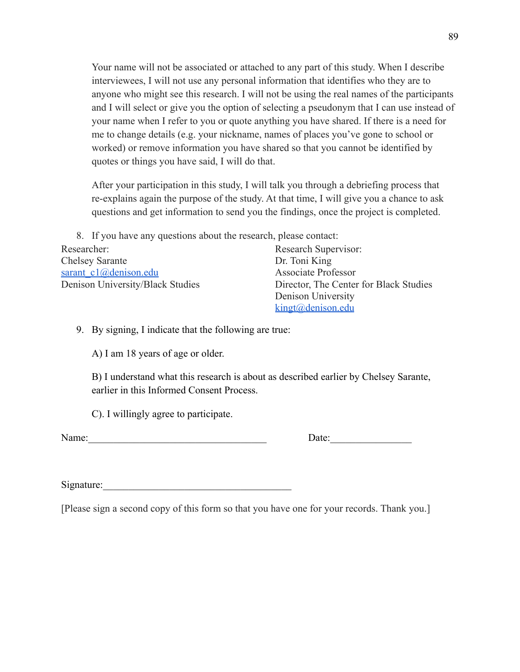Your name will not be associated or attached to any part of this study. When I describe interviewees, I will not use any personal information that identifies who they are to anyone who might see this research. I will not be using the real names of the participants and I will select or give you the option of selecting a pseudonym that I can use instead of your name when I refer to you or quote anything you have shared. If there is a need for me to change details (e.g. your nickname, names of places you've gone to school or worked) or remove information you have shared so that you cannot be identified by quotes or things you have said, I will do that.

After your participation in this study, I will talk you through a debriefing process that re-explains again the purpose of the study. At that time, I will give you a chance to ask questions and get information to send you the findings, once the project is completed.

8. If you have any questions about the research, please contact:

Researcher: Research Supervisor: Chelsey Sarante Dr. Toni King [sarant\\_c1@denison.edu](mailto:sarant_c1@denison.edu) Associate Professor Denison University/Black Studies Director, The Center for Black Studies Denison University

[kingt@denison.edu](mailto:kingt@denison.edu)

9. By signing, I indicate that the following are true:

A) I am 18 years of age or older.

B) I understand what this research is about as described earlier by Chelsey Sarante, earlier in this Informed Consent Process.

C). I willingly agree to participate.

Name: Date:

Signature:

[Please sign a second copy of this form so that you have one for your records. Thank you.]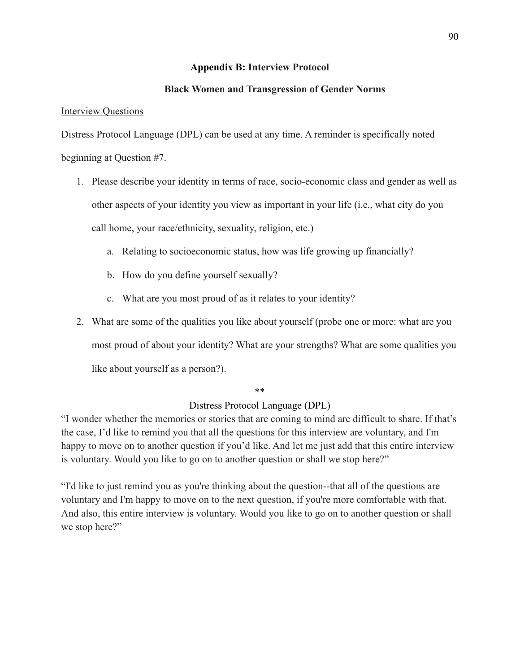## **Appendix B: Interview Protocol**

## **Black Women and Transgression of Gender Norms**

### **Interview Questions**

Distress Protocol Language (DPL) can be used at any time. A reminder is specifically noted beginning at Question #7.

- 1. Please describe your identity in terms of race, socio-economic class and gender as well as other aspects of your identity you view as important in your life (i.e., what city do you call home, your race/ethnicity, sexuality, religion, etc.)
	- a. Relating to socioeconomic status, how was life growing up financially?
	- b. How do you define yourself sexually?
	- c. What are you most proud of as it relates to your identity?
- 2. What are some of the qualities you like about yourself (probe one or more: what are you

most proud of about your identity? What are your strengths? What are some qualities you

like about yourself as a person?).

### \*\*

# Distress Protocol Language (DPL)

"I wonder whether the memories or stories that are coming to mind are difficult to share. If that's the case, I'd like to remind you that all the questions for this interview are voluntary, and I'm happy to move on to another question if you'd like. And let me just add that this entire interview is voluntary. Would you like to go on to another question or shall we stop here?"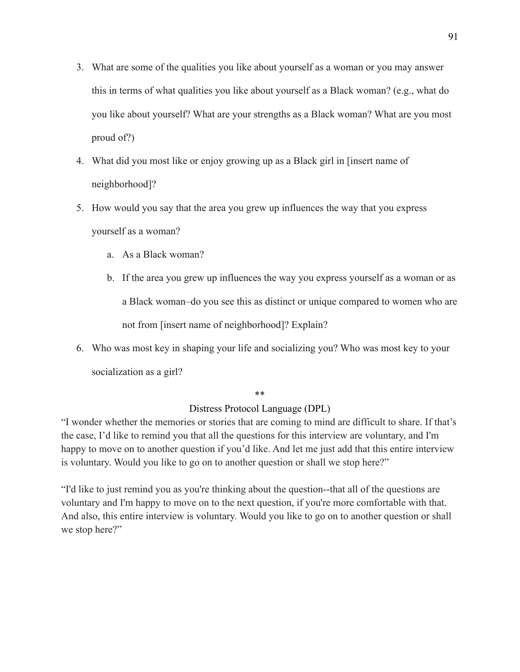- 3. What are some of the qualities you like about yourself as a woman or you may answer this in terms of what qualities you like about yourself as a Black woman? (e.g., what do you like about yourself? What are your strengths as a Black woman? What are you most proud of?)
- 4. What did you most like or enjoy growing up as a Black girl in [insert name of neighborhood]?
- 5. How would you say that the area you grew up influences the way that you express yourself as a woman?
	- a. As a Black woman?
	- b. If the area you grew up influences the way you express yourself as a woman or as a Black woman–do you see this as distinct or unique compared to women who are not from [insert name of neighborhood]? Explain?
- 6. Who was most key in shaping your life and socializing you? Who was most key to your socialization as a girl?

\*\*

# Distress Protocol Language (DPL)

"I wonder whether the memories or stories that are coming to mind are difficult to share. If that's the case, I'd like to remind you that all the questions for this interview are voluntary, and I'm happy to move on to another question if you'd like. And let me just add that this entire interview is voluntary. Would you like to go on to another question or shall we stop here?"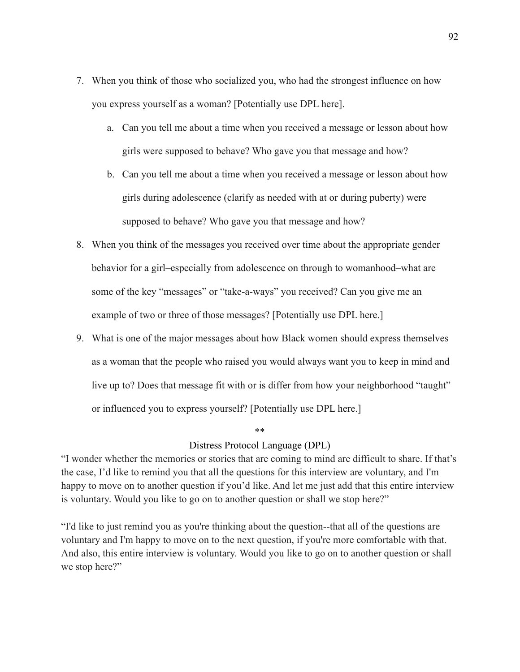- 7. When you think of those who socialized you, who had the strongest influence on how you express yourself as a woman? [Potentially use DPL here].
	- a. Can you tell me about a time when you received a message or lesson about how girls were supposed to behave? Who gave you that message and how?
	- b. Can you tell me about a time when you received a message or lesson about how girls during adolescence (clarify as needed with at or during puberty) were supposed to behave? Who gave you that message and how?
- 8. When you think of the messages you received over time about the appropriate gender behavior for a girl–especially from adolescence on through to womanhood–what are some of the key "messages" or "take-a-ways" you received? Can you give me an example of two or three of those messages? [Potentially use DPL here.]
- 9. What is one of the major messages about how Black women should express themselves as a woman that the people who raised you would always want you to keep in mind and live up to? Does that message fit with or is differ from how your neighborhood "taught" or influenced you to express yourself? [Potentially use DPL here.]

### \*\*

### Distress Protocol Language (DPL)

"I wonder whether the memories or stories that are coming to mind are difficult to share. If that's the case, I'd like to remind you that all the questions for this interview are voluntary, and I'm happy to move on to another question if you'd like. And let me just add that this entire interview is voluntary. Would you like to go on to another question or shall we stop here?"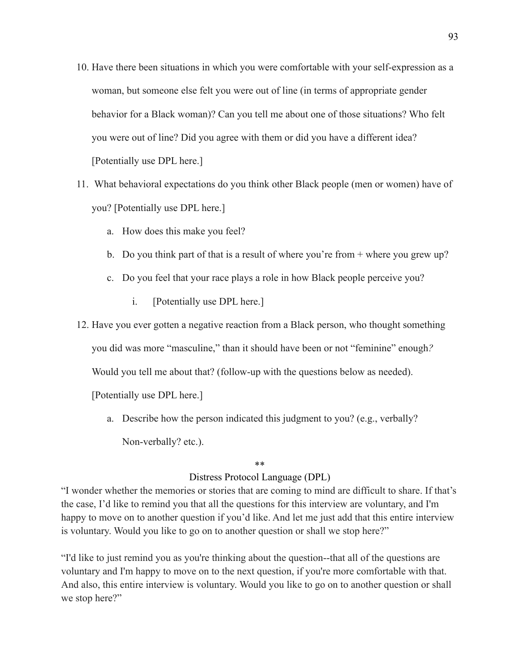- 10. Have there been situations in which you were comfortable with your self-expression as a woman, but someone else felt you were out of line (in terms of appropriate gender behavior for a Black woman)? Can you tell me about one of those situations? Who felt you were out of line? Did you agree with them or did you have a different idea? [Potentially use DPL here.]
- 11. What behavioral expectations do you think other Black people (men or women) have of you? [Potentially use DPL here.]
	- a. How does this make you feel?
	- b. Do you think part of that is a result of where you're from + where you grew up?
	- c. Do you feel that your race plays a role in how Black people perceive you?
		- i. [Potentially use DPL here.]
- 12. Have you ever gotten a negative reaction from a Black person, who thought something

you did was more "masculine," than it should have been or not "feminine" enough*?*

Would you tell me about that? (follow-up with the questions below as needed).

[Potentially use DPL here.]

a. Describe how the person indicated this judgment to you? (e.g., verbally? Non-verbally? etc.).

#### \*\*

# Distress Protocol Language (DPL)

"I wonder whether the memories or stories that are coming to mind are difficult to share. If that's the case, I'd like to remind you that all the questions for this interview are voluntary, and I'm happy to move on to another question if you'd like. And let me just add that this entire interview is voluntary. Would you like to go on to another question or shall we stop here?"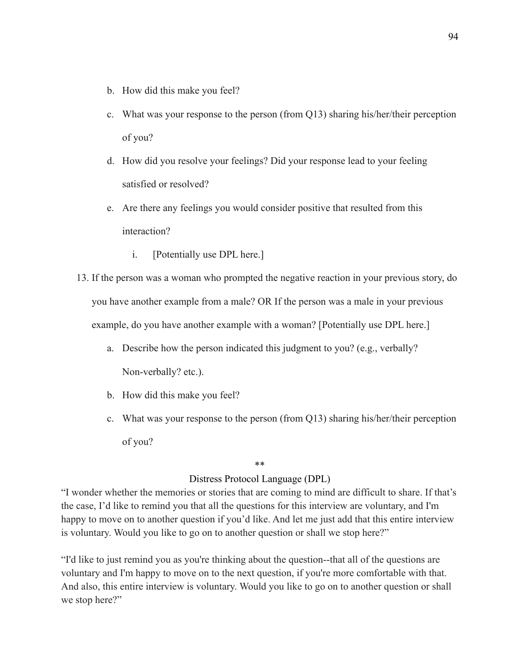- b. How did this make you feel?
- c. What was your response to the person (from Q13) sharing his/her/their perception of you?
- d. How did you resolve your feelings? Did your response lead to your feeling satisfied or resolved?
- e. Are there any feelings you would consider positive that resulted from this interaction?
	- i. [Potentially use DPL here.]
- 13. If the person was a woman who prompted the negative reaction in your previous story, do you have another example from a male? OR If the person was a male in your previous example, do you have another example with a woman? [Potentially use DPL here.]
	- a. Describe how the person indicated this judgment to you? (e.g., verbally? Non-verbally? etc.).
	- b. How did this make you feel?
	- c. What was your response to the person (from Q13) sharing his/her/their perception of you?

# \*\*

## Distress Protocol Language (DPL)

"I wonder whether the memories or stories that are coming to mind are difficult to share. If that's the case, I'd like to remind you that all the questions for this interview are voluntary, and I'm happy to move on to another question if you'd like. And let me just add that this entire interview is voluntary. Would you like to go on to another question or shall we stop here?"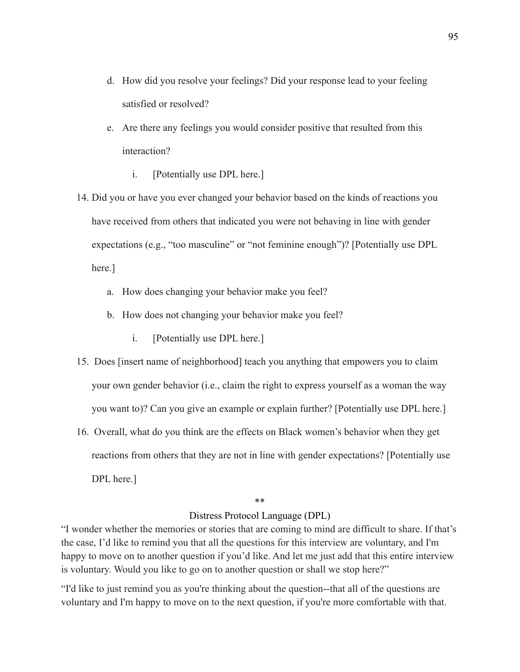- d. How did you resolve your feelings? Did your response lead to your feeling satisfied or resolved?
- e. Are there any feelings you would consider positive that resulted from this interaction?
	- i. [Potentially use DPL here.]
- 14. Did you or have you ever changed your behavior based on the kinds of reactions you have received from others that indicated you were not behaving in line with gender expectations (e.g., "too masculine" or "not feminine enough")? [Potentially use DPL here.]
	- a. How does changing your behavior make you feel?
	- b. How does not changing your behavior make you feel?
		- i. [Potentially use DPL here.]
- 15. Does [insert name of neighborhood] teach you anything that empowers you to claim your own gender behavior (i.e., claim the right to express yourself as a woman the way you want to)? Can you give an example or explain further? [Potentially use DPL here.]
- 16. Overall, what do you think are the effects on Black women's behavior when they get reactions from others that they are not in line with gender expectations? [Potentially use DPL here.]

#### \*\*

### Distress Protocol Language (DPL)

"I wonder whether the memories or stories that are coming to mind are difficult to share. If that's the case, I'd like to remind you that all the questions for this interview are voluntary, and I'm happy to move on to another question if you'd like. And let me just add that this entire interview is voluntary. Would you like to go on to another question or shall we stop here?"

"I'd like to just remind you as you're thinking about the question--that all of the questions are voluntary and I'm happy to move on to the next question, if you're more comfortable with that.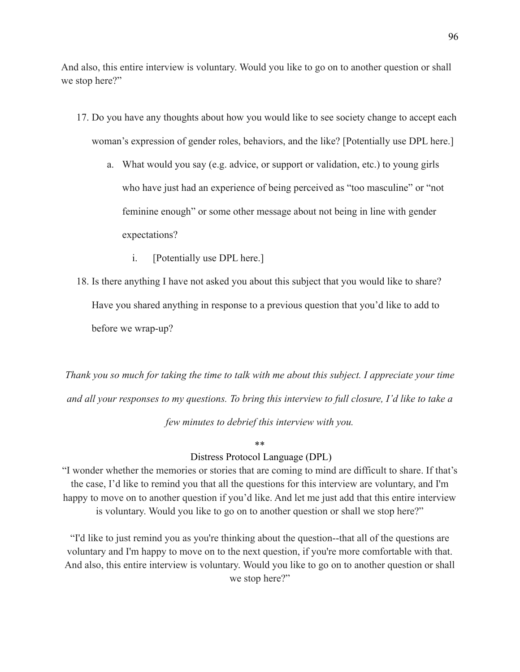And also, this entire interview is voluntary. Would you like to go on to another question or shall we stop here?"

- 17. Do you have any thoughts about how you would like to see society change to accept each woman's expression of gender roles, behaviors, and the like? [Potentially use DPL here.]
	- a. What would you say (e.g. advice, or support or validation, etc.) to young girls who have just had an experience of being perceived as "too masculine" or "not feminine enough" or some other message about not being in line with gender expectations?
		- i. [Potentially use DPL here.]
- 18. Is there anything I have not asked you about this subject that you would like to share? Have you shared anything in response to a previous question that you'd like to add to before we wrap-up?

*Thank you so much for taking the time to talk with me about this subject. I appreciate your time and all your responses to my questions. To bring this interview to full closure, I'd like to take a few minutes to debrief this interview with you.*

### \*\*

### Distress Protocol Language (DPL)

"I wonder whether the memories or stories that are coming to mind are difficult to share. If that's the case, I'd like to remind you that all the questions for this interview are voluntary, and I'm happy to move on to another question if you'd like. And let me just add that this entire interview is voluntary. Would you like to go on to another question or shall we stop here?"